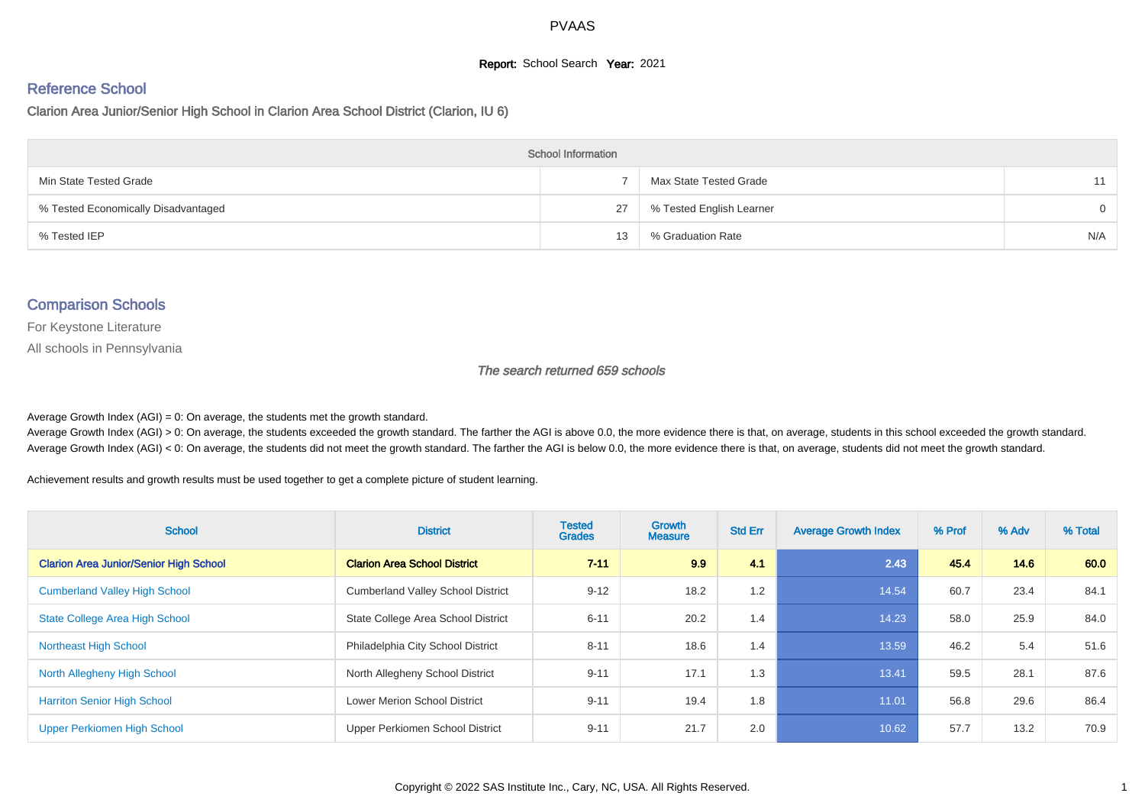#### **Report:** School Search **Year:** 2021

# Reference School

Clarion Area Junior/Senior High School in Clarion Area School District (Clarion, IU 6)

| <b>School Information</b>           |    |                          |          |  |  |  |  |  |
|-------------------------------------|----|--------------------------|----------|--|--|--|--|--|
| Min State Tested Grade              |    | Max State Tested Grade   | 11       |  |  |  |  |  |
| % Tested Economically Disadvantaged | 27 | % Tested English Learner | $\Omega$ |  |  |  |  |  |
| % Tested IEP                        | 13 | % Graduation Rate        | N/A      |  |  |  |  |  |

#### Comparison Schools

For Keystone Literature

All schools in Pennsylvania

The search returned 659 schools

Average Growth Index  $(AGI) = 0$ : On average, the students met the growth standard.

Average Growth Index (AGI) > 0: On average, the students exceeded the growth standard. The farther the AGI is above 0.0, the more evidence there is that, on average, students in this school exceeded the growth standard. Average Growth Index (AGI) < 0: On average, the students did not meet the growth standard. The farther the AGI is below 0.0, the more evidence there is that, on average, students did not meet the growth standard.

Achievement results and growth results must be used together to get a complete picture of student learning.

| <b>School</b>                                 | <b>District</b>                          | <b>Tested</b><br><b>Grades</b> | Growth<br><b>Measure</b> | <b>Std Err</b> | <b>Average Growth Index</b> | % Prof | % Adv | % Total |
|-----------------------------------------------|------------------------------------------|--------------------------------|--------------------------|----------------|-----------------------------|--------|-------|---------|
| <b>Clarion Area Junior/Senior High School</b> | <b>Clarion Area School District</b>      | $7 - 11$                       | 9.9                      | 4.1            | 2.43                        | 45.4   | 14.6  | 60.0    |
| <b>Cumberland Valley High School</b>          | <b>Cumberland Valley School District</b> | $9 - 12$                       | 18.2                     | 1.2            | 14.54                       | 60.7   | 23.4  | 84.1    |
| <b>State College Area High School</b>         | State College Area School District       | $6 - 11$                       | 20.2                     | 1.4            | 14.23                       | 58.0   | 25.9  | 84.0    |
| <b>Northeast High School</b>                  | Philadelphia City School District        | $8 - 11$                       | 18.6                     | 1.4            | 13.59                       | 46.2   | 5.4   | 51.6    |
| North Allegheny High School                   | North Allegheny School District          | $9 - 11$                       | 17.1                     | 1.3            | 13.41                       | 59.5   | 28.1  | 87.6    |
| <b>Harriton Senior High School</b>            | <b>Lower Merion School District</b>      | $9 - 11$                       | 19.4                     | 1.8            | 11.01                       | 56.8   | 29.6  | 86.4    |
| Upper Perkiomen High School                   | Upper Perkiomen School District          | $9 - 11$                       | 21.7                     | 2.0            | 10.62                       | 57.7   | 13.2  | 70.9    |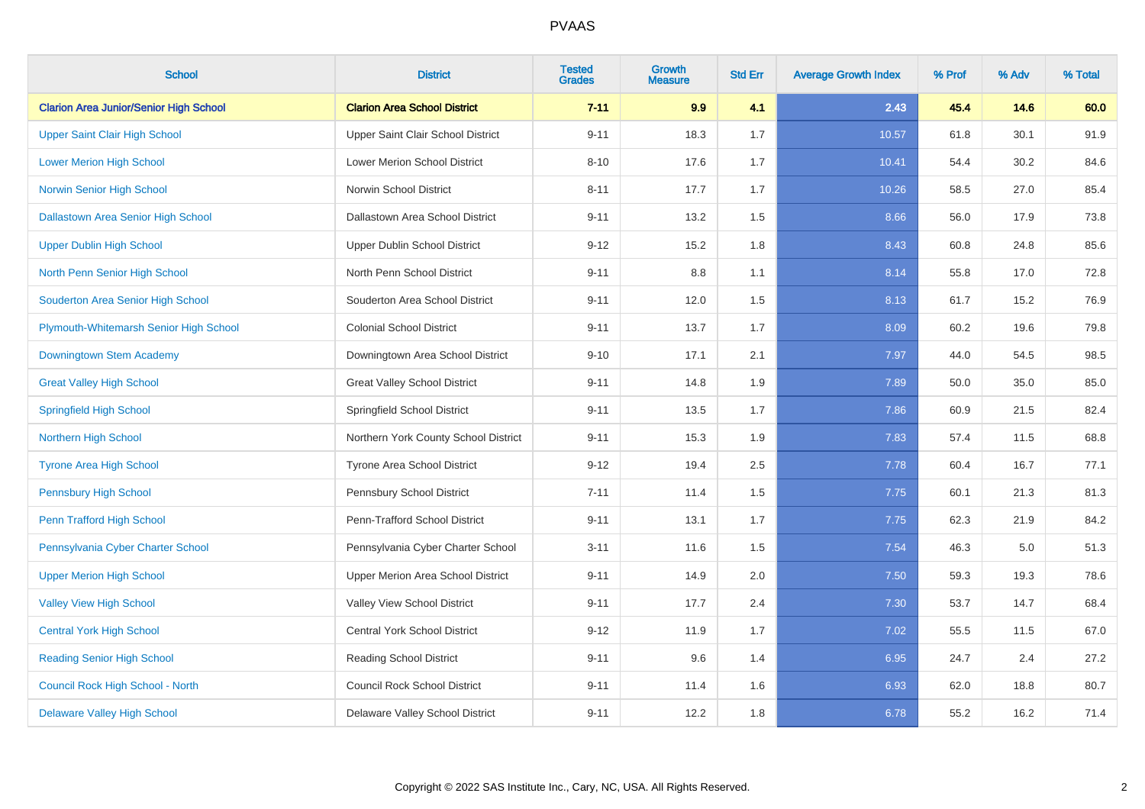| <b>School</b>                                 | <b>District</b>                      | <b>Tested</b><br><b>Grades</b> | <b>Growth</b><br><b>Measure</b> | <b>Std Err</b> | <b>Average Growth Index</b> | % Prof | % Adv | % Total |
|-----------------------------------------------|--------------------------------------|--------------------------------|---------------------------------|----------------|-----------------------------|--------|-------|---------|
| <b>Clarion Area Junior/Senior High School</b> | <b>Clarion Area School District</b>  | $7 - 11$                       | 9.9                             | 4.1            | 2.43                        | 45.4   | 14.6  | 60.0    |
| <b>Upper Saint Clair High School</b>          | Upper Saint Clair School District    | $9 - 11$                       | 18.3                            | 1.7            | 10.57                       | 61.8   | 30.1  | 91.9    |
| <b>Lower Merion High School</b>               | <b>Lower Merion School District</b>  | $8 - 10$                       | 17.6                            | 1.7            | 10.41                       | 54.4   | 30.2  | 84.6    |
| Norwin Senior High School                     | Norwin School District               | $8 - 11$                       | 17.7                            | 1.7            | 10.26                       | 58.5   | 27.0  | 85.4    |
| <b>Dallastown Area Senior High School</b>     | Dallastown Area School District      | $9 - 11$                       | 13.2                            | 1.5            | 8.66                        | 56.0   | 17.9  | 73.8    |
| <b>Upper Dublin High School</b>               | <b>Upper Dublin School District</b>  | $9 - 12$                       | 15.2                            | 1.8            | 8.43                        | 60.8   | 24.8  | 85.6    |
| North Penn Senior High School                 | North Penn School District           | $9 - 11$                       | 8.8                             | 1.1            | 8.14                        | 55.8   | 17.0  | 72.8    |
| Souderton Area Senior High School             | Souderton Area School District       | $9 - 11$                       | 12.0                            | 1.5            | 8.13                        | 61.7   | 15.2  | 76.9    |
| Plymouth-Whitemarsh Senior High School        | <b>Colonial School District</b>      | $9 - 11$                       | 13.7                            | 1.7            | 8.09                        | 60.2   | 19.6  | 79.8    |
| Downingtown Stem Academy                      | Downingtown Area School District     | $9 - 10$                       | 17.1                            | 2.1            | 7.97                        | 44.0   | 54.5  | 98.5    |
| <b>Great Valley High School</b>               | <b>Great Valley School District</b>  | $9 - 11$                       | 14.8                            | 1.9            | 7.89                        | 50.0   | 35.0  | 85.0    |
| <b>Springfield High School</b>                | Springfield School District          | $9 - 11$                       | 13.5                            | 1.7            | 7.86                        | 60.9   | 21.5  | 82.4    |
| Northern High School                          | Northern York County School District | $9 - 11$                       | 15.3                            | 1.9            | 7.83                        | 57.4   | 11.5  | 68.8    |
| <b>Tyrone Area High School</b>                | <b>Tyrone Area School District</b>   | $9 - 12$                       | 19.4                            | 2.5            | 7.78                        | 60.4   | 16.7  | 77.1    |
| <b>Pennsbury High School</b>                  | Pennsbury School District            | $7 - 11$                       | 11.4                            | 1.5            | 7.75                        | 60.1   | 21.3  | 81.3    |
| Penn Trafford High School                     | Penn-Trafford School District        | $9 - 11$                       | 13.1                            | 1.7            | 7.75                        | 62.3   | 21.9  | 84.2    |
| Pennsylvania Cyber Charter School             | Pennsylvania Cyber Charter School    | $3 - 11$                       | 11.6                            | 1.5            | 7.54                        | 46.3   | 5.0   | 51.3    |
| <b>Upper Merion High School</b>               | Upper Merion Area School District    | $9 - 11$                       | 14.9                            | 2.0            | 7.50                        | 59.3   | 19.3  | 78.6    |
| <b>Valley View High School</b>                | Valley View School District          | $9 - 11$                       | 17.7                            | 2.4            | 7.30                        | 53.7   | 14.7  | 68.4    |
| <b>Central York High School</b>               | <b>Central York School District</b>  | $9 - 12$                       | 11.9                            | 1.7            | 7.02                        | 55.5   | 11.5  | 67.0    |
| <b>Reading Senior High School</b>             | Reading School District              | $9 - 11$                       | 9.6                             | 1.4            | 6.95                        | 24.7   | 2.4   | 27.2    |
| Council Rock High School - North              | <b>Council Rock School District</b>  | $9 - 11$                       | 11.4                            | 1.6            | 6.93                        | 62.0   | 18.8  | 80.7    |
| <b>Delaware Valley High School</b>            | Delaware Valley School District      | $9 - 11$                       | 12.2                            | 1.8            | 6.78                        | 55.2   | 16.2  | 71.4    |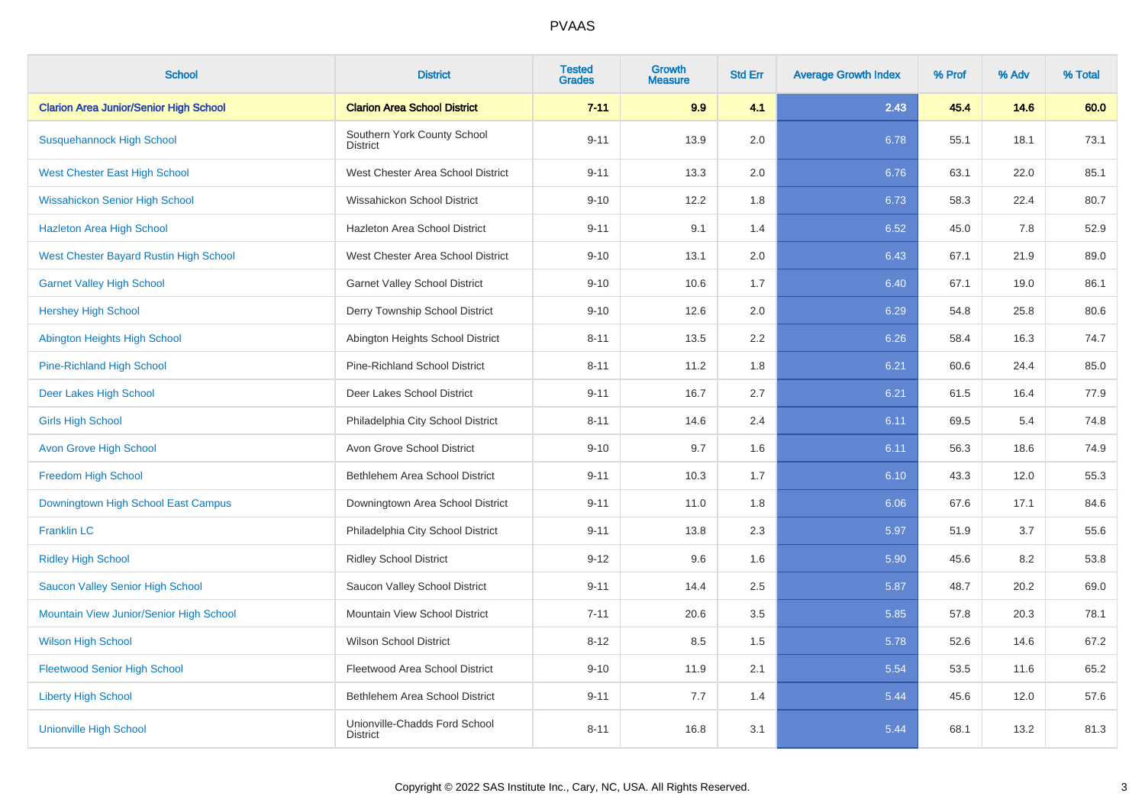| <b>School</b>                                 | <b>District</b>                                  | <b>Tested</b><br><b>Grades</b> | Growth<br><b>Measure</b> | <b>Std Err</b> | <b>Average Growth Index</b> | % Prof | % Adv | % Total |
|-----------------------------------------------|--------------------------------------------------|--------------------------------|--------------------------|----------------|-----------------------------|--------|-------|---------|
| <b>Clarion Area Junior/Senior High School</b> | <b>Clarion Area School District</b>              | $7 - 11$                       | 9.9                      | 4.1            | 2.43                        | 45.4   | 14.6  | 60.0    |
| <b>Susquehannock High School</b>              | Southern York County School<br><b>District</b>   | $9 - 11$                       | 13.9                     | 2.0            | 6.78                        | 55.1   | 18.1  | 73.1    |
| <b>West Chester East High School</b>          | West Chester Area School District                | $9 - 11$                       | 13.3                     | 2.0            | 6.76                        | 63.1   | 22.0  | 85.1    |
| <b>Wissahickon Senior High School</b>         | Wissahickon School District                      | $9 - 10$                       | 12.2                     | 1.8            | 6.73                        | 58.3   | 22.4  | 80.7    |
| <b>Hazleton Area High School</b>              | Hazleton Area School District                    | $9 - 11$                       | 9.1                      | 1.4            | 6.52                        | 45.0   | 7.8   | 52.9    |
| <b>West Chester Bayard Rustin High School</b> | West Chester Area School District                | $9 - 10$                       | 13.1                     | 2.0            | 6.43                        | 67.1   | 21.9  | 89.0    |
| <b>Garnet Valley High School</b>              | <b>Garnet Valley School District</b>             | $9 - 10$                       | 10.6                     | 1.7            | 6.40                        | 67.1   | 19.0  | 86.1    |
| <b>Hershey High School</b>                    | Derry Township School District                   | $9 - 10$                       | 12.6                     | 2.0            | 6.29                        | 54.8   | 25.8  | 80.6    |
| Abington Heights High School                  | Abington Heights School District                 | $8 - 11$                       | 13.5                     | 2.2            | 6.26                        | 58.4   | 16.3  | 74.7    |
| <b>Pine-Richland High School</b>              | <b>Pine-Richland School District</b>             | $8 - 11$                       | 11.2                     | 1.8            | 6.21                        | 60.6   | 24.4  | 85.0    |
| Deer Lakes High School                        | Deer Lakes School District                       | $9 - 11$                       | 16.7                     | 2.7            | 6.21                        | 61.5   | 16.4  | 77.9    |
| <b>Girls High School</b>                      | Philadelphia City School District                | $8 - 11$                       | 14.6                     | 2.4            | 6.11                        | 69.5   | 5.4   | 74.8    |
| <b>Avon Grove High School</b>                 | Avon Grove School District                       | $9 - 10$                       | 9.7                      | 1.6            | 6.11                        | 56.3   | 18.6  | 74.9    |
| <b>Freedom High School</b>                    | Bethlehem Area School District                   | $9 - 11$                       | 10.3                     | 1.7            | 6.10                        | 43.3   | 12.0  | 55.3    |
| Downingtown High School East Campus           | Downingtown Area School District                 | $9 - 11$                       | 11.0                     | 1.8            | 6.06                        | 67.6   | 17.1  | 84.6    |
| <b>Franklin LC</b>                            | Philadelphia City School District                | $9 - 11$                       | 13.8                     | 2.3            | 5.97                        | 51.9   | 3.7   | 55.6    |
| <b>Ridley High School</b>                     | <b>Ridley School District</b>                    | $9 - 12$                       | 9.6                      | 1.6            | 5.90                        | 45.6   | 8.2   | 53.8    |
| Saucon Valley Senior High School              | Saucon Valley School District                    | $9 - 11$                       | 14.4                     | 2.5            | 5.87                        | 48.7   | 20.2  | 69.0    |
| Mountain View Junior/Senior High School       | Mountain View School District                    | $7 - 11$                       | 20.6                     | 3.5            | 5.85                        | 57.8   | 20.3  | 78.1    |
| <b>Wilson High School</b>                     | <b>Wilson School District</b>                    | $8 - 12$                       | 8.5                      | 1.5            | 5.78                        | 52.6   | 14.6  | 67.2    |
| <b>Fleetwood Senior High School</b>           | Fleetwood Area School District                   | $9 - 10$                       | 11.9                     | 2.1            | 5.54                        | 53.5   | 11.6  | 65.2    |
| <b>Liberty High School</b>                    | Bethlehem Area School District                   | $9 - 11$                       | 7.7                      | 1.4            | 5.44                        | 45.6   | 12.0  | 57.6    |
| <b>Unionville High School</b>                 | Unionville-Chadds Ford School<br><b>District</b> | $8 - 11$                       | 16.8                     | 3.1            | 5.44                        | 68.1   | 13.2  | 81.3    |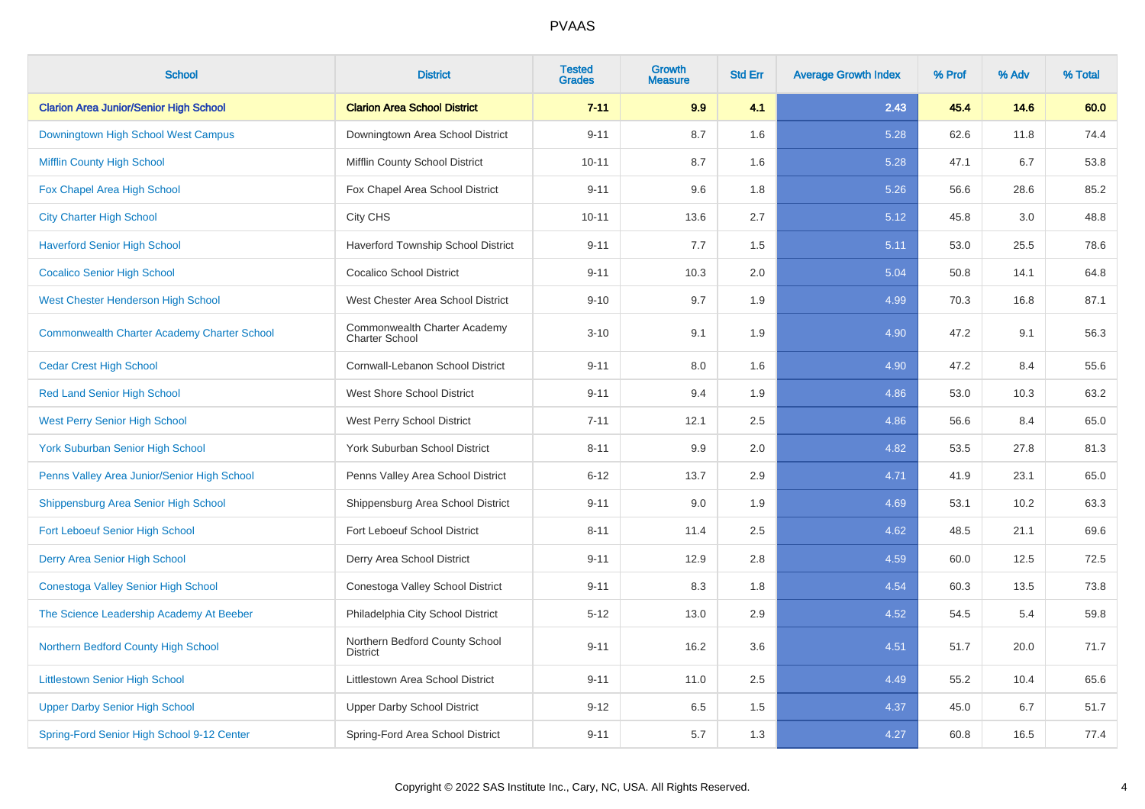| <b>School</b>                                      | <b>District</b>                                       | <b>Tested</b><br><b>Grades</b> | Growth<br><b>Measure</b> | <b>Std Err</b> | <b>Average Growth Index</b> | % Prof | % Adv | % Total |
|----------------------------------------------------|-------------------------------------------------------|--------------------------------|--------------------------|----------------|-----------------------------|--------|-------|---------|
| <b>Clarion Area Junior/Senior High School</b>      | <b>Clarion Area School District</b>                   | $7 - 11$                       | 9.9                      | 4.1            | 2.43                        | 45.4   | 14.6  | 60.0    |
| Downingtown High School West Campus                | Downingtown Area School District                      | $9 - 11$                       | 8.7                      | 1.6            | 5.28                        | 62.6   | 11.8  | 74.4    |
| <b>Mifflin County High School</b>                  | Mifflin County School District                        | $10 - 11$                      | 8.7                      | 1.6            | 5.28                        | 47.1   | 6.7   | 53.8    |
| Fox Chapel Area High School                        | Fox Chapel Area School District                       | $9 - 11$                       | 9.6                      | 1.8            | 5.26                        | 56.6   | 28.6  | 85.2    |
| <b>City Charter High School</b>                    | City CHS                                              | $10 - 11$                      | 13.6                     | 2.7            | 5.12                        | 45.8   | 3.0   | 48.8    |
| <b>Haverford Senior High School</b>                | Haverford Township School District                    | $9 - 11$                       | 7.7                      | 1.5            | 5.11                        | 53.0   | 25.5  | 78.6    |
| <b>Cocalico Senior High School</b>                 | <b>Cocalico School District</b>                       | $9 - 11$                       | 10.3                     | 2.0            | 5.04                        | 50.8   | 14.1  | 64.8    |
| <b>West Chester Henderson High School</b>          | West Chester Area School District                     | $9 - 10$                       | 9.7                      | 1.9            | 4.99                        | 70.3   | 16.8  | 87.1    |
| <b>Commonwealth Charter Academy Charter School</b> | Commonwealth Charter Academy<br><b>Charter School</b> | $3 - 10$                       | 9.1                      | 1.9            | 4.90                        | 47.2   | 9.1   | 56.3    |
| <b>Cedar Crest High School</b>                     | Cornwall-Lebanon School District                      | $9 - 11$                       | 8.0                      | 1.6            | 4.90                        | 47.2   | 8.4   | 55.6    |
| <b>Red Land Senior High School</b>                 | <b>West Shore School District</b>                     | $9 - 11$                       | 9.4                      | 1.9            | 4.86                        | 53.0   | 10.3  | 63.2    |
| <b>West Perry Senior High School</b>               | West Perry School District                            | $7 - 11$                       | 12.1                     | 2.5            | 4.86                        | 56.6   | 8.4   | 65.0    |
| <b>York Suburban Senior High School</b>            | York Suburban School District                         | $8 - 11$                       | 9.9                      | 2.0            | 4.82                        | 53.5   | 27.8  | 81.3    |
| Penns Valley Area Junior/Senior High School        | Penns Valley Area School District                     | $6 - 12$                       | 13.7                     | 2.9            | 4.71                        | 41.9   | 23.1  | 65.0    |
| Shippensburg Area Senior High School               | Shippensburg Area School District                     | $9 - 11$                       | 9.0                      | 1.9            | 4.69                        | 53.1   | 10.2  | 63.3    |
| Fort Leboeuf Senior High School                    | Fort Leboeuf School District                          | $8 - 11$                       | 11.4                     | 2.5            | 4.62                        | 48.5   | 21.1  | 69.6    |
| Derry Area Senior High School                      | Derry Area School District                            | $9 - 11$                       | 12.9                     | 2.8            | 4.59                        | 60.0   | 12.5  | 72.5    |
| Conestoga Valley Senior High School                | Conestoga Valley School District                      | $9 - 11$                       | 8.3                      | 1.8            | 4.54                        | 60.3   | 13.5  | 73.8    |
| The Science Leadership Academy At Beeber           | Philadelphia City School District                     | $5 - 12$                       | 13.0                     | 2.9            | 4.52                        | 54.5   | 5.4   | 59.8    |
| Northern Bedford County High School                | Northern Bedford County School<br><b>District</b>     | $9 - 11$                       | 16.2                     | 3.6            | 4.51                        | 51.7   | 20.0  | 71.7    |
| <b>Littlestown Senior High School</b>              | Littlestown Area School District                      | $9 - 11$                       | 11.0                     | 2.5            | 4.49                        | 55.2   | 10.4  | 65.6    |
| <b>Upper Darby Senior High School</b>              | <b>Upper Darby School District</b>                    | $9 - 12$                       | 6.5                      | 1.5            | 4.37                        | 45.0   | 6.7   | 51.7    |
| Spring-Ford Senior High School 9-12 Center         | Spring-Ford Area School District                      | $9 - 11$                       | 5.7                      | 1.3            | 4.27                        | 60.8   | 16.5  | 77.4    |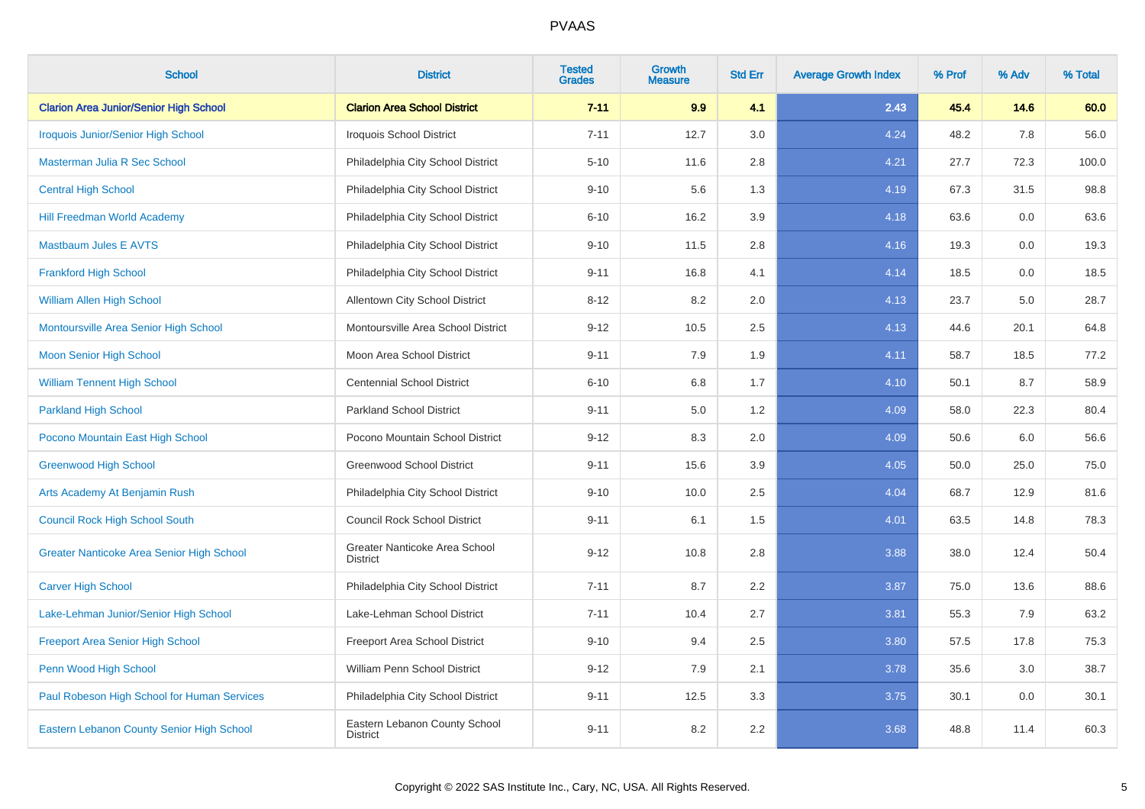| <b>School</b>                                 | <b>District</b>                                  | <b>Tested</b><br><b>Grades</b> | <b>Growth</b><br><b>Measure</b> | <b>Std Err</b> | <b>Average Growth Index</b> | % Prof | % Adv | % Total |
|-----------------------------------------------|--------------------------------------------------|--------------------------------|---------------------------------|----------------|-----------------------------|--------|-------|---------|
| <b>Clarion Area Junior/Senior High School</b> | <b>Clarion Area School District</b>              | $7 - 11$                       | 9.9                             | 4.1            | 2.43                        | 45.4   | 14.6  | 60.0    |
| <b>Iroquois Junior/Senior High School</b>     | <b>Iroquois School District</b>                  | $7 - 11$                       | 12.7                            | 3.0            | 4.24                        | 48.2   | 7.8   | 56.0    |
| Masterman Julia R Sec School                  | Philadelphia City School District                | $5 - 10$                       | 11.6                            | 2.8            | 4.21                        | 27.7   | 72.3  | 100.0   |
| <b>Central High School</b>                    | Philadelphia City School District                | $9 - 10$                       | 5.6                             | 1.3            | 4.19                        | 67.3   | 31.5  | 98.8    |
| <b>Hill Freedman World Academy</b>            | Philadelphia City School District                | $6 - 10$                       | 16.2                            | 3.9            | 4.18                        | 63.6   | 0.0   | 63.6    |
| <b>Mastbaum Jules E AVTS</b>                  | Philadelphia City School District                | $9 - 10$                       | 11.5                            | 2.8            | 4.16                        | 19.3   | 0.0   | 19.3    |
| <b>Frankford High School</b>                  | Philadelphia City School District                | $9 - 11$                       | 16.8                            | 4.1            | 4.14                        | 18.5   | 0.0   | 18.5    |
| William Allen High School                     | <b>Allentown City School District</b>            | $8 - 12$                       | 8.2                             | 2.0            | 4.13                        | 23.7   | 5.0   | 28.7    |
| Montoursville Area Senior High School         | Montoursville Area School District               | $9 - 12$                       | 10.5                            | 2.5            | 4.13                        | 44.6   | 20.1  | 64.8    |
| <b>Moon Senior High School</b>                | Moon Area School District                        | $9 - 11$                       | 7.9                             | 1.9            | 4.11                        | 58.7   | 18.5  | 77.2    |
| <b>William Tennent High School</b>            | <b>Centennial School District</b>                | $6 - 10$                       | 6.8                             | 1.7            | 4.10                        | 50.1   | 8.7   | 58.9    |
| <b>Parkland High School</b>                   | <b>Parkland School District</b>                  | $9 - 11$                       | 5.0                             | 1.2            | 4.09                        | 58.0   | 22.3  | 80.4    |
| Pocono Mountain East High School              | Pocono Mountain School District                  | $9 - 12$                       | 8.3                             | 2.0            | 4.09                        | 50.6   | 6.0   | 56.6    |
| <b>Greenwood High School</b>                  | <b>Greenwood School District</b>                 | $9 - 11$                       | 15.6                            | 3.9            | 4.05                        | 50.0   | 25.0  | 75.0    |
| Arts Academy At Benjamin Rush                 | Philadelphia City School District                | $9 - 10$                       | 10.0                            | 2.5            | 4.04                        | 68.7   | 12.9  | 81.6    |
| <b>Council Rock High School South</b>         | <b>Council Rock School District</b>              | $9 - 11$                       | 6.1                             | 1.5            | 4.01                        | 63.5   | 14.8  | 78.3    |
| Greater Nanticoke Area Senior High School     | Greater Nanticoke Area School<br><b>District</b> | $9 - 12$                       | 10.8                            | 2.8            | 3.88                        | 38.0   | 12.4  | 50.4    |
| <b>Carver High School</b>                     | Philadelphia City School District                | $7 - 11$                       | 8.7                             | 2.2            | 3.87                        | 75.0   | 13.6  | 88.6    |
| Lake-Lehman Junior/Senior High School         | Lake-Lehman School District                      | $7 - 11$                       | 10.4                            | 2.7            | 3.81                        | 55.3   | 7.9   | 63.2    |
| <b>Freeport Area Senior High School</b>       | Freeport Area School District                    | $9 - 10$                       | 9.4                             | 2.5            | 3.80                        | 57.5   | 17.8  | 75.3    |
| Penn Wood High School                         | William Penn School District                     | $9 - 12$                       | 7.9                             | 2.1            | 3.78                        | 35.6   | 3.0   | 38.7    |
| Paul Robeson High School for Human Services   | Philadelphia City School District                | $9 - 11$                       | 12.5                            | 3.3            | 3.75                        | 30.1   | 0.0   | 30.1    |
| Eastern Lebanon County Senior High School     | Eastern Lebanon County School<br><b>District</b> | $9 - 11$                       | 8.2                             | 2.2            | 3.68                        | 48.8   | 11.4  | 60.3    |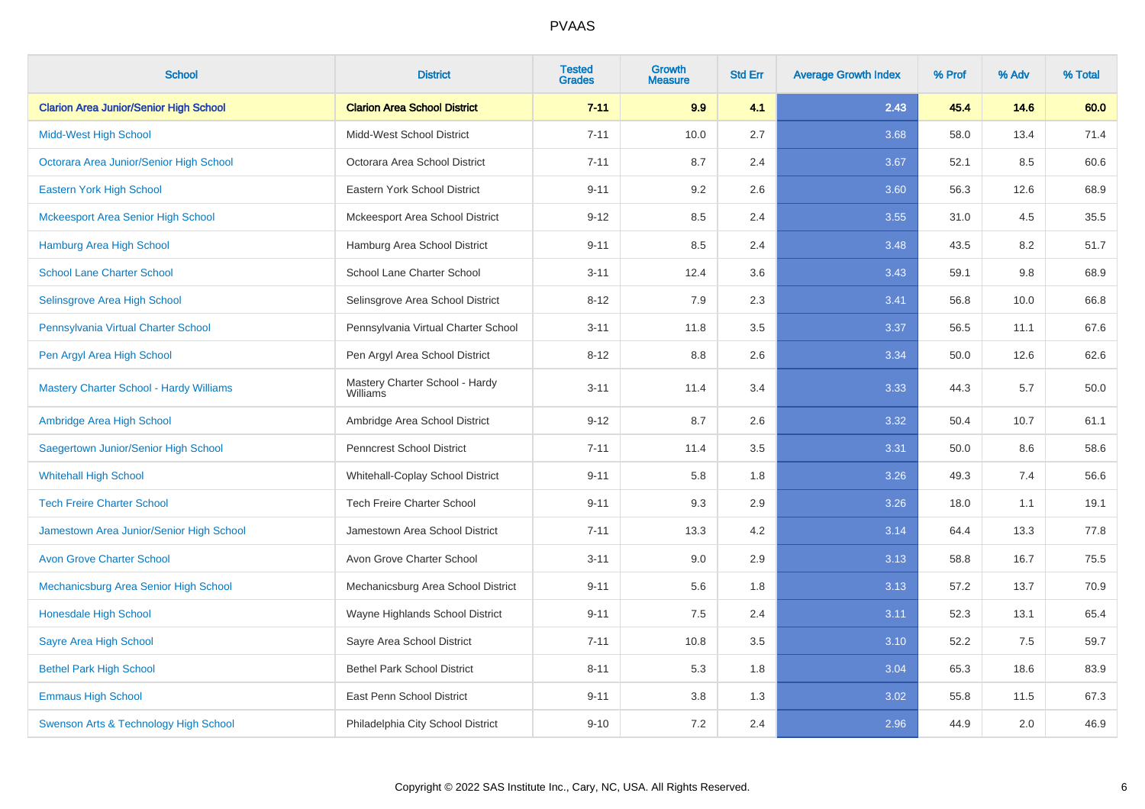| <b>School</b>                                  | <b>District</b>                            | <b>Tested</b><br><b>Grades</b> | <b>Growth</b><br><b>Measure</b> | <b>Std Err</b> | <b>Average Growth Index</b> | % Prof | % Adv | % Total |
|------------------------------------------------|--------------------------------------------|--------------------------------|---------------------------------|----------------|-----------------------------|--------|-------|---------|
| <b>Clarion Area Junior/Senior High School</b>  | <b>Clarion Area School District</b>        | $7 - 11$                       | 9.9                             | 4.1            | 2.43                        | 45.4   | 14.6  | 60.0    |
| <b>Midd-West High School</b>                   | Midd-West School District                  | $7 - 11$                       | 10.0                            | 2.7            | 3.68                        | 58.0   | 13.4  | 71.4    |
| Octorara Area Junior/Senior High School        | Octorara Area School District              | $7 - 11$                       | 8.7                             | 2.4            | 3.67                        | 52.1   | 8.5   | 60.6    |
| Eastern York High School                       | Eastern York School District               | $9 - 11$                       | 9.2                             | 2.6            | 3.60                        | 56.3   | 12.6  | 68.9    |
| <b>Mckeesport Area Senior High School</b>      | Mckeesport Area School District            | $9 - 12$                       | 8.5                             | 2.4            | 3.55                        | 31.0   | 4.5   | 35.5    |
| <b>Hamburg Area High School</b>                | Hamburg Area School District               | $9 - 11$                       | 8.5                             | 2.4            | 3.48                        | 43.5   | 8.2   | 51.7    |
| <b>School Lane Charter School</b>              | School Lane Charter School                 | $3 - 11$                       | 12.4                            | 3.6            | 3.43                        | 59.1   | 9.8   | 68.9    |
| Selinsgrove Area High School                   | Selinsgrove Area School District           | $8 - 12$                       | 7.9                             | 2.3            | 3.41                        | 56.8   | 10.0  | 66.8    |
| Pennsylvania Virtual Charter School            | Pennsylvania Virtual Charter School        | $3 - 11$                       | 11.8                            | 3.5            | 3.37                        | 56.5   | 11.1  | 67.6    |
| Pen Argyl Area High School                     | Pen Argyl Area School District             | $8 - 12$                       | 8.8                             | 2.6            | 3.34                        | 50.0   | 12.6  | 62.6    |
| <b>Mastery Charter School - Hardy Williams</b> | Mastery Charter School - Hardy<br>Williams | $3 - 11$                       | 11.4                            | 3.4            | 3.33                        | 44.3   | 5.7   | 50.0    |
| Ambridge Area High School                      | Ambridge Area School District              | $9 - 12$                       | 8.7                             | 2.6            | 3.32                        | 50.4   | 10.7  | 61.1    |
| Saegertown Junior/Senior High School           | Penncrest School District                  | $7 - 11$                       | 11.4                            | 3.5            | 3.31                        | 50.0   | 8.6   | 58.6    |
| <b>Whitehall High School</b>                   | Whitehall-Coplay School District           | $9 - 11$                       | 5.8                             | 1.8            | 3.26                        | 49.3   | 7.4   | 56.6    |
| <b>Tech Freire Charter School</b>              | <b>Tech Freire Charter School</b>          | $9 - 11$                       | 9.3                             | 2.9            | 3.26                        | 18.0   | 1.1   | 19.1    |
| Jamestown Area Junior/Senior High School       | Jamestown Area School District             | $7 - 11$                       | 13.3                            | 4.2            | 3.14                        | 64.4   | 13.3  | 77.8    |
| <b>Avon Grove Charter School</b>               | Avon Grove Charter School                  | $3 - 11$                       | 9.0                             | 2.9            | 3.13                        | 58.8   | 16.7  | 75.5    |
| Mechanicsburg Area Senior High School          | Mechanicsburg Area School District         | $9 - 11$                       | 5.6                             | 1.8            | 3.13                        | 57.2   | 13.7  | 70.9    |
| Honesdale High School                          | Wayne Highlands School District            | $9 - 11$                       | $7.5\,$                         | 2.4            | 3.11                        | 52.3   | 13.1  | 65.4    |
| Sayre Area High School                         | Sayre Area School District                 | $7 - 11$                       | 10.8                            | 3.5            | 3.10                        | 52.2   | 7.5   | 59.7    |
| <b>Bethel Park High School</b>                 | <b>Bethel Park School District</b>         | $8 - 11$                       | 5.3                             | 1.8            | 3.04                        | 65.3   | 18.6  | 83.9    |
| <b>Emmaus High School</b>                      | East Penn School District                  | $9 - 11$                       | 3.8                             | 1.3            | 3.02                        | 55.8   | 11.5  | 67.3    |
| Swenson Arts & Technology High School          | Philadelphia City School District          | $9 - 10$                       | 7.2                             | 2.4            | 2.96                        | 44.9   | 2.0   | 46.9    |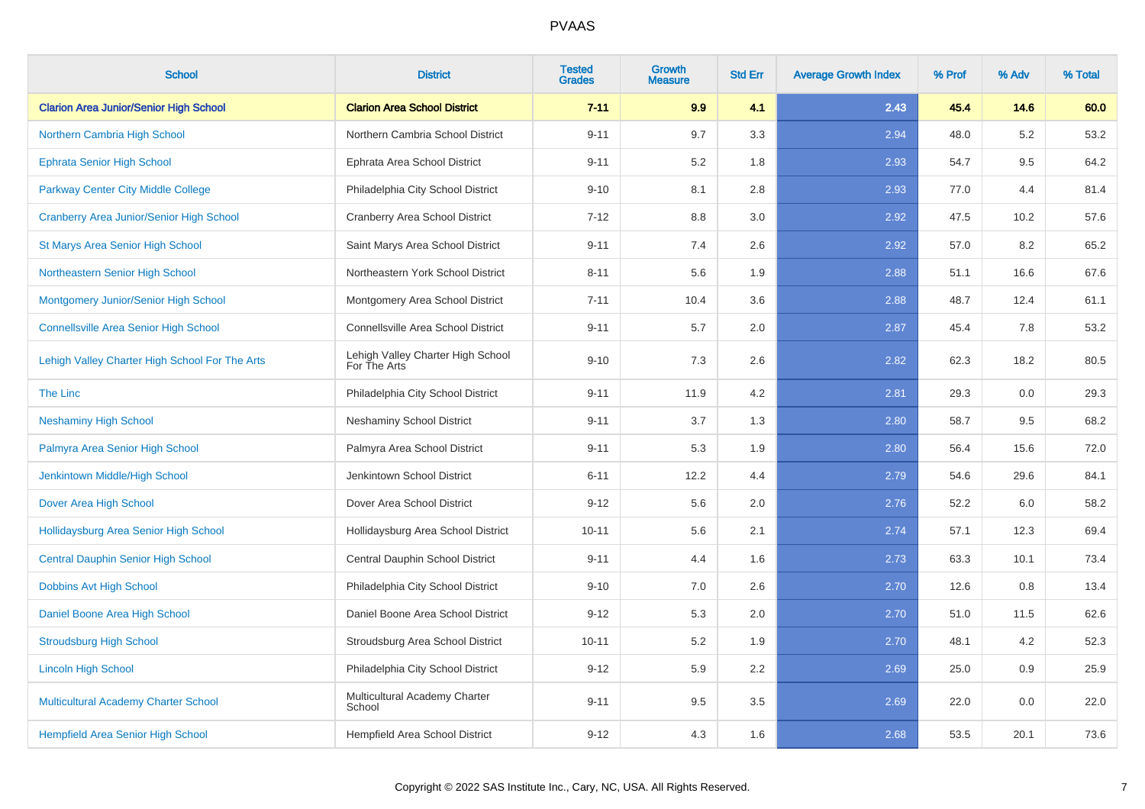| <b>School</b>                                   | <b>District</b>                                   | <b>Tested</b><br><b>Grades</b> | <b>Growth</b><br><b>Measure</b> | <b>Std Err</b> | <b>Average Growth Index</b> | % Prof | % Adv | % Total |
|-------------------------------------------------|---------------------------------------------------|--------------------------------|---------------------------------|----------------|-----------------------------|--------|-------|---------|
| <b>Clarion Area Junior/Senior High School</b>   | <b>Clarion Area School District</b>               | $7 - 11$                       | 9.9                             | 4.1            | 2.43                        | 45.4   | 14.6  | 60.0    |
| Northern Cambria High School                    | Northern Cambria School District                  | $9 - 11$                       | 9.7                             | 3.3            | 2.94                        | 48.0   | 5.2   | 53.2    |
| <b>Ephrata Senior High School</b>               | Ephrata Area School District                      | $9 - 11$                       | 5.2                             | 1.8            | 2.93                        | 54.7   | 9.5   | 64.2    |
| <b>Parkway Center City Middle College</b>       | Philadelphia City School District                 | $9 - 10$                       | 8.1                             | 2.8            | 2.93                        | 77.0   | 4.4   | 81.4    |
| <b>Cranberry Area Junior/Senior High School</b> | Cranberry Area School District                    | $7 - 12$                       | 8.8                             | 3.0            | 2.92                        | 47.5   | 10.2  | 57.6    |
| St Marys Area Senior High School                | Saint Marys Area School District                  | $9 - 11$                       | 7.4                             | 2.6            | 2.92                        | 57.0   | 8.2   | 65.2    |
| Northeastern Senior High School                 | Northeastern York School District                 | $8 - 11$                       | 5.6                             | 1.9            | 2.88                        | 51.1   | 16.6  | 67.6    |
| Montgomery Junior/Senior High School            | Montgomery Area School District                   | $7 - 11$                       | 10.4                            | 3.6            | 2.88                        | 48.7   | 12.4  | 61.1    |
| <b>Connellsville Area Senior High School</b>    | Connellsville Area School District                | $9 - 11$                       | 5.7                             | 2.0            | 2.87                        | 45.4   | 7.8   | 53.2    |
| Lehigh Valley Charter High School For The Arts  | Lehigh Valley Charter High School<br>For The Arts | $9 - 10$                       | 7.3                             | 2.6            | 2.82                        | 62.3   | 18.2  | 80.5    |
| The Linc                                        | Philadelphia City School District                 | $9 - 11$                       | 11.9                            | 4.2            | 2.81                        | 29.3   | 0.0   | 29.3    |
| <b>Neshaminy High School</b>                    | <b>Neshaminy School District</b>                  | $9 - 11$                       | 3.7                             | 1.3            | 2.80                        | 58.7   | 9.5   | 68.2    |
| Palmyra Area Senior High School                 | Palmyra Area School District                      | $9 - 11$                       | 5.3                             | 1.9            | 2.80                        | 56.4   | 15.6  | 72.0    |
| Jenkintown Middle/High School                   | Jenkintown School District                        | $6 - 11$                       | 12.2                            | 4.4            | 2.79                        | 54.6   | 29.6  | 84.1    |
| Dover Area High School                          | Dover Area School District                        | $9 - 12$                       | 5.6                             | 2.0            | 2.76                        | 52.2   | 6.0   | 58.2    |
| Hollidaysburg Area Senior High School           | Hollidaysburg Area School District                | $10 - 11$                      | 5.6                             | 2.1            | 2.74                        | 57.1   | 12.3  | 69.4    |
| <b>Central Dauphin Senior High School</b>       | Central Dauphin School District                   | $9 - 11$                       | 4.4                             | 1.6            | 2.73                        | 63.3   | 10.1  | 73.4    |
| <b>Dobbins Avt High School</b>                  | Philadelphia City School District                 | $9 - 10$                       | 7.0                             | 2.6            | 2.70                        | 12.6   | 0.8   | 13.4    |
| Daniel Boone Area High School                   | Daniel Boone Area School District                 | $9 - 12$                       | 5.3                             | $2.0\,$        | 2.70                        | 51.0   | 11.5  | 62.6    |
| <b>Stroudsburg High School</b>                  | Stroudsburg Area School District                  | $10 - 11$                      | 5.2                             | 1.9            | 2.70                        | 48.1   | 4.2   | 52.3    |
| <b>Lincoln High School</b>                      | Philadelphia City School District                 | $9 - 12$                       | 5.9                             | 2.2            | 2.69                        | 25.0   | 0.9   | 25.9    |
| Multicultural Academy Charter School            | Multicultural Academy Charter<br>School           | $9 - 11$                       | 9.5                             | 3.5            | 2.69                        | 22.0   | 0.0   | 22.0    |
| Hempfield Area Senior High School               | Hempfield Area School District                    | $9 - 12$                       | 4.3                             | 1.6            | 2.68                        | 53.5   | 20.1  | 73.6    |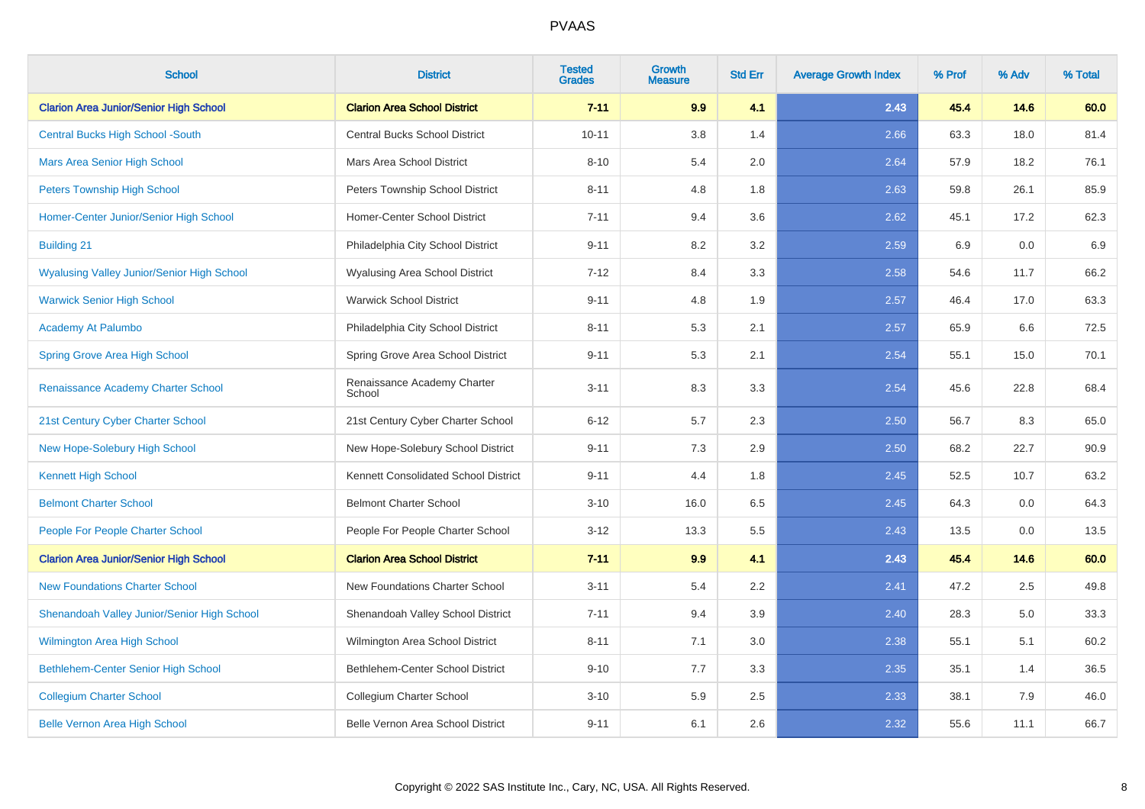| <b>School</b>                                     | <b>District</b>                       | <b>Tested</b><br><b>Grades</b> | <b>Growth</b><br><b>Measure</b> | <b>Std Err</b> | <b>Average Growth Index</b> | % Prof | % Adv | % Total |
|---------------------------------------------------|---------------------------------------|--------------------------------|---------------------------------|----------------|-----------------------------|--------|-------|---------|
| <b>Clarion Area Junior/Senior High School</b>     | <b>Clarion Area School District</b>   | $7 - 11$                       | 9.9                             | 4.1            | 2.43                        | 45.4   | 14.6  | 60.0    |
| <b>Central Bucks High School -South</b>           | <b>Central Bucks School District</b>  | $10 - 11$                      | 3.8                             | 1.4            | 2.66                        | 63.3   | 18.0  | 81.4    |
| <b>Mars Area Senior High School</b>               | Mars Area School District             | $8 - 10$                       | 5.4                             | 2.0            | 2.64                        | 57.9   | 18.2  | 76.1    |
| <b>Peters Township High School</b>                | Peters Township School District       | $8 - 11$                       | 4.8                             | 1.8            | 2.63                        | 59.8   | 26.1  | 85.9    |
| Homer-Center Junior/Senior High School            | Homer-Center School District          | $7 - 11$                       | 9.4                             | 3.6            | 2.62                        | 45.1   | 17.2  | 62.3    |
| <b>Building 21</b>                                | Philadelphia City School District     | $9 - 11$                       | 8.2                             | 3.2            | 2.59                        | 6.9    | 0.0   | 6.9     |
| <b>Wyalusing Valley Junior/Senior High School</b> | Wyalusing Area School District        | $7-12$                         | 8.4                             | 3.3            | 2.58                        | 54.6   | 11.7  | 66.2    |
| <b>Warwick Senior High School</b>                 | <b>Warwick School District</b>        | $9 - 11$                       | 4.8                             | 1.9            | 2.57                        | 46.4   | 17.0  | 63.3    |
| <b>Academy At Palumbo</b>                         | Philadelphia City School District     | $8 - 11$                       | 5.3                             | 2.1            | 2.57                        | 65.9   | 6.6   | 72.5    |
| <b>Spring Grove Area High School</b>              | Spring Grove Area School District     | $9 - 11$                       | 5.3                             | 2.1            | 2.54                        | 55.1   | 15.0  | 70.1    |
| Renaissance Academy Charter School                | Renaissance Academy Charter<br>School | $3 - 11$                       | 8.3                             | 3.3            | 2.54                        | 45.6   | 22.8  | 68.4    |
| 21st Century Cyber Charter School                 | 21st Century Cyber Charter School     | $6 - 12$                       | 5.7                             | 2.3            | 2.50                        | 56.7   | 8.3   | 65.0    |
| New Hope-Solebury High School                     | New Hope-Solebury School District     | $9 - 11$                       | 7.3                             | 2.9            | 2.50                        | 68.2   | 22.7  | 90.9    |
| <b>Kennett High School</b>                        | Kennett Consolidated School District  | $9 - 11$                       | 4.4                             | 1.8            | 2.45                        | 52.5   | 10.7  | 63.2    |
| <b>Belmont Charter School</b>                     | <b>Belmont Charter School</b>         | $3 - 10$                       | 16.0                            | 6.5            | 2.45                        | 64.3   | 0.0   | 64.3    |
| People For People Charter School                  | People For People Charter School      | $3 - 12$                       | 13.3                            | 5.5            | 2.43                        | 13.5   | 0.0   | 13.5    |
| <b>Clarion Area Junior/Senior High School</b>     | <b>Clarion Area School District</b>   | $7 - 11$                       | 9.9                             | 4.1            | 2.43                        | 45.4   | 14.6  | 60.0    |
| <b>New Foundations Charter School</b>             | New Foundations Charter School        | $3 - 11$                       | 5.4                             | 2.2            | 2.41                        | 47.2   | 2.5   | 49.8    |
| Shenandoah Valley Junior/Senior High School       | Shenandoah Valley School District     | $7 - 11$                       | 9.4                             | 3.9            | 2.40                        | 28.3   | 5.0   | 33.3    |
| <b>Wilmington Area High School</b>                | Wilmington Area School District       | $8 - 11$                       | 7.1                             | 3.0            | 2.38                        | 55.1   | 5.1   | 60.2    |
| Bethlehem-Center Senior High School               | Bethlehem-Center School District      | $9 - 10$                       | 7.7                             | 3.3            | 2.35                        | 35.1   | 1.4   | 36.5    |
| <b>Collegium Charter School</b>                   | Collegium Charter School              | $3 - 10$                       | 5.9                             | 2.5            | 2.33                        | 38.1   | 7.9   | 46.0    |
| <b>Belle Vernon Area High School</b>              | Belle Vernon Area School District     | $9 - 11$                       | 6.1                             | 2.6            | 2.32                        | 55.6   | 11.1  | 66.7    |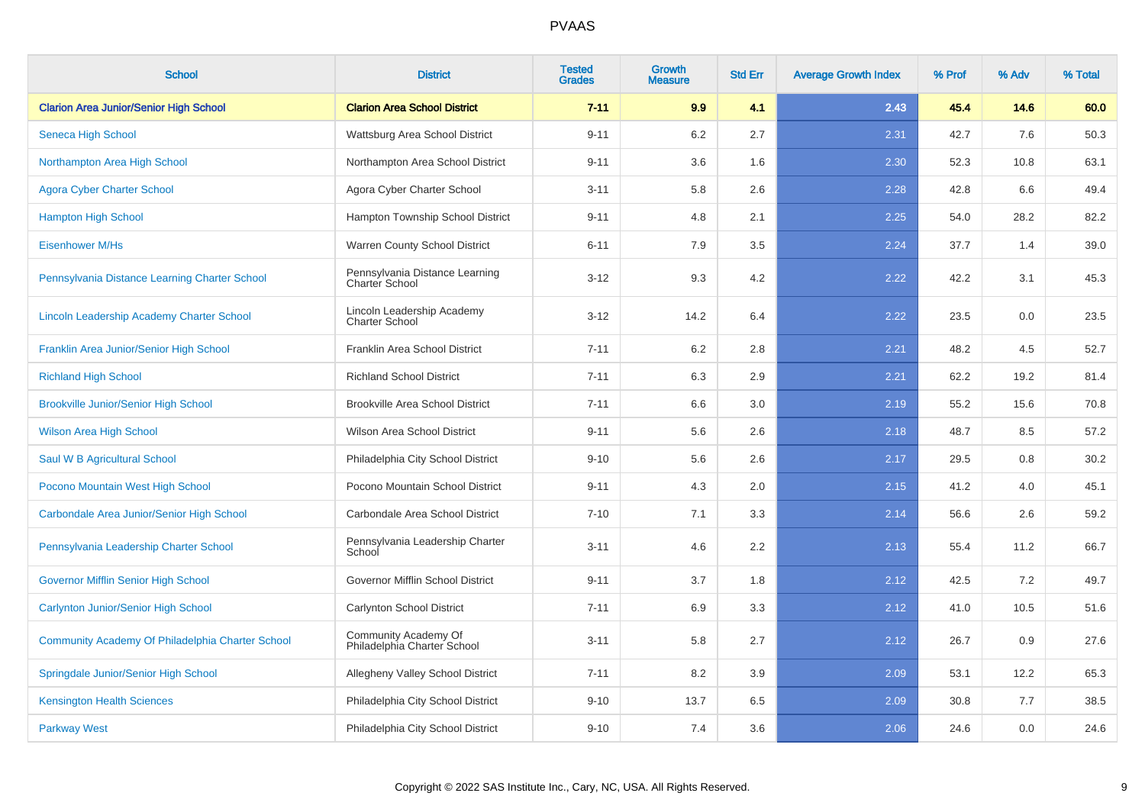| <b>School</b>                                    | <b>District</b>                                         | <b>Tested</b><br><b>Grades</b> | <b>Growth</b><br><b>Measure</b> | <b>Std Err</b> | <b>Average Growth Index</b> | % Prof | % Adv | % Total |
|--------------------------------------------------|---------------------------------------------------------|--------------------------------|---------------------------------|----------------|-----------------------------|--------|-------|---------|
| <b>Clarion Area Junior/Senior High School</b>    | <b>Clarion Area School District</b>                     | $7 - 11$                       | 9.9                             | 4.1            | 2.43                        | 45.4   | 14.6  | 60.0    |
| Seneca High School                               | Wattsburg Area School District                          | $9 - 11$                       | 6.2                             | 2.7            | 2.31                        | 42.7   | 7.6   | 50.3    |
| Northampton Area High School                     | Northampton Area School District                        | $9 - 11$                       | 3.6                             | 1.6            | 2.30                        | 52.3   | 10.8  | 63.1    |
| <b>Agora Cyber Charter School</b>                | Agora Cyber Charter School                              | $3 - 11$                       | 5.8                             | 2.6            | 2.28                        | 42.8   | 6.6   | 49.4    |
| <b>Hampton High School</b>                       | Hampton Township School District                        | $9 - 11$                       | 4.8                             | 2.1            | 2.25                        | 54.0   | 28.2  | 82.2    |
| <b>Eisenhower M/Hs</b>                           | Warren County School District                           | $6 - 11$                       | 7.9                             | 3.5            | 2.24                        | 37.7   | 1.4   | 39.0    |
| Pennsylvania Distance Learning Charter School    | Pennsylvania Distance Learning<br><b>Charter School</b> | $3 - 12$                       | 9.3                             | 4.2            | 2.22                        | 42.2   | 3.1   | 45.3    |
| Lincoln Leadership Academy Charter School        | Lincoln Leadership Academy<br><b>Charter School</b>     | $3 - 12$                       | 14.2                            | 6.4            | 2.22                        | 23.5   | 0.0   | 23.5    |
| Franklin Area Junior/Senior High School          | Franklin Area School District                           | $7 - 11$                       | 6.2                             | 2.8            | 2.21                        | 48.2   | 4.5   | 52.7    |
| <b>Richland High School</b>                      | <b>Richland School District</b>                         | $7 - 11$                       | 6.3                             | 2.9            | 2.21                        | 62.2   | 19.2  | 81.4    |
| <b>Brookville Junior/Senior High School</b>      | <b>Brookville Area School District</b>                  | $7 - 11$                       | 6.6                             | 3.0            | 2.19                        | 55.2   | 15.6  | 70.8    |
| <b>Wilson Area High School</b>                   | Wilson Area School District                             | $9 - 11$                       | 5.6                             | 2.6            | 2.18                        | 48.7   | 8.5   | 57.2    |
| Saul W B Agricultural School                     | Philadelphia City School District                       | $9 - 10$                       | 5.6                             | 2.6            | 2.17                        | 29.5   | 0.8   | 30.2    |
| Pocono Mountain West High School                 | Pocono Mountain School District                         | $9 - 11$                       | 4.3                             | 2.0            | 2.15                        | 41.2   | 4.0   | 45.1    |
| Carbondale Area Junior/Senior High School        | Carbondale Area School District                         | $7 - 10$                       | 7.1                             | 3.3            | 2.14                        | 56.6   | 2.6   | 59.2    |
| Pennsylvania Leadership Charter School           | Pennsylvania Leadership Charter<br>School               | $3 - 11$                       | 4.6                             | 2.2            | 2.13                        | 55.4   | 11.2  | 66.7    |
| <b>Governor Mifflin Senior High School</b>       | Governor Mifflin School District                        | $9 - 11$                       | 3.7                             | 1.8            | 2.12                        | 42.5   | 7.2   | 49.7    |
| <b>Carlynton Junior/Senior High School</b>       | Carlynton School District                               | $7 - 11$                       | 6.9                             | 3.3            | 2.12                        | 41.0   | 10.5  | 51.6    |
| Community Academy Of Philadelphia Charter School | Community Academy Of<br>Philadelphia Charter School     | $3 - 11$                       | 5.8                             | 2.7            | 2.12                        | 26.7   | 0.9   | 27.6    |
| Springdale Junior/Senior High School             | Allegheny Valley School District                        | $7 - 11$                       | 8.2                             | 3.9            | 2.09                        | 53.1   | 12.2  | 65.3    |
| <b>Kensington Health Sciences</b>                | Philadelphia City School District                       | $9 - 10$                       | 13.7                            | 6.5            | 2.09                        | 30.8   | 7.7   | 38.5    |
| <b>Parkway West</b>                              | Philadelphia City School District                       | $9 - 10$                       | 7.4                             | 3.6            | 2.06                        | 24.6   | 0.0   | 24.6    |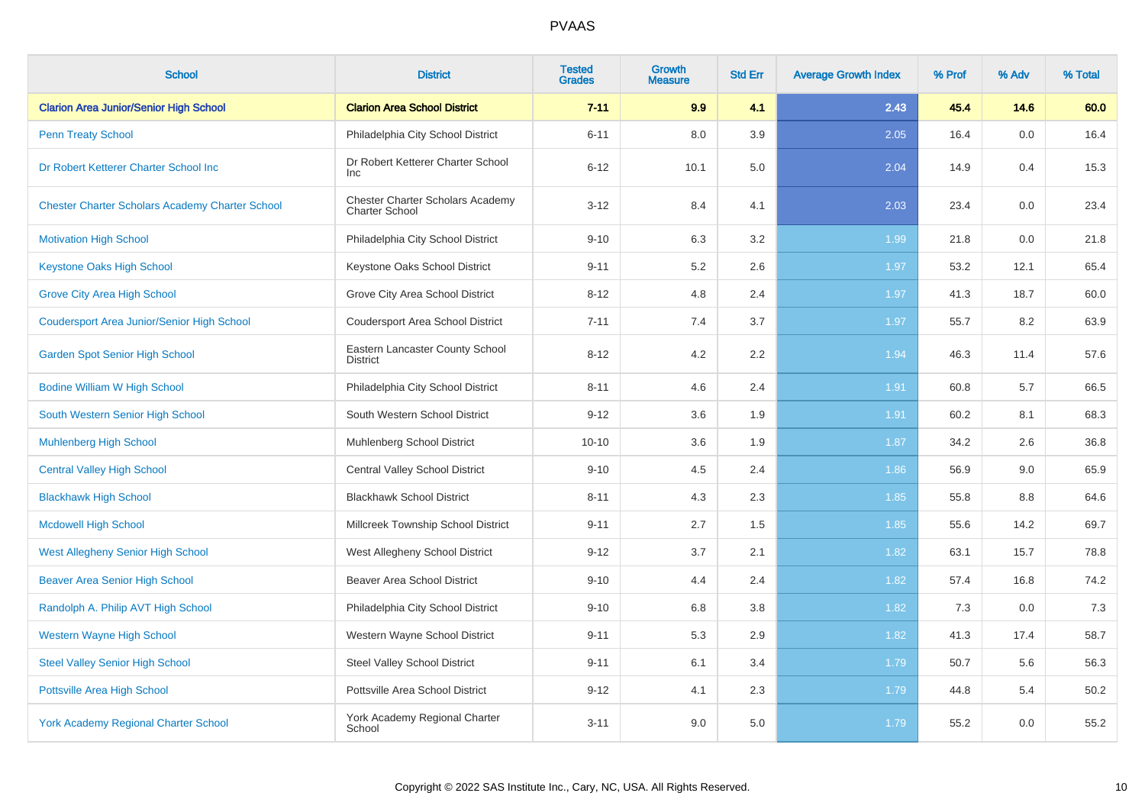| <b>School</b>                                          | <b>District</b>                                    | <b>Tested</b><br><b>Grades</b> | Growth<br><b>Measure</b> | <b>Std Err</b> | <b>Average Growth Index</b> | % Prof | % Adv | % Total |
|--------------------------------------------------------|----------------------------------------------------|--------------------------------|--------------------------|----------------|-----------------------------|--------|-------|---------|
| <b>Clarion Area Junior/Senior High School</b>          | <b>Clarion Area School District</b>                | $7 - 11$                       | 9.9                      | 4.1            | 2.43                        | 45.4   | 14.6  | 60.0    |
| <b>Penn Treaty School</b>                              | Philadelphia City School District                  | $6 - 11$                       | 8.0                      | 3.9            | 2.05                        | 16.4   | 0.0   | 16.4    |
| Dr Robert Ketterer Charter School Inc                  | Dr Robert Ketterer Charter School<br><b>Inc</b>    | $6 - 12$                       | 10.1                     | 5.0            | 2.04                        | 14.9   | 0.4   | 15.3    |
| <b>Chester Charter Scholars Academy Charter School</b> | Chester Charter Scholars Academy<br>Charter School | $3 - 12$                       | 8.4                      | 4.1            | 2.03                        | 23.4   | 0.0   | 23.4    |
| <b>Motivation High School</b>                          | Philadelphia City School District                  | $9 - 10$                       | 6.3                      | 3.2            | 1.99                        | 21.8   | 0.0   | 21.8    |
| <b>Keystone Oaks High School</b>                       | Keystone Oaks School District                      | $9 - 11$                       | 5.2                      | 2.6            | 1.97                        | 53.2   | 12.1  | 65.4    |
| <b>Grove City Area High School</b>                     | Grove City Area School District                    | $8 - 12$                       | 4.8                      | 2.4            | 1.97                        | 41.3   | 18.7  | 60.0    |
| <b>Coudersport Area Junior/Senior High School</b>      | <b>Coudersport Area School District</b>            | $7 - 11$                       | 7.4                      | 3.7            | 1.97                        | 55.7   | 8.2   | 63.9    |
| <b>Garden Spot Senior High School</b>                  | Eastern Lancaster County School<br><b>District</b> | $8 - 12$                       | 4.2                      | 2.2            | 1.94                        | 46.3   | 11.4  | 57.6    |
| <b>Bodine William W High School</b>                    | Philadelphia City School District                  | $8 - 11$                       | 4.6                      | 2.4            | 1.91                        | 60.8   | 5.7   | 66.5    |
| South Western Senior High School                       | South Western School District                      | $9 - 12$                       | 3.6                      | 1.9            | 1.91                        | 60.2   | 8.1   | 68.3    |
| <b>Muhlenberg High School</b>                          | Muhlenberg School District                         | $10 - 10$                      | 3.6                      | 1.9            | 1.87                        | 34.2   | 2.6   | 36.8    |
| <b>Central Valley High School</b>                      | <b>Central Valley School District</b>              | $9 - 10$                       | 4.5                      | 2.4            | 1.86                        | 56.9   | 9.0   | 65.9    |
| <b>Blackhawk High School</b>                           | <b>Blackhawk School District</b>                   | $8 - 11$                       | 4.3                      | 2.3            | 1.85                        | 55.8   | 8.8   | 64.6    |
| <b>Mcdowell High School</b>                            | Millcreek Township School District                 | $9 - 11$                       | 2.7                      | 1.5            | 1.85                        | 55.6   | 14.2  | 69.7    |
| <b>West Allegheny Senior High School</b>               | West Allegheny School District                     | $9 - 12$                       | 3.7                      | 2.1            | 1.82                        | 63.1   | 15.7  | 78.8    |
| <b>Beaver Area Senior High School</b>                  | <b>Beaver Area School District</b>                 | $9 - 10$                       | 4.4                      | 2.4            | 1.82                        | 57.4   | 16.8  | 74.2    |
| Randolph A. Philip AVT High School                     | Philadelphia City School District                  | $9 - 10$                       | 6.8                      | 3.8            | 1.82                        | 7.3    | 0.0   | 7.3     |
| <b>Western Wayne High School</b>                       | Western Wayne School District                      | $9 - 11$                       | 5.3                      | 2.9            | 1.82                        | 41.3   | 17.4  | 58.7    |
| <b>Steel Valley Senior High School</b>                 | <b>Steel Valley School District</b>                | $9 - 11$                       | 6.1                      | 3.4            | 1.79                        | 50.7   | 5.6   | 56.3    |
| Pottsville Area High School                            | Pottsville Area School District                    | $9 - 12$                       | 4.1                      | 2.3            | 1.79                        | 44.8   | 5.4   | 50.2    |
| <b>York Academy Regional Charter School</b>            | York Academy Regional Charter<br>School            | $3 - 11$                       | 9.0                      | 5.0            | 1.79                        | 55.2   | 0.0   | 55.2    |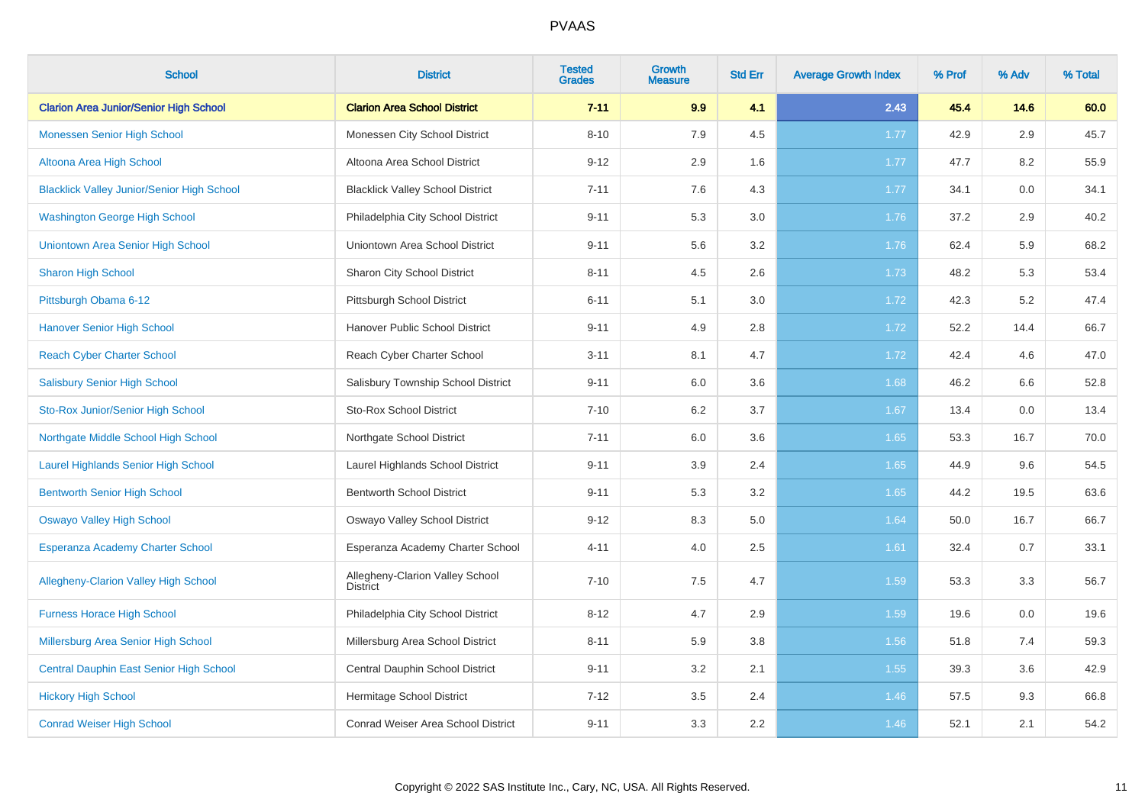| <b>School</b>                                     | <b>District</b>                                    | <b>Tested</b><br><b>Grades</b> | <b>Growth</b><br><b>Measure</b> | <b>Std Err</b> | <b>Average Growth Index</b> | % Prof | % Adv | % Total |
|---------------------------------------------------|----------------------------------------------------|--------------------------------|---------------------------------|----------------|-----------------------------|--------|-------|---------|
| <b>Clarion Area Junior/Senior High School</b>     | <b>Clarion Area School District</b>                | $7 - 11$                       | 9.9                             | 4.1            | 2.43                        | 45.4   | 14.6  | 60.0    |
| <b>Monessen Senior High School</b>                | Monessen City School District                      | $8 - 10$                       | 7.9                             | 4.5            | 1.77                        | 42.9   | 2.9   | 45.7    |
| Altoona Area High School                          | Altoona Area School District                       | $9 - 12$                       | 2.9                             | 1.6            | 1.77                        | 47.7   | 8.2   | 55.9    |
| <b>Blacklick Valley Junior/Senior High School</b> | <b>Blacklick Valley School District</b>            | $7 - 11$                       | 7.6                             | 4.3            | 1.77                        | 34.1   | 0.0   | 34.1    |
| <b>Washington George High School</b>              | Philadelphia City School District                  | $9 - 11$                       | 5.3                             | 3.0            | 1.76                        | 37.2   | 2.9   | 40.2    |
| Uniontown Area Senior High School                 | Uniontown Area School District                     | $9 - 11$                       | 5.6                             | 3.2            | 1.76                        | 62.4   | 5.9   | 68.2    |
| <b>Sharon High School</b>                         | Sharon City School District                        | $8 - 11$                       | 4.5                             | 2.6            | 1.73                        | 48.2   | 5.3   | 53.4    |
| Pittsburgh Obama 6-12                             | Pittsburgh School District                         | $6 - 11$                       | 5.1                             | 3.0            | 1.72                        | 42.3   | 5.2   | 47.4    |
| <b>Hanover Senior High School</b>                 | Hanover Public School District                     | $9 - 11$                       | 4.9                             | 2.8            | 1.72                        | 52.2   | 14.4  | 66.7    |
| <b>Reach Cyber Charter School</b>                 | Reach Cyber Charter School                         | $3 - 11$                       | 8.1                             | 4.7            | 1.72                        | 42.4   | 4.6   | 47.0    |
| <b>Salisbury Senior High School</b>               | Salisbury Township School District                 | $9 - 11$                       | 6.0                             | 3.6            | 1.68                        | 46.2   | 6.6   | 52.8    |
| Sto-Rox Junior/Senior High School                 | <b>Sto-Rox School District</b>                     | $7 - 10$                       | 6.2                             | 3.7            | 1.67                        | 13.4   | 0.0   | 13.4    |
| Northgate Middle School High School               | Northgate School District                          | $7 - 11$                       | 6.0                             | 3.6            | 1.65                        | 53.3   | 16.7  | 70.0    |
| <b>Laurel Highlands Senior High School</b>        | Laurel Highlands School District                   | $9 - 11$                       | 3.9                             | 2.4            | 1.65                        | 44.9   | 9.6   | 54.5    |
| <b>Bentworth Senior High School</b>               | <b>Bentworth School District</b>                   | $9 - 11$                       | 5.3                             | 3.2            | 1.65                        | 44.2   | 19.5  | 63.6    |
| <b>Oswayo Valley High School</b>                  | Oswayo Valley School District                      | $9 - 12$                       | 8.3                             | 5.0            | 1.64                        | 50.0   | 16.7  | 66.7    |
| <b>Esperanza Academy Charter School</b>           | Esperanza Academy Charter School                   | $4 - 11$                       | 4.0                             | 2.5            | 1.61                        | 32.4   | 0.7   | 33.1    |
| <b>Allegheny-Clarion Valley High School</b>       | Allegheny-Clarion Valley School<br><b>District</b> | $7 - 10$                       | 7.5                             | 4.7            | 1.59                        | 53.3   | 3.3   | 56.7    |
| <b>Furness Horace High School</b>                 | Philadelphia City School District                  | $8 - 12$                       | 4.7                             | 2.9            | 1.59                        | 19.6   | 0.0   | 19.6    |
| Millersburg Area Senior High School               | Millersburg Area School District                   | $8 - 11$                       | 5.9                             | 3.8            | 1.56                        | 51.8   | 7.4   | 59.3    |
| Central Dauphin East Senior High School           | Central Dauphin School District                    | $9 - 11$                       | 3.2                             | 2.1            | 1.55                        | 39.3   | 3.6   | 42.9    |
| <b>Hickory High School</b>                        | Hermitage School District                          | $7 - 12$                       | 3.5                             | 2.4            | 1.46                        | 57.5   | 9.3   | 66.8    |
| <b>Conrad Weiser High School</b>                  | Conrad Weiser Area School District                 | $9 - 11$                       | 3.3                             | 2.2            | 1.46                        | 52.1   | 2.1   | 54.2    |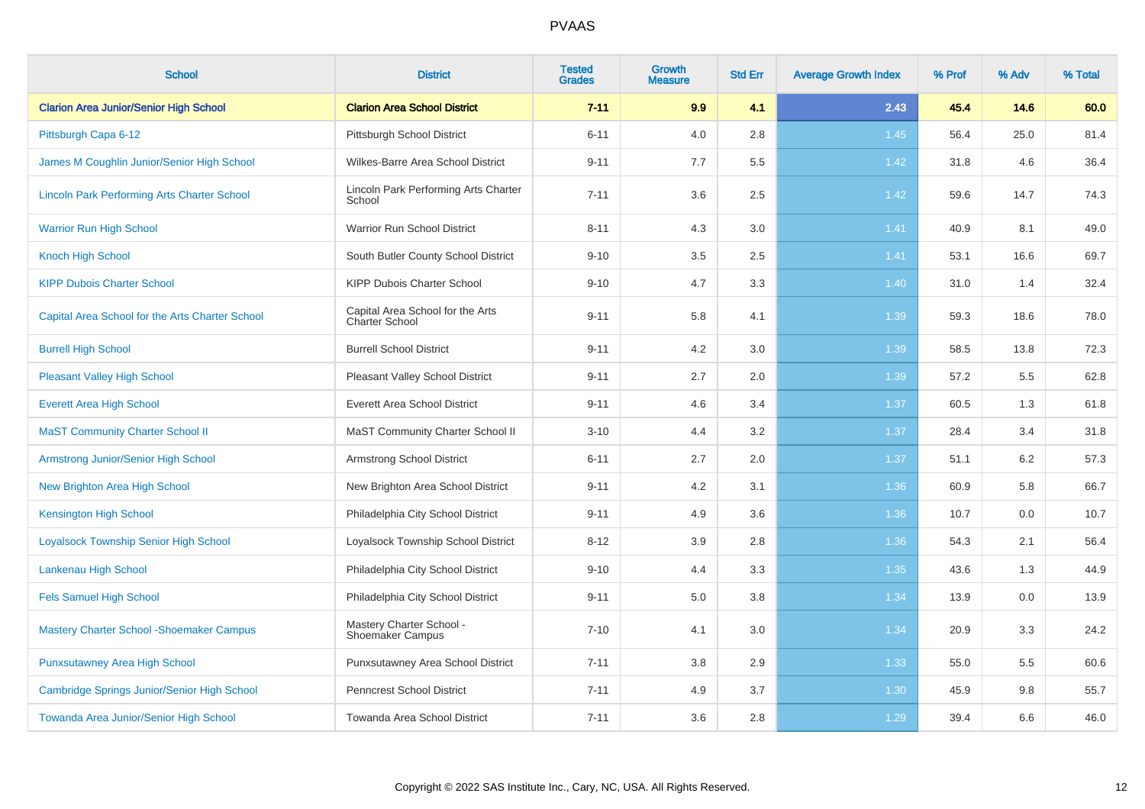| <b>School</b>                                      | <b>District</b>                                     | <b>Tested</b><br><b>Grades</b> | <b>Growth</b><br><b>Measure</b> | <b>Std Err</b> | <b>Average Growth Index</b> | % Prof | % Adv | % Total |
|----------------------------------------------------|-----------------------------------------------------|--------------------------------|---------------------------------|----------------|-----------------------------|--------|-------|---------|
| <b>Clarion Area Junior/Senior High School</b>      | <b>Clarion Area School District</b>                 | $7 - 11$                       | 9.9                             | 4.1            | 2.43                        | 45.4   | 14.6  | 60.0    |
| Pittsburgh Capa 6-12                               | Pittsburgh School District                          | $6 - 11$                       | 4.0                             | 2.8            | 1.45                        | 56.4   | 25.0  | 81.4    |
| James M Coughlin Junior/Senior High School         | Wilkes-Barre Area School District                   | $9 - 11$                       | 7.7                             | 5.5            | 1.42                        | 31.8   | 4.6   | 36.4    |
| <b>Lincoln Park Performing Arts Charter School</b> | Lincoln Park Performing Arts Charter<br>School      | $7 - 11$                       | 3.6                             | 2.5            | 1.42                        | 59.6   | 14.7  | 74.3    |
| <b>Warrior Run High School</b>                     | Warrior Run School District                         | $8 - 11$                       | 4.3                             | 3.0            | 1.41                        | 40.9   | 8.1   | 49.0    |
| <b>Knoch High School</b>                           | South Butler County School District                 | $9 - 10$                       | 3.5                             | 2.5            | 1.41                        | 53.1   | 16.6  | 69.7    |
| <b>KIPP Dubois Charter School</b>                  | KIPP Dubois Charter School                          | $9 - 10$                       | 4.7                             | 3.3            | 1.40                        | 31.0   | 1.4   | 32.4    |
| Capital Area School for the Arts Charter School    | Capital Area School for the Arts<br>Charter School  | $9 - 11$                       | 5.8                             | 4.1            | 1.39                        | 59.3   | 18.6  | 78.0    |
| <b>Burrell High School</b>                         | <b>Burrell School District</b>                      | $9 - 11$                       | 4.2                             | 3.0            | 1.39                        | 58.5   | 13.8  | 72.3    |
| <b>Pleasant Valley High School</b>                 | Pleasant Valley School District                     | $9 - 11$                       | 2.7                             | 2.0            | 1.39                        | 57.2   | 5.5   | 62.8    |
| <b>Everett Area High School</b>                    | <b>Everett Area School District</b>                 | $9 - 11$                       | 4.6                             | 3.4            | 1.37                        | 60.5   | 1.3   | 61.8    |
| <b>MaST Community Charter School II</b>            | MaST Community Charter School II                    | $3 - 10$                       | 4.4                             | 3.2            | 1.37                        | 28.4   | 3.4   | 31.8    |
| Armstrong Junior/Senior High School                | <b>Armstrong School District</b>                    | $6 - 11$                       | 2.7                             | 2.0            | 1.37                        | 51.1   | 6.2   | 57.3    |
| New Brighton Area High School                      | New Brighton Area School District                   | $9 - 11$                       | 4.2                             | 3.1            | 1.36                        | 60.9   | 5.8   | 66.7    |
| <b>Kensington High School</b>                      | Philadelphia City School District                   | $9 - 11$                       | 4.9                             | 3.6            | 1.36                        | 10.7   | 0.0   | 10.7    |
| <b>Loyalsock Township Senior High School</b>       | Loyalsock Township School District                  | $8 - 12$                       | 3.9                             | 2.8            | 1.36                        | 54.3   | 2.1   | 56.4    |
| Lankenau High School                               | Philadelphia City School District                   | $9 - 10$                       | 4.4                             | 3.3            | 1.35                        | 43.6   | 1.3   | 44.9    |
| <b>Fels Samuel High School</b>                     | Philadelphia City School District                   | $9 - 11$                       | 5.0                             | 3.8            | 1.34                        | 13.9   | 0.0   | 13.9    |
| <b>Mastery Charter School - Shoemaker Campus</b>   | Mastery Charter School -<br><b>Shoemaker Campus</b> | $7 - 10$                       | 4.1                             | 3.0            | 1.34                        | 20.9   | 3.3   | 24.2    |
| <b>Punxsutawney Area High School</b>               | Punxsutawney Area School District                   | $7 - 11$                       | 3.8                             | 2.9            | 1.33                        | 55.0   | 5.5   | 60.6    |
| Cambridge Springs Junior/Senior High School        | Penncrest School District                           | $7 - 11$                       | 4.9                             | 3.7            | 1.30                        | 45.9   | 9.8   | 55.7    |
| Towanda Area Junior/Senior High School             | Towanda Area School District                        | $7 - 11$                       | 3.6                             | 2.8            | 1.29                        | 39.4   | 6.6   | 46.0    |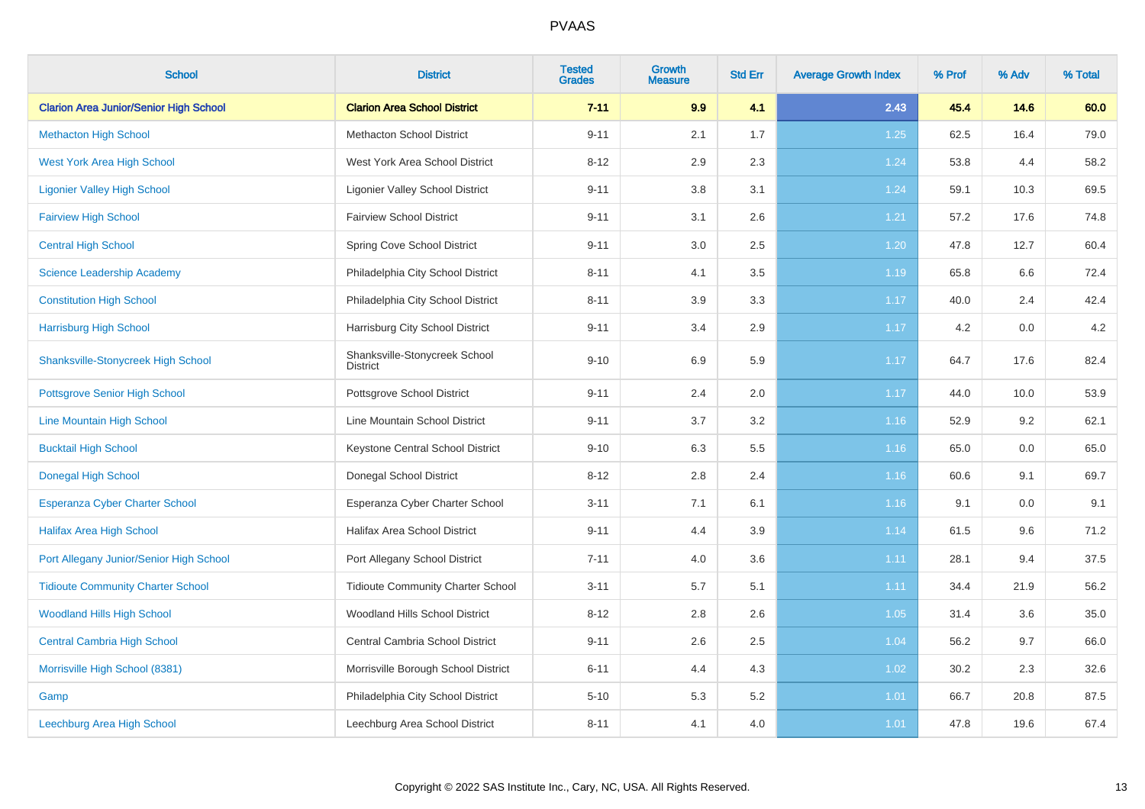| <b>School</b>                                 | <b>District</b>                                  | <b>Tested</b><br><b>Grades</b> | <b>Growth</b><br><b>Measure</b> | <b>Std Err</b> | <b>Average Growth Index</b> | % Prof | % Adv | % Total |
|-----------------------------------------------|--------------------------------------------------|--------------------------------|---------------------------------|----------------|-----------------------------|--------|-------|---------|
| <b>Clarion Area Junior/Senior High School</b> | <b>Clarion Area School District</b>              | $7 - 11$                       | 9.9                             | 4.1            | 2.43                        | 45.4   | 14.6  | 60.0    |
| <b>Methacton High School</b>                  | <b>Methacton School District</b>                 | $9 - 11$                       | 2.1                             | 1.7            | 1.25                        | 62.5   | 16.4  | 79.0    |
| <b>West York Area High School</b>             | West York Area School District                   | $8 - 12$                       | 2.9                             | 2.3            | 1.24                        | 53.8   | 4.4   | 58.2    |
| <b>Ligonier Valley High School</b>            | <b>Ligonier Valley School District</b>           | $9 - 11$                       | 3.8                             | 3.1            | 1.24                        | 59.1   | 10.3  | 69.5    |
| <b>Fairview High School</b>                   | <b>Fairview School District</b>                  | $9 - 11$                       | 3.1                             | 2.6            | 1.21                        | 57.2   | 17.6  | 74.8    |
| <b>Central High School</b>                    | Spring Cove School District                      | $9 - 11$                       | 3.0                             | 2.5            | 1.20                        | 47.8   | 12.7  | 60.4    |
| <b>Science Leadership Academy</b>             | Philadelphia City School District                | $8 - 11$                       | 4.1                             | 3.5            | 1.19                        | 65.8   | 6.6   | 72.4    |
| <b>Constitution High School</b>               | Philadelphia City School District                | $8 - 11$                       | 3.9                             | 3.3            | 1.17                        | 40.0   | 2.4   | 42.4    |
| <b>Harrisburg High School</b>                 | Harrisburg City School District                  | $9 - 11$                       | 3.4                             | 2.9            | 1.17                        | 4.2    | 0.0   | 4.2     |
| <b>Shanksville-Stonycreek High School</b>     | Shanksville-Stonycreek School<br><b>District</b> | $9 - 10$                       | 6.9                             | 5.9            | 1.17                        | 64.7   | 17.6  | 82.4    |
| <b>Pottsgrove Senior High School</b>          | Pottsgrove School District                       | $9 - 11$                       | 2.4                             | $2.0\,$        | 1.17                        | 44.0   | 10.0  | 53.9    |
| Line Mountain High School                     | Line Mountain School District                    | $9 - 11$                       | 3.7                             | $3.2\,$        | 1.16                        | 52.9   | 9.2   | 62.1    |
| <b>Bucktail High School</b>                   | Keystone Central School District                 | $9 - 10$                       | 6.3                             | 5.5            | 1.16                        | 65.0   | 0.0   | 65.0    |
| <b>Donegal High School</b>                    | Donegal School District                          | $8 - 12$                       | 2.8                             | 2.4            | 1.16                        | 60.6   | 9.1   | 69.7    |
| <b>Esperanza Cyber Charter School</b>         | Esperanza Cyber Charter School                   | $3 - 11$                       | 7.1                             | 6.1            | 1.16                        | 9.1    | 0.0   | 9.1     |
| <b>Halifax Area High School</b>               | <b>Halifax Area School District</b>              | $9 - 11$                       | 4.4                             | 3.9            | 1.14                        | 61.5   | 9.6   | 71.2    |
| Port Allegany Junior/Senior High School       | Port Allegany School District                    | $7 - 11$                       | 4.0                             | 3.6            | 1.11                        | 28.1   | 9.4   | 37.5    |
| <b>Tidioute Community Charter School</b>      | <b>Tidioute Community Charter School</b>         | $3 - 11$                       | 5.7                             | 5.1            | 1.11                        | 34.4   | 21.9  | 56.2    |
| <b>Woodland Hills High School</b>             | Woodland Hills School District                   | $8 - 12$                       | 2.8                             | 2.6            | 1.05                        | 31.4   | 3.6   | 35.0    |
| <b>Central Cambria High School</b>            | Central Cambria School District                  | $9 - 11$                       | 2.6                             | 2.5            | 1.04                        | 56.2   | 9.7   | 66.0    |
| Morrisville High School (8381)                | Morrisville Borough School District              | $6 - 11$                       | 4.4                             | 4.3            | 1.02                        | 30.2   | 2.3   | 32.6    |
| Gamp                                          | Philadelphia City School District                | $5 - 10$                       | 5.3                             | 5.2            | 1.01                        | 66.7   | 20.8  | 87.5    |
| Leechburg Area High School                    | Leechburg Area School District                   | $8 - 11$                       | 4.1                             | 4.0            | 1.01                        | 47.8   | 19.6  | 67.4    |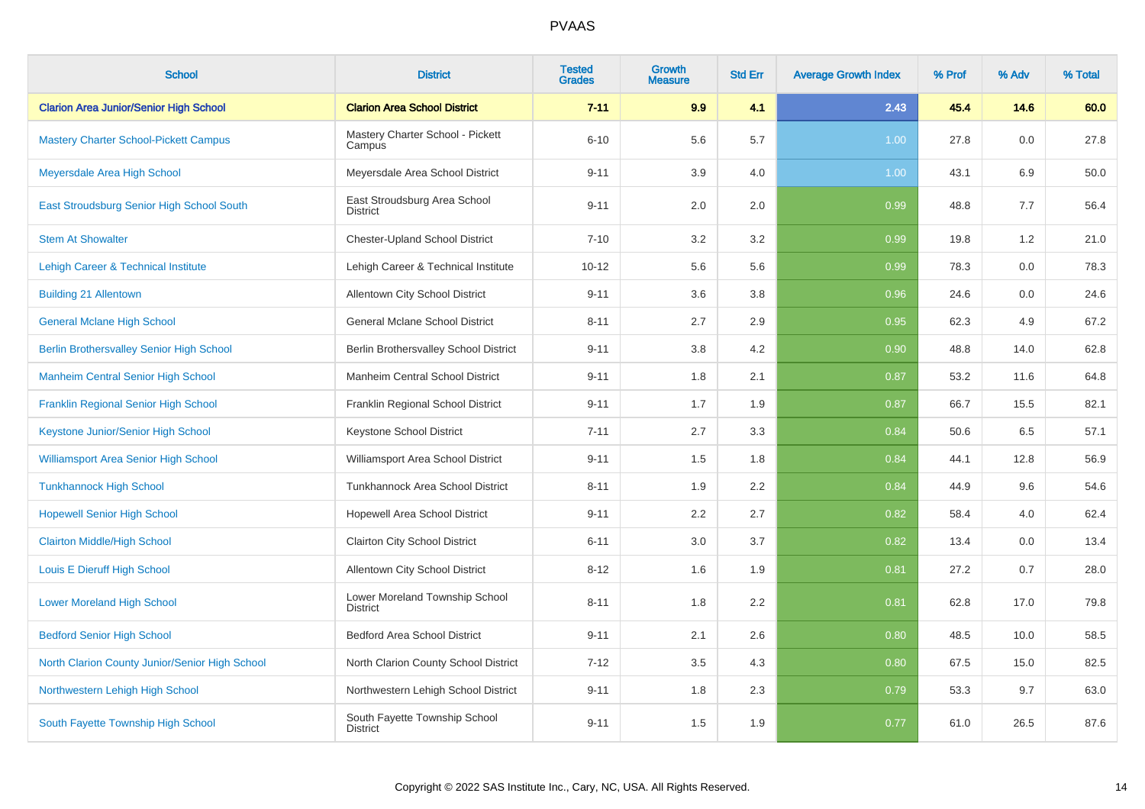| <b>School</b>                                   | <b>District</b>                                   | <b>Tested</b><br><b>Grades</b> | Growth<br><b>Measure</b> | <b>Std Err</b> | <b>Average Growth Index</b> | % Prof | % Adv | % Total |
|-------------------------------------------------|---------------------------------------------------|--------------------------------|--------------------------|----------------|-----------------------------|--------|-------|---------|
| <b>Clarion Area Junior/Senior High School</b>   | <b>Clarion Area School District</b>               | $7 - 11$                       | 9.9                      | 4.1            | 2.43                        | 45.4   | 14.6  | 60.0    |
| <b>Mastery Charter School-Pickett Campus</b>    | Mastery Charter School - Pickett<br>Campus        | $6 - 10$                       | 5.6                      | 5.7            | 1.00                        | 27.8   | 0.0   | 27.8    |
| Meyersdale Area High School                     | Meyersdale Area School District                   | $9 - 11$                       | 3.9                      | 4.0            | 1.00                        | 43.1   | 6.9   | 50.0    |
| East Stroudsburg Senior High School South       | East Stroudsburg Area School<br><b>District</b>   | $9 - 11$                       | 2.0                      | 2.0            | 0.99                        | 48.8   | 7.7   | 56.4    |
| <b>Stem At Showalter</b>                        | <b>Chester-Upland School District</b>             | $7 - 10$                       | 3.2                      | 3.2            | 0.99                        | 19.8   | 1.2   | 21.0    |
| Lehigh Career & Technical Institute             | Lehigh Career & Technical Institute               | $10 - 12$                      | 5.6                      | 5.6            | 0.99                        | 78.3   | 0.0   | 78.3    |
| <b>Building 21 Allentown</b>                    | Allentown City School District                    | $9 - 11$                       | 3.6                      | 3.8            | 0.96                        | 24.6   | 0.0   | 24.6    |
| <b>General Mclane High School</b>               | <b>General Mclane School District</b>             | $8 - 11$                       | 2.7                      | 2.9            | 0.95                        | 62.3   | 4.9   | 67.2    |
| <b>Berlin Brothersvalley Senior High School</b> | Berlin Brothersvalley School District             | $9 - 11$                       | 3.8                      | 4.2            | 0.90                        | 48.8   | 14.0  | 62.8    |
| <b>Manheim Central Senior High School</b>       | Manheim Central School District                   | $9 - 11$                       | 1.8                      | 2.1            | 0.87                        | 53.2   | 11.6  | 64.8    |
| Franklin Regional Senior High School            | Franklin Regional School District                 | $9 - 11$                       | 1.7                      | 1.9            | 0.87                        | 66.7   | 15.5  | 82.1    |
| Keystone Junior/Senior High School              | Keystone School District                          | $7 - 11$                       | 2.7                      | 3.3            | 0.84                        | 50.6   | 6.5   | 57.1    |
| <b>Williamsport Area Senior High School</b>     | Williamsport Area School District                 | $9 - 11$                       | 1.5                      | 1.8            | 0.84                        | 44.1   | 12.8  | 56.9    |
| <b>Tunkhannock High School</b>                  | Tunkhannock Area School District                  | $8 - 11$                       | 1.9                      | 2.2            | 0.84                        | 44.9   | 9.6   | 54.6    |
| <b>Hopewell Senior High School</b>              | Hopewell Area School District                     | $9 - 11$                       | 2.2                      | 2.7            | 0.82                        | 58.4   | 4.0   | 62.4    |
| <b>Clairton Middle/High School</b>              | <b>Clairton City School District</b>              | $6 - 11$                       | 3.0                      | 3.7            | 0.82                        | 13.4   | 0.0   | 13.4    |
| Louis E Dieruff High School                     | Allentown City School District                    | $8 - 12$                       | 1.6                      | 1.9            | 0.81                        | 27.2   | 0.7   | 28.0    |
| <b>Lower Moreland High School</b>               | Lower Moreland Township School<br><b>District</b> | $8 - 11$                       | 1.8                      | 2.2            | 0.81                        | 62.8   | 17.0  | 79.8    |
| <b>Bedford Senior High School</b>               | <b>Bedford Area School District</b>               | $9 - 11$                       | 2.1                      | 2.6            | 0.80                        | 48.5   | 10.0  | 58.5    |
| North Clarion County Junior/Senior High School  | North Clarion County School District              | $7 - 12$                       | 3.5                      | 4.3            | 0.80                        | 67.5   | 15.0  | 82.5    |
| Northwestern Lehigh High School                 | Northwestern Lehigh School District               | $9 - 11$                       | 1.8                      | 2.3            | 0.79                        | 53.3   | 9.7   | 63.0    |
| South Fayette Township High School              | South Fayette Township School<br><b>District</b>  | $9 - 11$                       | 1.5                      | 1.9            | 0.77                        | 61.0   | 26.5  | 87.6    |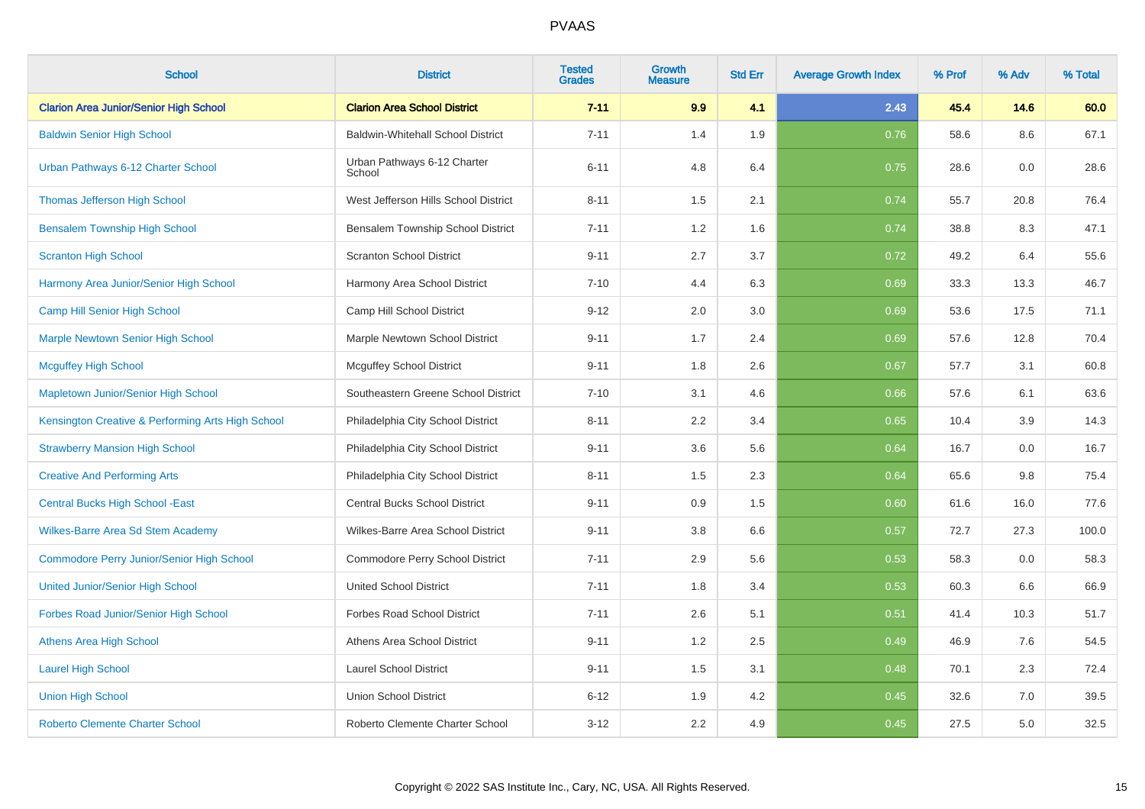| <b>School</b>                                     | <b>District</b>                          | <b>Tested</b><br><b>Grades</b> | <b>Growth</b><br><b>Measure</b> | <b>Std Err</b> | <b>Average Growth Index</b> | % Prof | % Adv | % Total |
|---------------------------------------------------|------------------------------------------|--------------------------------|---------------------------------|----------------|-----------------------------|--------|-------|---------|
| <b>Clarion Area Junior/Senior High School</b>     | <b>Clarion Area School District</b>      | $7 - 11$                       | 9.9                             | 4.1            | 2.43                        | 45.4   | 14.6  | 60.0    |
| <b>Baldwin Senior High School</b>                 | <b>Baldwin-Whitehall School District</b> | $7 - 11$                       | 1.4                             | 1.9            | 0.76                        | 58.6   | 8.6   | 67.1    |
| Urban Pathways 6-12 Charter School                | Urban Pathways 6-12 Charter<br>School    | $6 - 11$                       | 4.8                             | 6.4            | 0.75                        | 28.6   | 0.0   | 28.6    |
| <b>Thomas Jefferson High School</b>               | West Jefferson Hills School District     | $8 - 11$                       | 1.5                             | 2.1            | 0.74                        | 55.7   | 20.8  | 76.4    |
| <b>Bensalem Township High School</b>              | Bensalem Township School District        | $7 - 11$                       | 1.2                             | 1.6            | 0.74                        | 38.8   | 8.3   | 47.1    |
| <b>Scranton High School</b>                       | <b>Scranton School District</b>          | $9 - 11$                       | 2.7                             | 3.7            | 0.72                        | 49.2   | 6.4   | 55.6    |
| Harmony Area Junior/Senior High School            | Harmony Area School District             | $7 - 10$                       | 4.4                             | 6.3            | 0.69                        | 33.3   | 13.3  | 46.7    |
| <b>Camp Hill Senior High School</b>               | Camp Hill School District                | $9 - 12$                       | 2.0                             | 3.0            | 0.69                        | 53.6   | 17.5  | 71.1    |
| <b>Marple Newtown Senior High School</b>          | Marple Newtown School District           | $9 - 11$                       | 1.7                             | 2.4            | 0.69                        | 57.6   | 12.8  | 70.4    |
| <b>Mcguffey High School</b>                       | <b>Mcguffey School District</b>          | $9 - 11$                       | 1.8                             | 2.6            | 0.67                        | 57.7   | 3.1   | 60.8    |
| Mapletown Junior/Senior High School               | Southeastern Greene School District      | $7 - 10$                       | 3.1                             | 4.6            | 0.66                        | 57.6   | 6.1   | 63.6    |
| Kensington Creative & Performing Arts High School | Philadelphia City School District        | $8 - 11$                       | 2.2                             | 3.4            | 0.65                        | 10.4   | 3.9   | 14.3    |
| <b>Strawberry Mansion High School</b>             | Philadelphia City School District        | $9 - 11$                       | 3.6                             | 5.6            | 0.64                        | 16.7   | 0.0   | 16.7    |
| <b>Creative And Performing Arts</b>               | Philadelphia City School District        | $8 - 11$                       | 1.5                             | 2.3            | 0.64                        | 65.6   | 9.8   | 75.4    |
| <b>Central Bucks High School - East</b>           | <b>Central Bucks School District</b>     | $9 - 11$                       | 0.9                             | 1.5            | 0.60                        | 61.6   | 16.0  | 77.6    |
| <b>Wilkes-Barre Area Sd Stem Academy</b>          | Wilkes-Barre Area School District        | $9 - 11$                       | 3.8                             | 6.6            | 0.57                        | 72.7   | 27.3  | 100.0   |
| <b>Commodore Perry Junior/Senior High School</b>  | Commodore Perry School District          | $7 - 11$                       | 2.9                             | 5.6            | 0.53                        | 58.3   | 0.0   | 58.3    |
| <b>United Junior/Senior High School</b>           | <b>United School District</b>            | $7 - 11$                       | 1.8                             | 3.4            | 0.53                        | 60.3   | 6.6   | 66.9    |
| Forbes Road Junior/Senior High School             | <b>Forbes Road School District</b>       | $7 - 11$                       | 2.6                             | 5.1            | 0.51                        | 41.4   | 10.3  | 51.7    |
| <b>Athens Area High School</b>                    | Athens Area School District              | $9 - 11$                       | 1.2                             | 2.5            | 0.49                        | 46.9   | 7.6   | 54.5    |
| <b>Laurel High School</b>                         | <b>Laurel School District</b>            | $9 - 11$                       | 1.5                             | 3.1            | 0.48                        | 70.1   | 2.3   | 72.4    |
| <b>Union High School</b>                          | <b>Union School District</b>             | $6 - 12$                       | 1.9                             | 4.2            | 0.45                        | 32.6   | 7.0   | 39.5    |
| <b>Roberto Clemente Charter School</b>            | Roberto Clemente Charter School          | $3 - 12$                       | 2.2                             | 4.9            | 0.45                        | 27.5   | 5.0   | 32.5    |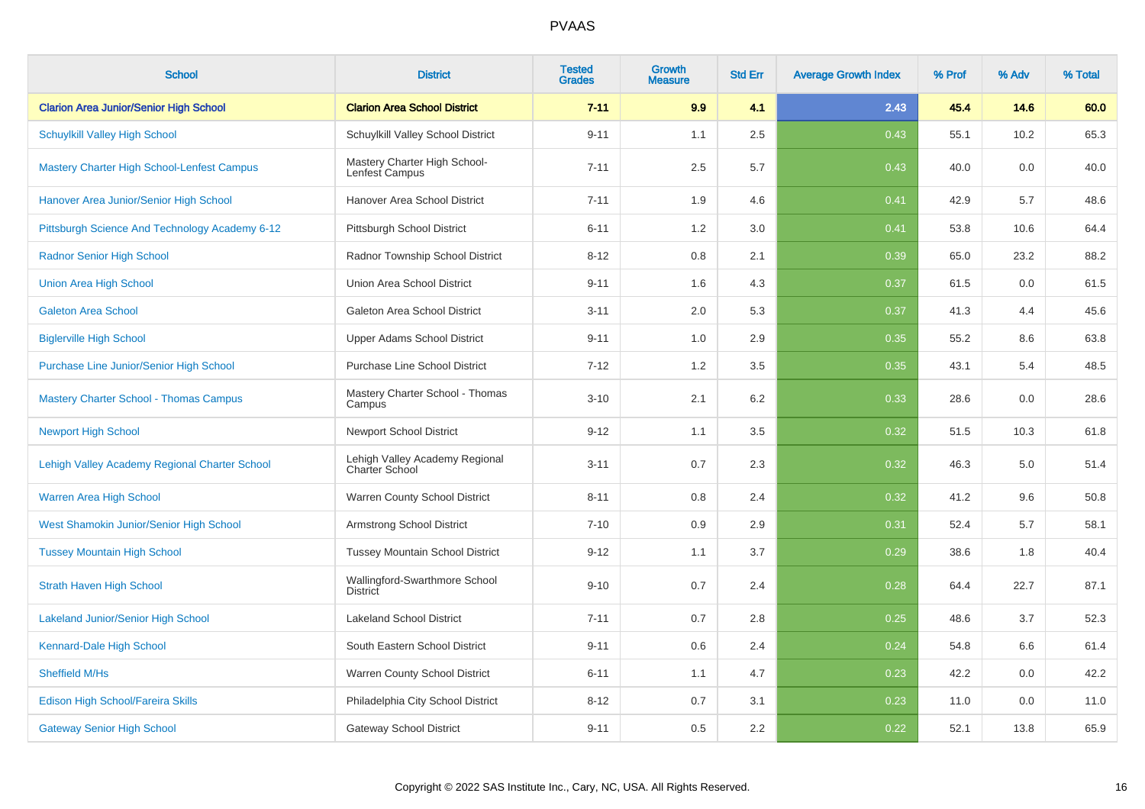| <b>School</b>                                     | <b>District</b>                                         | <b>Tested</b><br><b>Grades</b> | <b>Growth</b><br><b>Measure</b> | <b>Std Err</b> | <b>Average Growth Index</b> | % Prof | % Adv | % Total |
|---------------------------------------------------|---------------------------------------------------------|--------------------------------|---------------------------------|----------------|-----------------------------|--------|-------|---------|
| <b>Clarion Area Junior/Senior High School</b>     | <b>Clarion Area School District</b>                     | $7 - 11$                       | 9.9                             | 4.1            | 2.43                        | 45.4   | 14.6  | 60.0    |
| <b>Schuylkill Valley High School</b>              | Schuylkill Valley School District                       | $9 - 11$                       | 1.1                             | 2.5            | 0.43                        | 55.1   | 10.2  | 65.3    |
| <b>Mastery Charter High School-Lenfest Campus</b> | Mastery Charter High School-<br>Lenfest Campus          | $7 - 11$                       | 2.5                             | 5.7            | 0.43                        | 40.0   | 0.0   | 40.0    |
| Hanover Area Junior/Senior High School            | Hanover Area School District                            | $7 - 11$                       | 1.9                             | 4.6            | 0.41                        | 42.9   | 5.7   | 48.6    |
| Pittsburgh Science And Technology Academy 6-12    | Pittsburgh School District                              | $6 - 11$                       | 1.2                             | 3.0            | 0.41                        | 53.8   | 10.6  | 64.4    |
| <b>Radnor Senior High School</b>                  | Radnor Township School District                         | $8 - 12$                       | 0.8                             | 2.1            | 0.39                        | 65.0   | 23.2  | 88.2    |
| <b>Union Area High School</b>                     | Union Area School District                              | $9 - 11$                       | 1.6                             | 4.3            | 0.37                        | 61.5   | 0.0   | 61.5    |
| <b>Galeton Area School</b>                        | Galeton Area School District                            | $3 - 11$                       | 2.0                             | 5.3            | 0.37                        | 41.3   | 4.4   | 45.6    |
| <b>Biglerville High School</b>                    | <b>Upper Adams School District</b>                      | $9 - 11$                       | 1.0                             | 2.9            | 0.35                        | 55.2   | 8.6   | 63.8    |
| Purchase Line Junior/Senior High School           | <b>Purchase Line School District</b>                    | $7 - 12$                       | 1.2                             | 3.5            | 0.35                        | 43.1   | 5.4   | 48.5    |
| <b>Mastery Charter School - Thomas Campus</b>     | Mastery Charter School - Thomas<br>Campus               | $3 - 10$                       | 2.1                             | 6.2            | 0.33                        | 28.6   | 0.0   | 28.6    |
| <b>Newport High School</b>                        | <b>Newport School District</b>                          | $9 - 12$                       | 1.1                             | 3.5            | 0.32                        | 51.5   | 10.3  | 61.8    |
| Lehigh Valley Academy Regional Charter School     | Lehigh Valley Academy Regional<br><b>Charter School</b> | $3 - 11$                       | 0.7                             | 2.3            | 0.32                        | 46.3   | 5.0   | 51.4    |
| Warren Area High School                           | Warren County School District                           | $8 - 11$                       | 0.8                             | 2.4            | 0.32                        | 41.2   | 9.6   | 50.8    |
| West Shamokin Junior/Senior High School           | <b>Armstrong School District</b>                        | $7 - 10$                       | 0.9                             | 2.9            | 0.31                        | 52.4   | 5.7   | 58.1    |
| <b>Tussey Mountain High School</b>                | <b>Tussey Mountain School District</b>                  | $9 - 12$                       | 1.1                             | 3.7            | 0.29                        | 38.6   | 1.8   | 40.4    |
| <b>Strath Haven High School</b>                   | Wallingford-Swarthmore School<br><b>District</b>        | $9 - 10$                       | 0.7                             | 2.4            | 0.28                        | 64.4   | 22.7  | 87.1    |
| <b>Lakeland Junior/Senior High School</b>         | <b>Lakeland School District</b>                         | $7 - 11$                       | 0.7                             | 2.8            | 0.25                        | 48.6   | 3.7   | 52.3    |
| Kennard-Dale High School                          | South Eastern School District                           | $9 - 11$                       | 0.6                             | 2.4            | 0.24                        | 54.8   | 6.6   | 61.4    |
| Sheffield M/Hs                                    | Warren County School District                           | $6 - 11$                       | 1.1                             | 4.7            | 0.23                        | 42.2   | 0.0   | 42.2    |
| Edison High School/Fareira Skills                 | Philadelphia City School District                       | $8 - 12$                       | 0.7                             | 3.1            | 0.23                        | 11.0   | 0.0   | 11.0    |
| <b>Gateway Senior High School</b>                 | <b>Gateway School District</b>                          | $9 - 11$                       | 0.5                             | 2.2            | 0.22                        | 52.1   | 13.8  | 65.9    |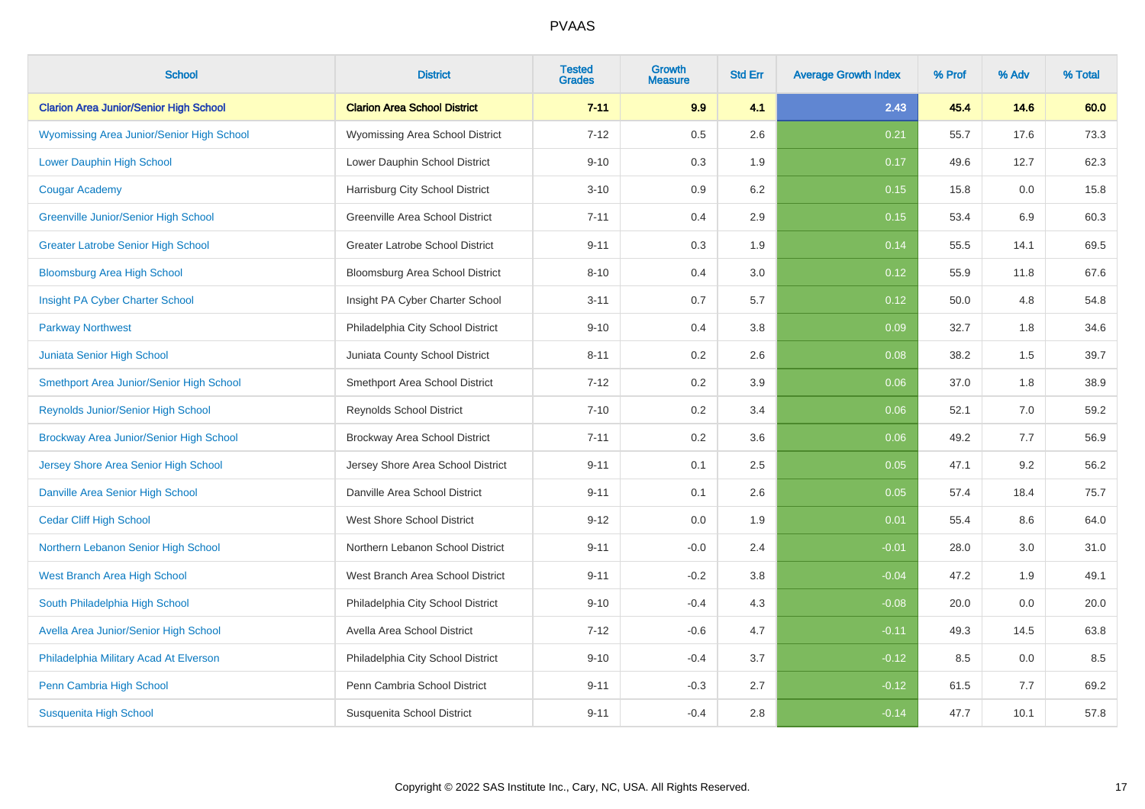| <b>School</b>                                    | <b>District</b>                        | <b>Tested</b><br><b>Grades</b> | <b>Growth</b><br><b>Measure</b> | <b>Std Err</b> | <b>Average Growth Index</b> | % Prof | % Adv | % Total |
|--------------------------------------------------|----------------------------------------|--------------------------------|---------------------------------|----------------|-----------------------------|--------|-------|---------|
| <b>Clarion Area Junior/Senior High School</b>    | <b>Clarion Area School District</b>    | $7 - 11$                       | 9.9                             | 4.1            | 2.43                        | 45.4   | 14.6  | 60.0    |
| <b>Wyomissing Area Junior/Senior High School</b> | Wyomissing Area School District        | $7 - 12$                       | 0.5                             | 2.6            | 0.21                        | 55.7   | 17.6  | 73.3    |
| <b>Lower Dauphin High School</b>                 | Lower Dauphin School District          | $9 - 10$                       | 0.3                             | 1.9            | 0.17                        | 49.6   | 12.7  | 62.3    |
| <b>Cougar Academy</b>                            | Harrisburg City School District        | $3 - 10$                       | 0.9                             | 6.2            | 0.15                        | 15.8   | 0.0   | 15.8    |
| Greenville Junior/Senior High School             | Greenville Area School District        | $7 - 11$                       | 0.4                             | 2.9            | 0.15                        | 53.4   | 6.9   | 60.3    |
| <b>Greater Latrobe Senior High School</b>        | <b>Greater Latrobe School District</b> | $9 - 11$                       | 0.3                             | 1.9            | 0.14                        | 55.5   | 14.1  | 69.5    |
| <b>Bloomsburg Area High School</b>               | Bloomsburg Area School District        | $8 - 10$                       | 0.4                             | 3.0            | 0.12                        | 55.9   | 11.8  | 67.6    |
| Insight PA Cyber Charter School                  | Insight PA Cyber Charter School        | $3 - 11$                       | 0.7                             | 5.7            | 0.12                        | 50.0   | 4.8   | 54.8    |
| <b>Parkway Northwest</b>                         | Philadelphia City School District      | $9 - 10$                       | 0.4                             | 3.8            | 0.09                        | 32.7   | 1.8   | 34.6    |
| Juniata Senior High School                       | Juniata County School District         | $8 - 11$                       | 0.2                             | 2.6            | 0.08                        | 38.2   | 1.5   | 39.7    |
| Smethport Area Junior/Senior High School         | Smethport Area School District         | $7 - 12$                       | 0.2                             | 3.9            | 0.06                        | 37.0   | 1.8   | 38.9    |
| <b>Reynolds Junior/Senior High School</b>        | <b>Reynolds School District</b>        | $7 - 10$                       | 0.2                             | 3.4            | 0.06                        | 52.1   | 7.0   | 59.2    |
| Brockway Area Junior/Senior High School          | Brockway Area School District          | $7 - 11$                       | 0.2                             | 3.6            | 0.06                        | 49.2   | 7.7   | 56.9    |
| Jersey Shore Area Senior High School             | Jersey Shore Area School District      | $9 - 11$                       | 0.1                             | 2.5            | 0.05                        | 47.1   | 9.2   | 56.2    |
| Danville Area Senior High School                 | Danville Area School District          | $9 - 11$                       | 0.1                             | 2.6            | 0.05                        | 57.4   | 18.4  | 75.7    |
| <b>Cedar Cliff High School</b>                   | <b>West Shore School District</b>      | $9 - 12$                       | 0.0                             | 1.9            | 0.01                        | 55.4   | 8.6   | 64.0    |
| Northern Lebanon Senior High School              | Northern Lebanon School District       | $9 - 11$                       | $-0.0$                          | 2.4            | $-0.01$                     | 28.0   | 3.0   | 31.0    |
| West Branch Area High School                     | West Branch Area School District       | $9 - 11$                       | $-0.2$                          | 3.8            | $-0.04$                     | 47.2   | 1.9   | 49.1    |
| South Philadelphia High School                   | Philadelphia City School District      | $9 - 10$                       | $-0.4$                          | 4.3            | $-0.08$                     | 20.0   | 0.0   | 20.0    |
| Avella Area Junior/Senior High School            | Avella Area School District            | $7 - 12$                       | $-0.6$                          | 4.7            | $-0.11$                     | 49.3   | 14.5  | 63.8    |
| Philadelphia Military Acad At Elverson           | Philadelphia City School District      | $9 - 10$                       | $-0.4$                          | 3.7            | $-0.12$                     | 8.5    | 0.0   | 8.5     |
| Penn Cambria High School                         | Penn Cambria School District           | $9 - 11$                       | $-0.3$                          | 2.7            | $-0.12$                     | 61.5   | 7.7   | 69.2    |
| <b>Susquenita High School</b>                    | Susquenita School District             | $9 - 11$                       | $-0.4$                          | 2.8            | $-0.14$                     | 47.7   | 10.1  | 57.8    |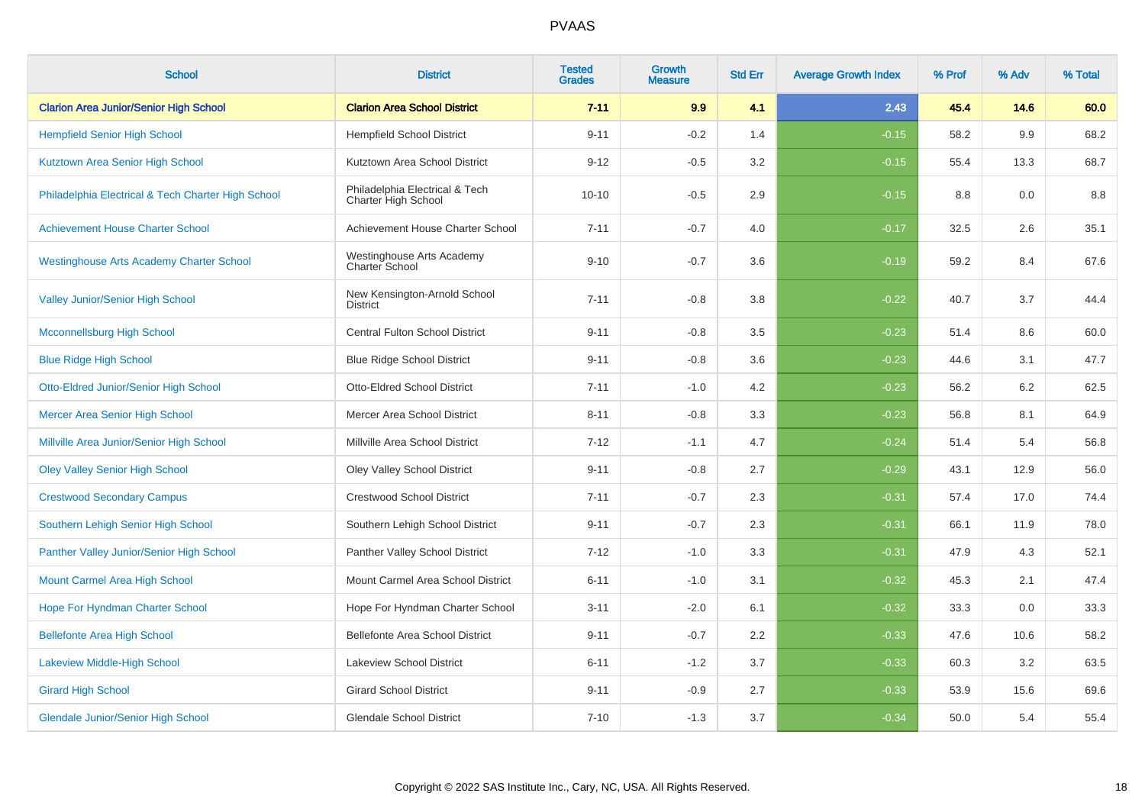| <b>School</b>                                      | <b>District</b>                                       | <b>Tested</b><br><b>Grades</b> | Growth<br><b>Measure</b> | <b>Std Err</b> | <b>Average Growth Index</b> | % Prof | % Adv | % Total |
|----------------------------------------------------|-------------------------------------------------------|--------------------------------|--------------------------|----------------|-----------------------------|--------|-------|---------|
| <b>Clarion Area Junior/Senior High School</b>      | <b>Clarion Area School District</b>                   | $7 - 11$                       | 9.9                      | 4.1            | 2.43                        | 45.4   | 14.6  | 60.0    |
| <b>Hempfield Senior High School</b>                | <b>Hempfield School District</b>                      | $9 - 11$                       | $-0.2$                   | 1.4            | $-0.15$                     | 58.2   | 9.9   | 68.2    |
| Kutztown Area Senior High School                   | Kutztown Area School District                         | $9 - 12$                       | $-0.5$                   | 3.2            | $-0.15$                     | 55.4   | 13.3  | 68.7    |
| Philadelphia Electrical & Tech Charter High School | Philadelphia Electrical & Tech<br>Charter High School | $10 - 10$                      | $-0.5$                   | 2.9            | $-0.15$                     | 8.8    | 0.0   | 8.8     |
| <b>Achievement House Charter School</b>            | Achievement House Charter School                      | $7 - 11$                       | $-0.7$                   | 4.0            | $-0.17$                     | 32.5   | 2.6   | 35.1    |
| <b>Westinghouse Arts Academy Charter School</b>    | Westinghouse Arts Academy<br>Charter School           | $9 - 10$                       | $-0.7$                   | 3.6            | $-0.19$                     | 59.2   | 8.4   | 67.6    |
| Valley Junior/Senior High School                   | New Kensington-Arnold School<br><b>District</b>       | $7 - 11$                       | $-0.8$                   | 3.8            | $-0.22$                     | 40.7   | 3.7   | 44.4    |
| <b>Mcconnellsburg High School</b>                  | Central Fulton School District                        | $9 - 11$                       | $-0.8$                   | 3.5            | $-0.23$                     | 51.4   | 8.6   | 60.0    |
| <b>Blue Ridge High School</b>                      | <b>Blue Ridge School District</b>                     | $9 - 11$                       | $-0.8$                   | 3.6            | $-0.23$                     | 44.6   | 3.1   | 47.7    |
| Otto-Eldred Junior/Senior High School              | <b>Otto-Eldred School District</b>                    | $7 - 11$                       | $-1.0$                   | 4.2            | $-0.23$                     | 56.2   | 6.2   | 62.5    |
| <b>Mercer Area Senior High School</b>              | Mercer Area School District                           | $8 - 11$                       | $-0.8$                   | 3.3            | $-0.23$                     | 56.8   | 8.1   | 64.9    |
| Millville Area Junior/Senior High School           | Millville Area School District                        | $7 - 12$                       | $-1.1$                   | 4.7            | $-0.24$                     | 51.4   | 5.4   | 56.8    |
| <b>Oley Valley Senior High School</b>              | Oley Valley School District                           | $9 - 11$                       | $-0.8$                   | 2.7            | $-0.29$                     | 43.1   | 12.9  | 56.0    |
| <b>Crestwood Secondary Campus</b>                  | <b>Crestwood School District</b>                      | $7 - 11$                       | $-0.7$                   | 2.3            | $-0.31$                     | 57.4   | 17.0  | 74.4    |
| Southern Lehigh Senior High School                 | Southern Lehigh School District                       | $9 - 11$                       | $-0.7$                   | 2.3            | $-0.31$                     | 66.1   | 11.9  | 78.0    |
| Panther Valley Junior/Senior High School           | Panther Valley School District                        | $7 - 12$                       | $-1.0$                   | 3.3            | $-0.31$                     | 47.9   | 4.3   | 52.1    |
| Mount Carmel Area High School                      | Mount Carmel Area School District                     | $6 - 11$                       | $-1.0$                   | 3.1            | $-0.32$                     | 45.3   | 2.1   | 47.4    |
| Hope For Hyndman Charter School                    | Hope For Hyndman Charter School                       | $3 - 11$                       | $-2.0$                   | 6.1            | $-0.32$                     | 33.3   | 0.0   | 33.3    |
| <b>Bellefonte Area High School</b>                 | Bellefonte Area School District                       | $9 - 11$                       | $-0.7$                   | 2.2            | $-0.33$                     | 47.6   | 10.6  | 58.2    |
| Lakeview Middle-High School                        | Lakeview School District                              | $6 - 11$                       | $-1.2$                   | 3.7            | $-0.33$                     | 60.3   | 3.2   | 63.5    |
| <b>Girard High School</b>                          | <b>Girard School District</b>                         | $9 - 11$                       | $-0.9$                   | 2.7            | $-0.33$                     | 53.9   | 15.6  | 69.6    |
| <b>Glendale Junior/Senior High School</b>          | <b>Glendale School District</b>                       | $7 - 10$                       | $-1.3$                   | 3.7            | $-0.34$                     | 50.0   | 5.4   | 55.4    |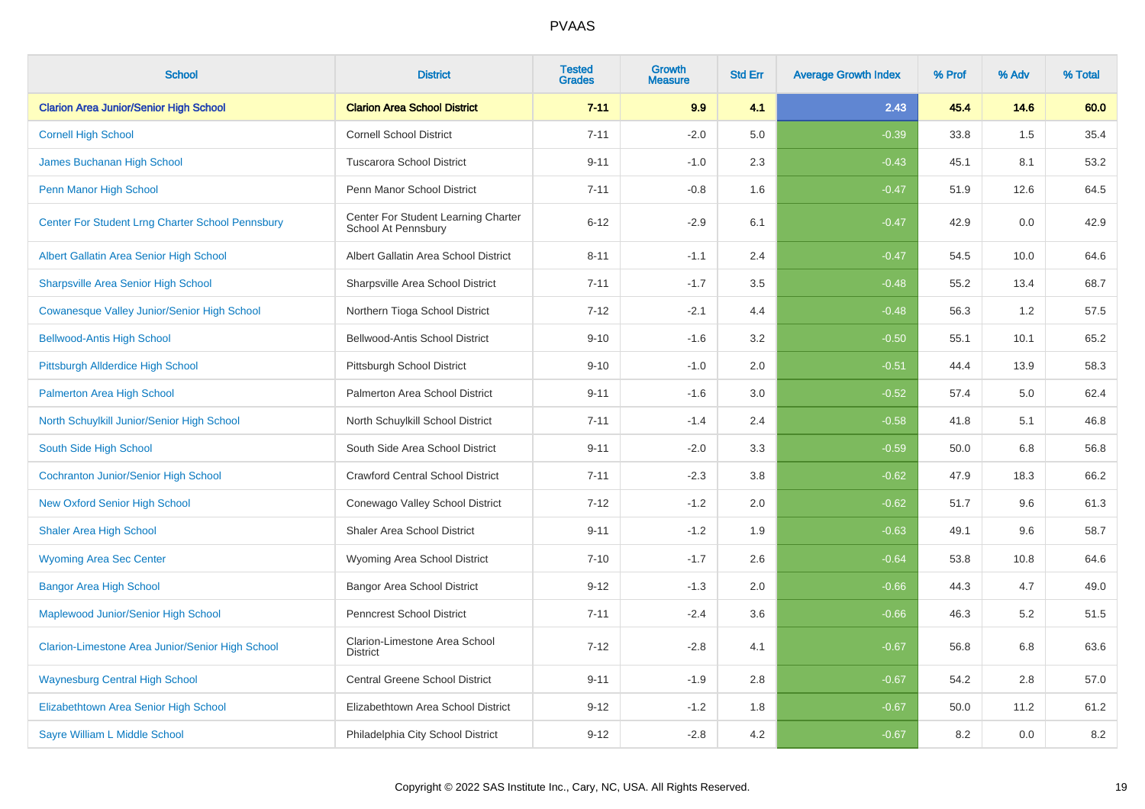| <b>School</b>                                      | <b>District</b>                                            | <b>Tested</b><br><b>Grades</b> | <b>Growth</b><br><b>Measure</b> | <b>Std Err</b> | <b>Average Growth Index</b> | % Prof | % Adv | % Total |
|----------------------------------------------------|------------------------------------------------------------|--------------------------------|---------------------------------|----------------|-----------------------------|--------|-------|---------|
| <b>Clarion Area Junior/Senior High School</b>      | <b>Clarion Area School District</b>                        | $7 - 11$                       | 9.9                             | 4.1            | 2.43                        | 45.4   | 14.6  | 60.0    |
| <b>Cornell High School</b>                         | <b>Cornell School District</b>                             | $7 - 11$                       | $-2.0$                          | 5.0            | $-0.39$                     | 33.8   | 1.5   | 35.4    |
| James Buchanan High School                         | <b>Tuscarora School District</b>                           | $9 - 11$                       | $-1.0$                          | 2.3            | $-0.43$                     | 45.1   | 8.1   | 53.2    |
| Penn Manor High School                             | Penn Manor School District                                 | $7 - 11$                       | $-0.8$                          | 1.6            | $-0.47$                     | 51.9   | 12.6  | 64.5    |
| Center For Student Lrng Charter School Pennsbury   | Center For Student Learning Charter<br>School At Pennsbury | $6 - 12$                       | $-2.9$                          | 6.1            | $-0.47$                     | 42.9   | 0.0   | 42.9    |
| Albert Gallatin Area Senior High School            | Albert Gallatin Area School District                       | $8 - 11$                       | $-1.1$                          | 2.4            | $-0.47$                     | 54.5   | 10.0  | 64.6    |
| <b>Sharpsville Area Senior High School</b>         | Sharpsville Area School District                           | $7 - 11$                       | $-1.7$                          | 3.5            | $-0.48$                     | 55.2   | 13.4  | 68.7    |
| <b>Cowanesque Valley Junior/Senior High School</b> | Northern Tioga School District                             | $7 - 12$                       | $-2.1$                          | 4.4            | $-0.48$                     | 56.3   | 1.2   | 57.5    |
| <b>Bellwood-Antis High School</b>                  | <b>Bellwood-Antis School District</b>                      | $9 - 10$                       | $-1.6$                          | 3.2            | $-0.50$                     | 55.1   | 10.1  | 65.2    |
| Pittsburgh Allderdice High School                  | Pittsburgh School District                                 | $9 - 10$                       | $-1.0$                          | 2.0            | $-0.51$                     | 44.4   | 13.9  | 58.3    |
| <b>Palmerton Area High School</b>                  | Palmerton Area School District                             | $9 - 11$                       | $-1.6$                          | 3.0            | $-0.52$                     | 57.4   | 5.0   | 62.4    |
| North Schuylkill Junior/Senior High School         | North Schuylkill School District                           | $7 - 11$                       | $-1.4$                          | 2.4            | $-0.58$                     | 41.8   | 5.1   | 46.8    |
| South Side High School                             | South Side Area School District                            | $9 - 11$                       | $-2.0$                          | 3.3            | $-0.59$                     | 50.0   | 6.8   | 56.8    |
| <b>Cochranton Junior/Senior High School</b>        | <b>Crawford Central School District</b>                    | $7 - 11$                       | $-2.3$                          | 3.8            | $-0.62$                     | 47.9   | 18.3  | 66.2    |
| <b>New Oxford Senior High School</b>               | Conewago Valley School District                            | $7 - 12$                       | $-1.2$                          | 2.0            | $-0.62$                     | 51.7   | 9.6   | 61.3    |
| <b>Shaler Area High School</b>                     | <b>Shaler Area School District</b>                         | $9 - 11$                       | $-1.2$                          | 1.9            | $-0.63$                     | 49.1   | 9.6   | 58.7    |
| <b>Wyoming Area Sec Center</b>                     | Wyoming Area School District                               | $7 - 10$                       | $-1.7$                          | 2.6            | $-0.64$                     | 53.8   | 10.8  | 64.6    |
| <b>Bangor Area High School</b>                     | Bangor Area School District                                | $9 - 12$                       | $-1.3$                          | 2.0            | $-0.66$                     | 44.3   | 4.7   | 49.0    |
| Maplewood Junior/Senior High School                | <b>Penncrest School District</b>                           | $7 - 11$                       | $-2.4$                          | 3.6            | $-0.66$                     | 46.3   | 5.2   | 51.5    |
| Clarion-Limestone Area Junior/Senior High School   | Clarion-Limestone Area School<br><b>District</b>           | $7 - 12$                       | $-2.8$                          | 4.1            | $-0.67$                     | 56.8   | 6.8   | 63.6    |
| <b>Waynesburg Central High School</b>              | <b>Central Greene School District</b>                      | $9 - 11$                       | $-1.9$                          | 2.8            | $-0.67$                     | 54.2   | 2.8   | 57.0    |
| Elizabethtown Area Senior High School              | Elizabethtown Area School District                         | $9 - 12$                       | $-1.2$                          | 1.8            | $-0.67$                     | 50.0   | 11.2  | 61.2    |
| Sayre William L Middle School                      | Philadelphia City School District                          | $9 - 12$                       | $-2.8$                          | 4.2            | $-0.67$                     | 8.2    | 0.0   | $8.2\,$ |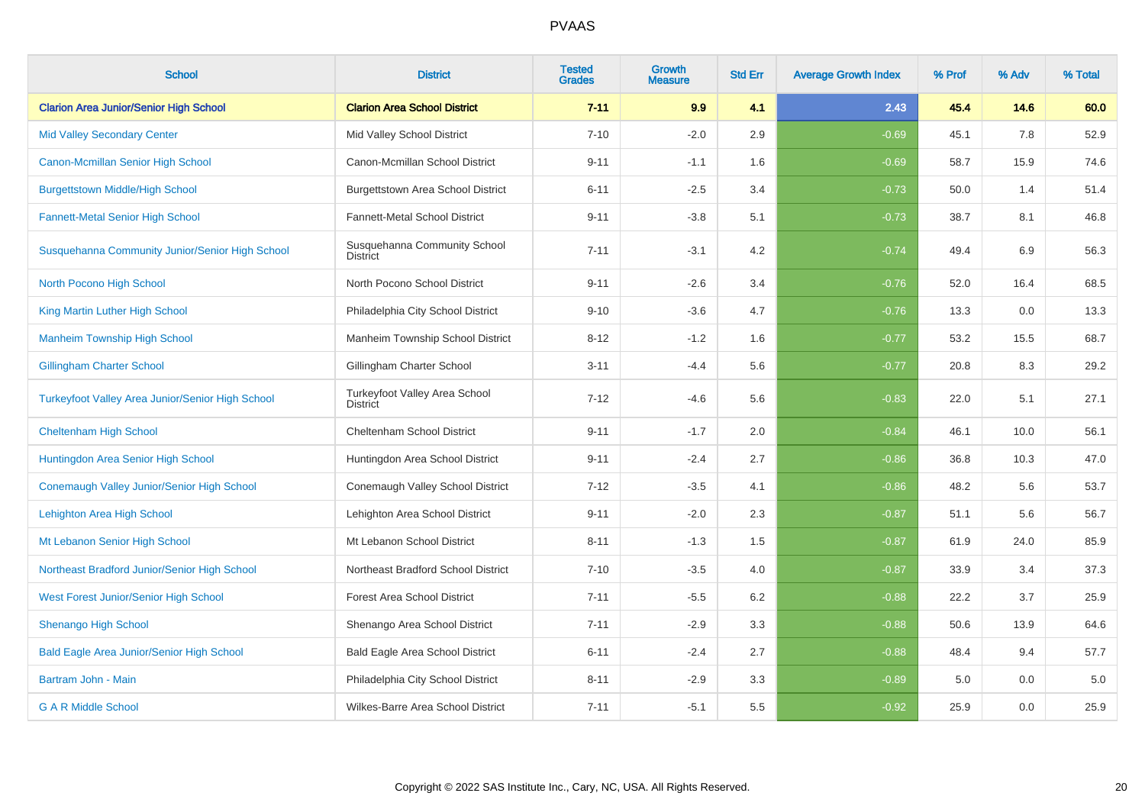| <b>School</b>                                           | <b>District</b>                                  | <b>Tested</b><br><b>Grades</b> | <b>Growth</b><br><b>Measure</b> | <b>Std Err</b> | <b>Average Growth Index</b> | % Prof | % Adv | % Total |
|---------------------------------------------------------|--------------------------------------------------|--------------------------------|---------------------------------|----------------|-----------------------------|--------|-------|---------|
| <b>Clarion Area Junior/Senior High School</b>           | <b>Clarion Area School District</b>              | $7 - 11$                       | 9.9                             | 4.1            | 2.43                        | 45.4   | 14.6  | 60.0    |
| <b>Mid Valley Secondary Center</b>                      | Mid Valley School District                       | $7 - 10$                       | $-2.0$                          | 2.9            | $-0.69$                     | 45.1   | 7.8   | 52.9    |
| Canon-Mcmillan Senior High School                       | Canon-Mcmillan School District                   | $9 - 11$                       | $-1.1$                          | 1.6            | $-0.69$                     | 58.7   | 15.9  | 74.6    |
| <b>Burgettstown Middle/High School</b>                  | Burgettstown Area School District                | $6 - 11$                       | $-2.5$                          | 3.4            | $-0.73$                     | 50.0   | 1.4   | 51.4    |
| <b>Fannett-Metal Senior High School</b>                 | Fannett-Metal School District                    | $9 - 11$                       | $-3.8$                          | 5.1            | $-0.73$                     | 38.7   | 8.1   | 46.8    |
| Susquehanna Community Junior/Senior High School         | Susquehanna Community School<br><b>District</b>  | $7 - 11$                       | $-3.1$                          | 4.2            | $-0.74$                     | 49.4   | 6.9   | 56.3    |
| North Pocono High School                                | North Pocono School District                     | $9 - 11$                       | $-2.6$                          | 3.4            | $-0.76$                     | 52.0   | 16.4  | 68.5    |
| King Martin Luther High School                          | Philadelphia City School District                | $9 - 10$                       | $-3.6$                          | 4.7            | $-0.76$                     | 13.3   | 0.0   | 13.3    |
| <b>Manheim Township High School</b>                     | Manheim Township School District                 | $8 - 12$                       | $-1.2$                          | 1.6            | $-0.77$                     | 53.2   | 15.5  | 68.7    |
| <b>Gillingham Charter School</b>                        | Gillingham Charter School                        | $3 - 11$                       | $-4.4$                          | 5.6            | $-0.77$                     | 20.8   | 8.3   | 29.2    |
| <b>Turkeyfoot Valley Area Junior/Senior High School</b> | Turkeyfoot Valley Area School<br><b>District</b> | $7 - 12$                       | $-4.6$                          | 5.6            | $-0.83$                     | 22.0   | 5.1   | 27.1    |
| <b>Cheltenham High School</b>                           | Cheltenham School District                       | $9 - 11$                       | $-1.7$                          | 2.0            | $-0.84$                     | 46.1   | 10.0  | 56.1    |
| Huntingdon Area Senior High School                      | Huntingdon Area School District                  | $9 - 11$                       | $-2.4$                          | 2.7            | $-0.86$                     | 36.8   | 10.3  | 47.0    |
| Conemaugh Valley Junior/Senior High School              | Conemaugh Valley School District                 | $7 - 12$                       | $-3.5$                          | 4.1            | $-0.86$                     | 48.2   | 5.6   | 53.7    |
| Lehighton Area High School                              | Lehighton Area School District                   | $9 - 11$                       | $-2.0$                          | 2.3            | $-0.87$                     | 51.1   | 5.6   | 56.7    |
| Mt Lebanon Senior High School                           | Mt Lebanon School District                       | $8 - 11$                       | $-1.3$                          | 1.5            | $-0.87$                     | 61.9   | 24.0  | 85.9    |
| Northeast Bradford Junior/Senior High School            | Northeast Bradford School District               | $7 - 10$                       | $-3.5$                          | 4.0            | $-0.87$                     | 33.9   | 3.4   | 37.3    |
| West Forest Junior/Senior High School                   | <b>Forest Area School District</b>               | $7 - 11$                       | $-5.5$                          | 6.2            | $-0.88$                     | 22.2   | 3.7   | 25.9    |
| <b>Shenango High School</b>                             | Shenango Area School District                    | $7 - 11$                       | $-2.9$                          | 3.3            | $-0.88$                     | 50.6   | 13.9  | 64.6    |
| <b>Bald Eagle Area Junior/Senior High School</b>        | Bald Eagle Area School District                  | $6 - 11$                       | $-2.4$                          | 2.7            | $-0.88$                     | 48.4   | 9.4   | 57.7    |
| Bartram John - Main                                     | Philadelphia City School District                | $8 - 11$                       | $-2.9$                          | 3.3            | $-0.89$                     | 5.0    | 0.0   | 5.0     |
| <b>G A R Middle School</b>                              | Wilkes-Barre Area School District                | $7 - 11$                       | $-5.1$                          | 5.5            | $-0.92$                     | 25.9   | 0.0   | 25.9    |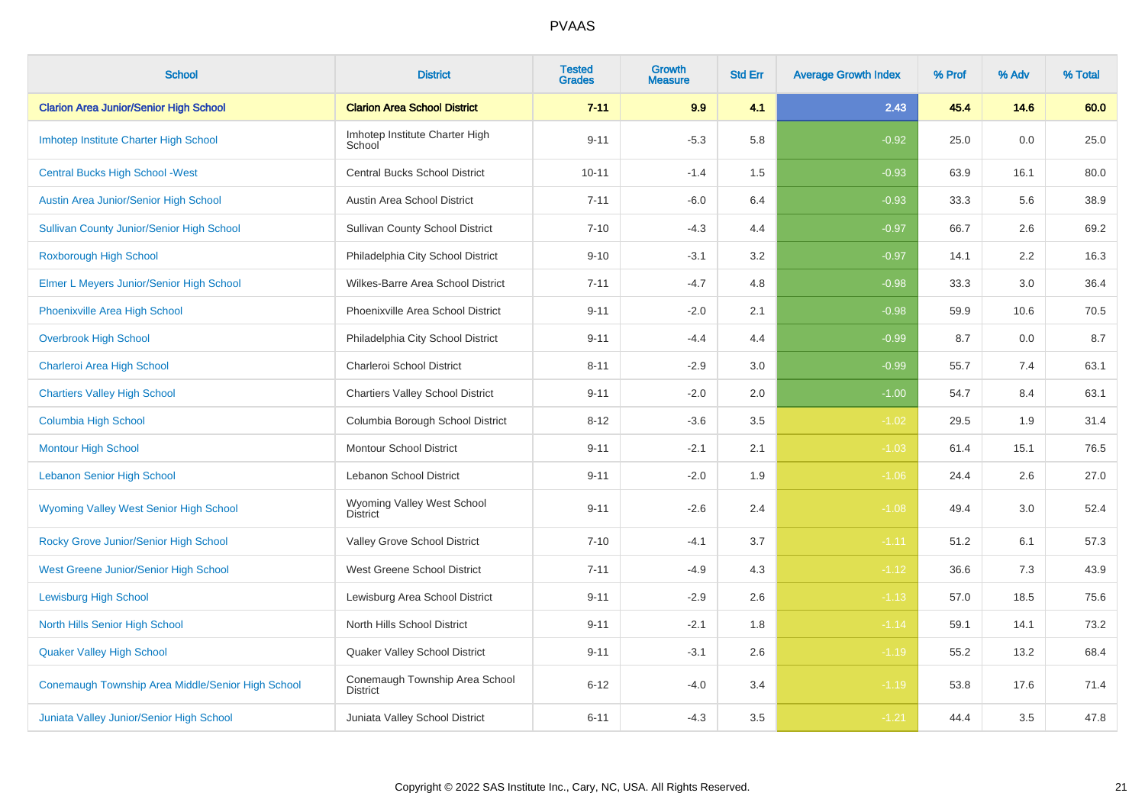| <b>School</b>                                     | <b>District</b>                                   | <b>Tested</b><br><b>Grades</b> | Growth<br><b>Measure</b> | <b>Std Err</b> | <b>Average Growth Index</b> | % Prof | % Adv | % Total |
|---------------------------------------------------|---------------------------------------------------|--------------------------------|--------------------------|----------------|-----------------------------|--------|-------|---------|
| <b>Clarion Area Junior/Senior High School</b>     | <b>Clarion Area School District</b>               | $7 - 11$                       | 9.9                      | 4.1            | 2.43                        | 45.4   | 14.6  | 60.0    |
| Imhotep Institute Charter High School             | Imhotep Institute Charter High<br>School          | $9 - 11$                       | $-5.3$                   | 5.8            | $-0.92$                     | 25.0   | 0.0   | 25.0    |
| <b>Central Bucks High School - West</b>           | <b>Central Bucks School District</b>              | $10 - 11$                      | $-1.4$                   | 1.5            | $-0.93$                     | 63.9   | 16.1  | 80.0    |
| Austin Area Junior/Senior High School             | Austin Area School District                       | $7 - 11$                       | $-6.0$                   | 6.4            | $-0.93$                     | 33.3   | 5.6   | 38.9    |
| <b>Sullivan County Junior/Senior High School</b>  | <b>Sullivan County School District</b>            | $7 - 10$                       | $-4.3$                   | 4.4            | $-0.97$                     | 66.7   | 2.6   | 69.2    |
| Roxborough High School                            | Philadelphia City School District                 | $9 - 10$                       | $-3.1$                   | $3.2\,$        | $-0.97$                     | 14.1   | 2.2   | 16.3    |
| Elmer L Meyers Junior/Senior High School          | Wilkes-Barre Area School District                 | $7 - 11$                       | $-4.7$                   | 4.8            | $-0.98$                     | 33.3   | 3.0   | 36.4    |
| Phoenixville Area High School                     | Phoenixville Area School District                 | $9 - 11$                       | $-2.0$                   | 2.1            | $-0.98$                     | 59.9   | 10.6  | 70.5    |
| <b>Overbrook High School</b>                      | Philadelphia City School District                 | $9 - 11$                       | $-4.4$                   | 4.4            | $-0.99$                     | 8.7    | 0.0   | 8.7     |
| Charleroi Area High School                        | Charleroi School District                         | $8 - 11$                       | $-2.9$                   | 3.0            | $-0.99$                     | 55.7   | 7.4   | 63.1    |
| <b>Chartiers Valley High School</b>               | <b>Chartiers Valley School District</b>           | $9 - 11$                       | $-2.0$                   | 2.0            | $-1.00$                     | 54.7   | 8.4   | 63.1    |
| <b>Columbia High School</b>                       | Columbia Borough School District                  | $8 - 12$                       | $-3.6$                   | 3.5            | $-1.02$                     | 29.5   | 1.9   | 31.4    |
| <b>Montour High School</b>                        | <b>Montour School District</b>                    | $9 - 11$                       | $-2.1$                   | 2.1            | $-1.03$                     | 61.4   | 15.1  | 76.5    |
| <b>Lebanon Senior High School</b>                 | Lebanon School District                           | $9 - 11$                       | $-2.0$                   | 1.9            | $-1.06$                     | 24.4   | 2.6   | 27.0    |
| <b>Wyoming Valley West Senior High School</b>     | Wyoming Valley West School<br><b>District</b>     | $9 - 11$                       | $-2.6$                   | 2.4            | $-1.08$                     | 49.4   | 3.0   | 52.4    |
| Rocky Grove Junior/Senior High School             | Valley Grove School District                      | $7 - 10$                       | $-4.1$                   | 3.7            | $-1.11$                     | 51.2   | 6.1   | 57.3    |
| West Greene Junior/Senior High School             | West Greene School District                       | $7 - 11$                       | $-4.9$                   | 4.3            | $-1.12$                     | 36.6   | 7.3   | 43.9    |
| <b>Lewisburg High School</b>                      | Lewisburg Area School District                    | $9 - 11$                       | $-2.9$                   | 2.6            | $-1.13$                     | 57.0   | 18.5  | 75.6    |
| North Hills Senior High School                    | North Hills School District                       | $9 - 11$                       | $-2.1$                   | 1.8            | $-1.14$                     | 59.1   | 14.1  | 73.2    |
| <b>Quaker Valley High School</b>                  | Quaker Valley School District                     | $9 - 11$                       | $-3.1$                   | 2.6            | $-1.19$                     | 55.2   | 13.2  | 68.4    |
| Conemaugh Township Area Middle/Senior High School | Conemaugh Township Area School<br><b>District</b> | $6 - 12$                       | $-4.0$                   | 3.4            | $-1.19$                     | 53.8   | 17.6  | 71.4    |
| Juniata Valley Junior/Senior High School          | Juniata Valley School District                    | $6 - 11$                       | $-4.3$                   | 3.5            | $-1.21$                     | 44.4   | 3.5   | 47.8    |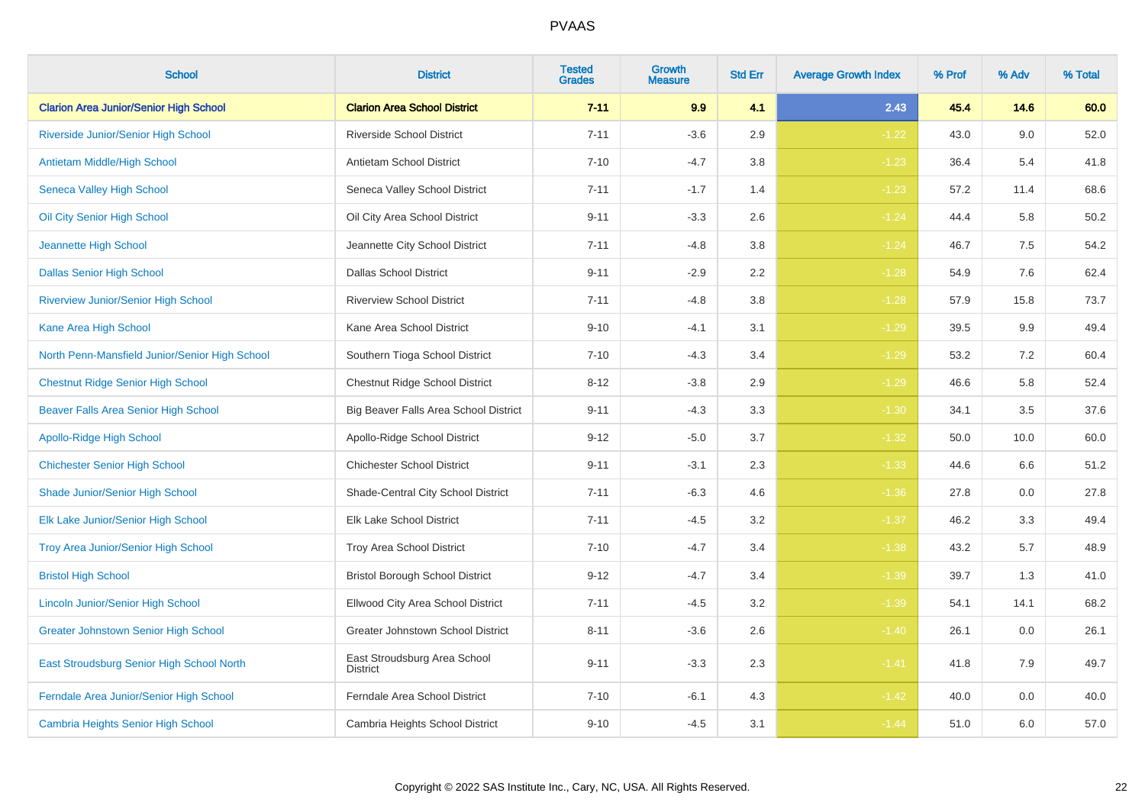| <b>School</b>                                  | <b>District</b>                                 | <b>Tested</b><br><b>Grades</b> | <b>Growth</b><br><b>Measure</b> | <b>Std Err</b> | <b>Average Growth Index</b> | % Prof | % Adv | % Total |
|------------------------------------------------|-------------------------------------------------|--------------------------------|---------------------------------|----------------|-----------------------------|--------|-------|---------|
| <b>Clarion Area Junior/Senior High School</b>  | <b>Clarion Area School District</b>             | $7 - 11$                       | 9.9                             | 4.1            | 2.43                        | 45.4   | 14.6  | 60.0    |
| Riverside Junior/Senior High School            | <b>Riverside School District</b>                | $7 - 11$                       | $-3.6$                          | 2.9            | $-1.22$                     | 43.0   | 9.0   | 52.0    |
| <b>Antietam Middle/High School</b>             | Antietam School District                        | $7 - 10$                       | $-4.7$                          | 3.8            | $-1.23$                     | 36.4   | 5.4   | 41.8    |
| <b>Seneca Valley High School</b>               | Seneca Valley School District                   | $7 - 11$                       | $-1.7$                          | 1.4            | $-1.23$                     | 57.2   | 11.4  | 68.6    |
| Oil City Senior High School                    | Oil City Area School District                   | $9 - 11$                       | $-3.3$                          | 2.6            | $-1.24$                     | 44.4   | 5.8   | 50.2    |
| Jeannette High School                          | Jeannette City School District                  | $7 - 11$                       | $-4.8$                          | 3.8            | $-1.24$                     | 46.7   | 7.5   | 54.2    |
| <b>Dallas Senior High School</b>               | <b>Dallas School District</b>                   | $9 - 11$                       | $-2.9$                          | 2.2            | $-1.28$                     | 54.9   | 7.6   | 62.4    |
| <b>Riverview Junior/Senior High School</b>     | <b>Riverview School District</b>                | $7 - 11$                       | $-4.8$                          | 3.8            | $-1.28$                     | 57.9   | 15.8  | 73.7    |
| Kane Area High School                          | Kane Area School District                       | $9 - 10$                       | $-4.1$                          | 3.1            | $-1.29$                     | 39.5   | 9.9   | 49.4    |
| North Penn-Mansfield Junior/Senior High School | Southern Tioga School District                  | $7 - 10$                       | $-4.3$                          | 3.4            | $-1.29$                     | 53.2   | 7.2   | 60.4    |
| <b>Chestnut Ridge Senior High School</b>       | <b>Chestnut Ridge School District</b>           | $8 - 12$                       | $-3.8$                          | 2.9            | $-1.29$                     | 46.6   | 5.8   | 52.4    |
| <b>Beaver Falls Area Senior High School</b>    | Big Beaver Falls Area School District           | $9 - 11$                       | $-4.3$                          | 3.3            | $-1.30$                     | 34.1   | 3.5   | 37.6    |
| <b>Apollo-Ridge High School</b>                | Apollo-Ridge School District                    | $9 - 12$                       | $-5.0$                          | 3.7            | $-1.32$                     | 50.0   | 10.0  | 60.0    |
| <b>Chichester Senior High School</b>           | <b>Chichester School District</b>               | $9 - 11$                       | $-3.1$                          | 2.3            | $-1.33$                     | 44.6   | 6.6   | 51.2    |
| Shade Junior/Senior High School                | Shade-Central City School District              | $7 - 11$                       | $-6.3$                          | 4.6            | $-1.36$                     | 27.8   | 0.0   | 27.8    |
| Elk Lake Junior/Senior High School             | Elk Lake School District                        | $7 - 11$                       | $-4.5$                          | 3.2            | $-1.37$                     | 46.2   | 3.3   | 49.4    |
| <b>Troy Area Junior/Senior High School</b>     | Troy Area School District                       | $7 - 10$                       | $-4.7$                          | 3.4            | $-1.38$                     | 43.2   | 5.7   | 48.9    |
| <b>Bristol High School</b>                     | <b>Bristol Borough School District</b>          | $9 - 12$                       | $-4.7$                          | 3.4            | $-1.39$                     | 39.7   | 1.3   | 41.0    |
| Lincoln Junior/Senior High School              | Ellwood City Area School District               | $7 - 11$                       | $-4.5$                          | 3.2            | $-1.39$                     | 54.1   | 14.1  | 68.2    |
| <b>Greater Johnstown Senior High School</b>    | Greater Johnstown School District               | $8 - 11$                       | $-3.6$                          | 2.6            | $-1.40$                     | 26.1   | 0.0   | 26.1    |
| East Stroudsburg Senior High School North      | East Stroudsburg Area School<br><b>District</b> | $9 - 11$                       | $-3.3$                          | 2.3            | $-1.41$                     | 41.8   | 7.9   | 49.7    |
| Ferndale Area Junior/Senior High School        | Ferndale Area School District                   | $7 - 10$                       | $-6.1$                          | 4.3            | $-1.42$                     | 40.0   | 0.0   | 40.0    |
| <b>Cambria Heights Senior High School</b>      | Cambria Heights School District                 | $9 - 10$                       | $-4.5$                          | 3.1            | $-1.44$                     | 51.0   | 6.0   | 57.0    |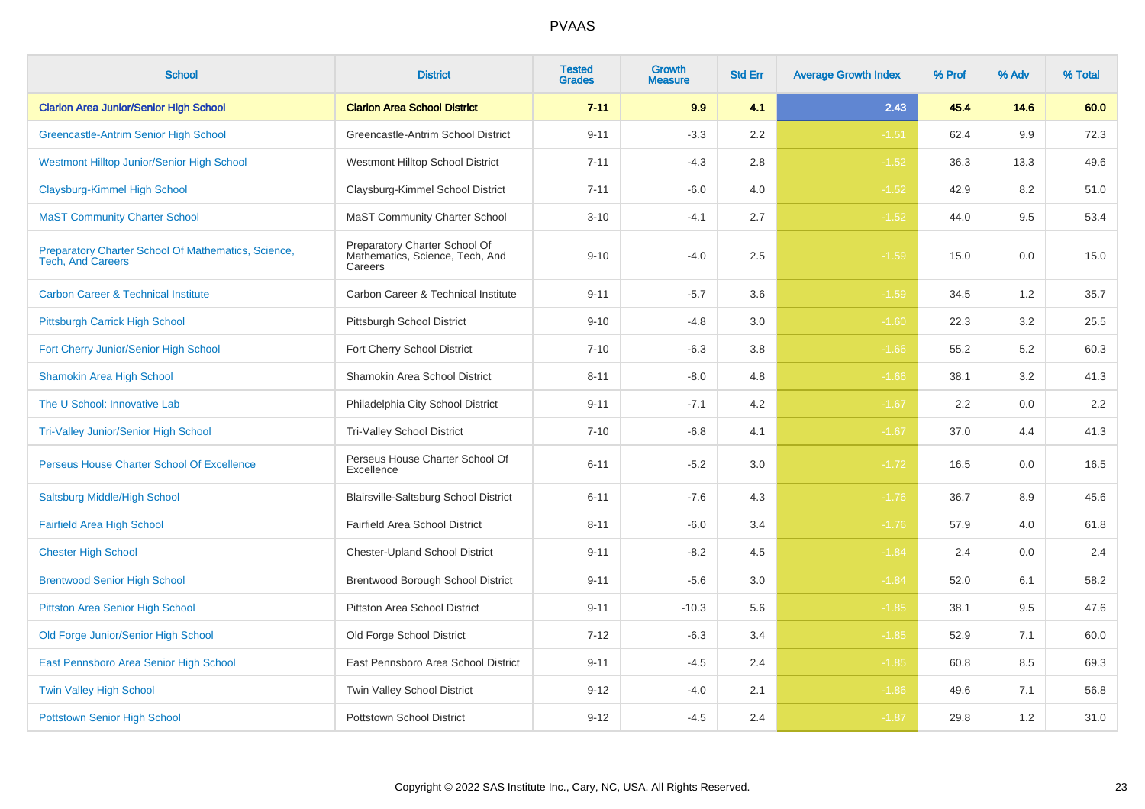| <b>School</b>                                                                   | <b>District</b>                                                             | <b>Tested</b><br><b>Grades</b> | Growth<br>Measure | <b>Std Err</b> | <b>Average Growth Index</b> | % Prof | % Adv | % Total |
|---------------------------------------------------------------------------------|-----------------------------------------------------------------------------|--------------------------------|-------------------|----------------|-----------------------------|--------|-------|---------|
| <b>Clarion Area Junior/Senior High School</b>                                   | <b>Clarion Area School District</b>                                         | $7 - 11$                       | 9.9               | 4.1            | 2.43                        | 45.4   | 14.6  | 60.0    |
| Greencastle-Antrim Senior High School                                           | Greencastle-Antrim School District                                          | $9 - 11$                       | $-3.3$            | 2.2            | $-1.51$                     | 62.4   | 9.9   | 72.3    |
| Westmont Hilltop Junior/Senior High School                                      | Westmont Hilltop School District                                            | $7 - 11$                       | $-4.3$            | 2.8            | $-1.52$                     | 36.3   | 13.3  | 49.6    |
| Claysburg-Kimmel High School                                                    | Claysburg-Kimmel School District                                            | $7 - 11$                       | $-6.0$            | 4.0            | $-1.52$                     | 42.9   | 8.2   | 51.0    |
| <b>MaST Community Charter School</b>                                            | <b>MaST Community Charter School</b>                                        | $3 - 10$                       | $-4.1$            | 2.7            | $-1.52$                     | 44.0   | 9.5   | 53.4    |
| Preparatory Charter School Of Mathematics, Science,<br><b>Tech, And Careers</b> | Preparatory Charter School Of<br>Mathematics, Science, Tech, And<br>Careers | $9 - 10$                       | $-4.0$            | 2.5            | $-1.59$                     | 15.0   | 0.0   | 15.0    |
| <b>Carbon Career &amp; Technical Institute</b>                                  | Carbon Career & Technical Institute                                         | $9 - 11$                       | $-5.7$            | 3.6            | $-1.59$                     | 34.5   | 1.2   | 35.7    |
| Pittsburgh Carrick High School                                                  | Pittsburgh School District                                                  | $9 - 10$                       | $-4.8$            | 3.0            | $-1.60$                     | 22.3   | 3.2   | 25.5    |
| Fort Cherry Junior/Senior High School                                           | Fort Cherry School District                                                 | $7 - 10$                       | $-6.3$            | 3.8            | $-1.66$                     | 55.2   | 5.2   | 60.3    |
| <b>Shamokin Area High School</b>                                                | Shamokin Area School District                                               | $8 - 11$                       | $-8.0$            | 4.8            | $-1.66$                     | 38.1   | 3.2   | 41.3    |
| The U School: Innovative Lab                                                    | Philadelphia City School District                                           | $9 - 11$                       | $-7.1$            | 4.2            | $-1.67$                     | 2.2    | 0.0   | $2.2\,$ |
| <b>Tri-Valley Junior/Senior High School</b>                                     | <b>Tri-Valley School District</b>                                           | $7 - 10$                       | $-6.8$            | 4.1            | $-1.67$                     | 37.0   | 4.4   | 41.3    |
| Perseus House Charter School Of Excellence                                      | Perseus House Charter School Of<br>Excellence                               | $6 - 11$                       | $-5.2$            | 3.0            | $-1.72$                     | 16.5   | 0.0   | 16.5    |
| Saltsburg Middle/High School                                                    | Blairsville-Saltsburg School District                                       | $6 - 11$                       | $-7.6$            | 4.3            | $-1.76$                     | 36.7   | 8.9   | 45.6    |
| <b>Fairfield Area High School</b>                                               | Fairfield Area School District                                              | $8 - 11$                       | $-6.0$            | 3.4            | $-1.76$                     | 57.9   | 4.0   | 61.8    |
| <b>Chester High School</b>                                                      | <b>Chester-Upland School District</b>                                       | $9 - 11$                       | $-8.2$            | 4.5            | $-1.84$                     | 2.4    | 0.0   | 2.4     |
| <b>Brentwood Senior High School</b>                                             | Brentwood Borough School District                                           | $9 - 11$                       | $-5.6$            | $3.0\,$        | $-1.84$                     | 52.0   | 6.1   | 58.2    |
| <b>Pittston Area Senior High School</b>                                         | Pittston Area School District                                               | $9 - 11$                       | $-10.3$           | 5.6            | $-1.85$                     | 38.1   | 9.5   | 47.6    |
| Old Forge Junior/Senior High School                                             | Old Forge School District                                                   | $7 - 12$                       | $-6.3$            | 3.4            | $-1.85$                     | 52.9   | 7.1   | 60.0    |
| East Pennsboro Area Senior High School                                          | East Pennsboro Area School District                                         | $9 - 11$                       | $-4.5$            | 2.4            | $-1.85$                     | 60.8   | 8.5   | 69.3    |
| <b>Twin Valley High School</b>                                                  | Twin Valley School District                                                 | $9 - 12$                       | $-4.0$            | 2.1            | $-1.86$                     | 49.6   | 7.1   | 56.8    |
| <b>Pottstown Senior High School</b>                                             | <b>Pottstown School District</b>                                            | $9 - 12$                       | $-4.5$            | 2.4            | $-1.87$                     | 29.8   | 1.2   | 31.0    |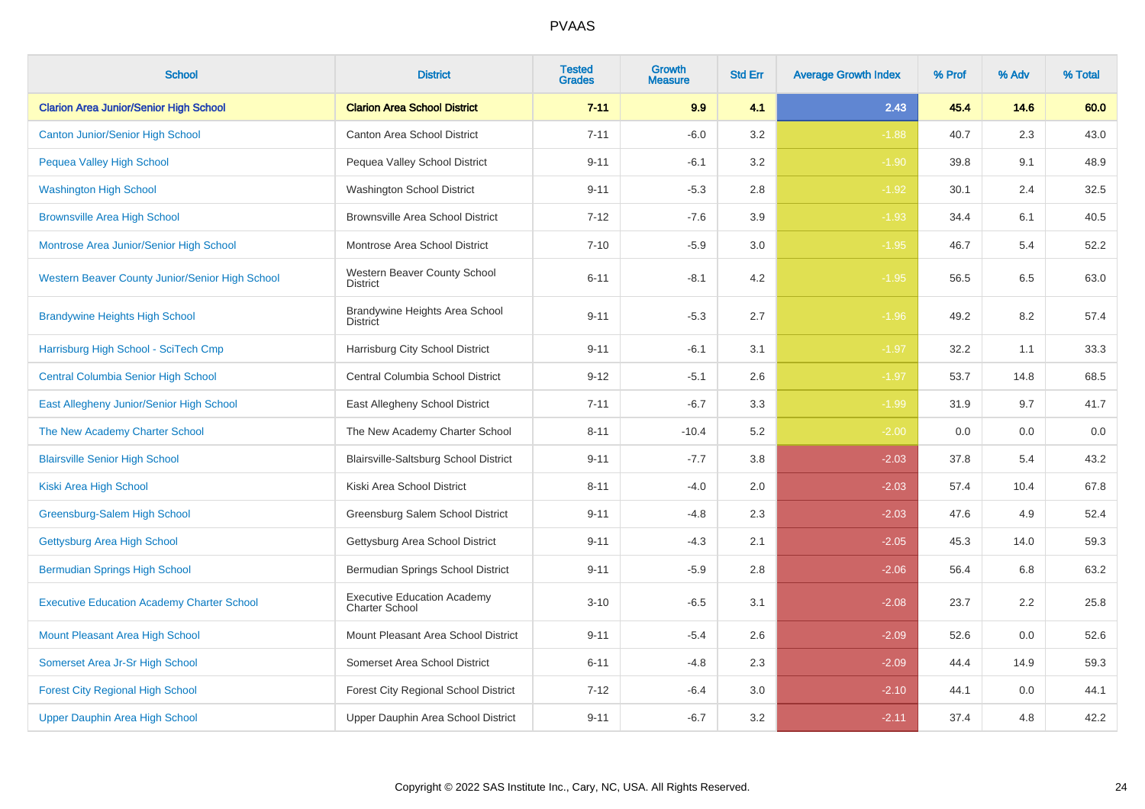| <b>School</b>                                     | <b>District</b>                                             | <b>Tested</b><br><b>Grades</b> | Growth<br><b>Measure</b> | <b>Std Err</b> | <b>Average Growth Index</b> | % Prof | % Adv | % Total |
|---------------------------------------------------|-------------------------------------------------------------|--------------------------------|--------------------------|----------------|-----------------------------|--------|-------|---------|
| <b>Clarion Area Junior/Senior High School</b>     | <b>Clarion Area School District</b>                         | $7 - 11$                       | 9.9                      | 4.1            | 2.43                        | 45.4   | 14.6  | 60.0    |
| <b>Canton Junior/Senior High School</b>           | <b>Canton Area School District</b>                          | $7 - 11$                       | $-6.0$                   | 3.2            | $-1.88$                     | 40.7   | 2.3   | 43.0    |
| Pequea Valley High School                         | Pequea Valley School District                               | $9 - 11$                       | $-6.1$                   | 3.2            | $-1.90$                     | 39.8   | 9.1   | 48.9    |
| <b>Washington High School</b>                     | Washington School District                                  | $9 - 11$                       | $-5.3$                   | 2.8            | $-1.92$                     | 30.1   | 2.4   | 32.5    |
| <b>Brownsville Area High School</b>               | <b>Brownsville Area School District</b>                     | $7 - 12$                       | $-7.6$                   | 3.9            | $-1.93$                     | 34.4   | 6.1   | 40.5    |
| Montrose Area Junior/Senior High School           | Montrose Area School District                               | $7 - 10$                       | $-5.9$                   | 3.0            | $-1.95$                     | 46.7   | 5.4   | 52.2    |
| Western Beaver County Junior/Senior High School   | Western Beaver County School<br><b>District</b>             | $6 - 11$                       | $-8.1$                   | 4.2            | $-1.95$                     | 56.5   | 6.5   | 63.0    |
| <b>Brandywine Heights High School</b>             | Brandywine Heights Area School<br><b>District</b>           | $9 - 11$                       | $-5.3$                   | 2.7            | $-1.96$                     | 49.2   | 8.2   | 57.4    |
| Harrisburg High School - SciTech Cmp              | Harrisburg City School District                             | $9 - 11$                       | $-6.1$                   | 3.1            | $-1.97$                     | 32.2   | 1.1   | 33.3    |
| <b>Central Columbia Senior High School</b>        | Central Columbia School District                            | $9 - 12$                       | $-5.1$                   | 2.6            | $-1.97$                     | 53.7   | 14.8  | 68.5    |
| East Allegheny Junior/Senior High School          | East Allegheny School District                              | $7 - 11$                       | $-6.7$                   | 3.3            | $-1.99$                     | 31.9   | 9.7   | 41.7    |
| The New Academy Charter School                    | The New Academy Charter School                              | $8 - 11$                       | $-10.4$                  | 5.2            | $-2.00$                     | 0.0    | 0.0   | 0.0     |
| <b>Blairsville Senior High School</b>             | Blairsville-Saltsburg School District                       | $9 - 11$                       | $-7.7$                   | 3.8            | $-2.03$                     | 37.8   | 5.4   | 43.2    |
| Kiski Area High School                            | Kiski Area School District                                  | $8 - 11$                       | $-4.0$                   | 2.0            | $-2.03$                     | 57.4   | 10.4  | 67.8    |
| Greensburg-Salem High School                      | Greensburg Salem School District                            | $9 - 11$                       | $-4.8$                   | 2.3            | $-2.03$                     | 47.6   | 4.9   | 52.4    |
| Gettysburg Area High School                       | Gettysburg Area School District                             | $9 - 11$                       | $-4.3$                   | 2.1            | $-2.05$                     | 45.3   | 14.0  | 59.3    |
| <b>Bermudian Springs High School</b>              | Bermudian Springs School District                           | $9 - 11$                       | $-5.9$                   | 2.8            | $-2.06$                     | 56.4   | 6.8   | 63.2    |
| <b>Executive Education Academy Charter School</b> | <b>Executive Education Academy</b><br><b>Charter School</b> | $3 - 10$                       | $-6.5$                   | 3.1            | $-2.08$                     | 23.7   | 2.2   | 25.8    |
| <b>Mount Pleasant Area High School</b>            | Mount Pleasant Area School District                         | $9 - 11$                       | $-5.4$                   | 2.6            | $-2.09$                     | 52.6   | 0.0   | 52.6    |
| Somerset Area Jr-Sr High School                   | Somerset Area School District                               | $6 - 11$                       | $-4.8$                   | 2.3            | $-2.09$                     | 44.4   | 14.9  | 59.3    |
| <b>Forest City Regional High School</b>           | Forest City Regional School District                        | $7 - 12$                       | $-6.4$                   | 3.0            | $-2.10$                     | 44.1   | 0.0   | 44.1    |
| Upper Dauphin Area High School                    | Upper Dauphin Area School District                          | $9 - 11$                       | $-6.7$                   | 3.2            | $-2.11$                     | 37.4   | 4.8   | 42.2    |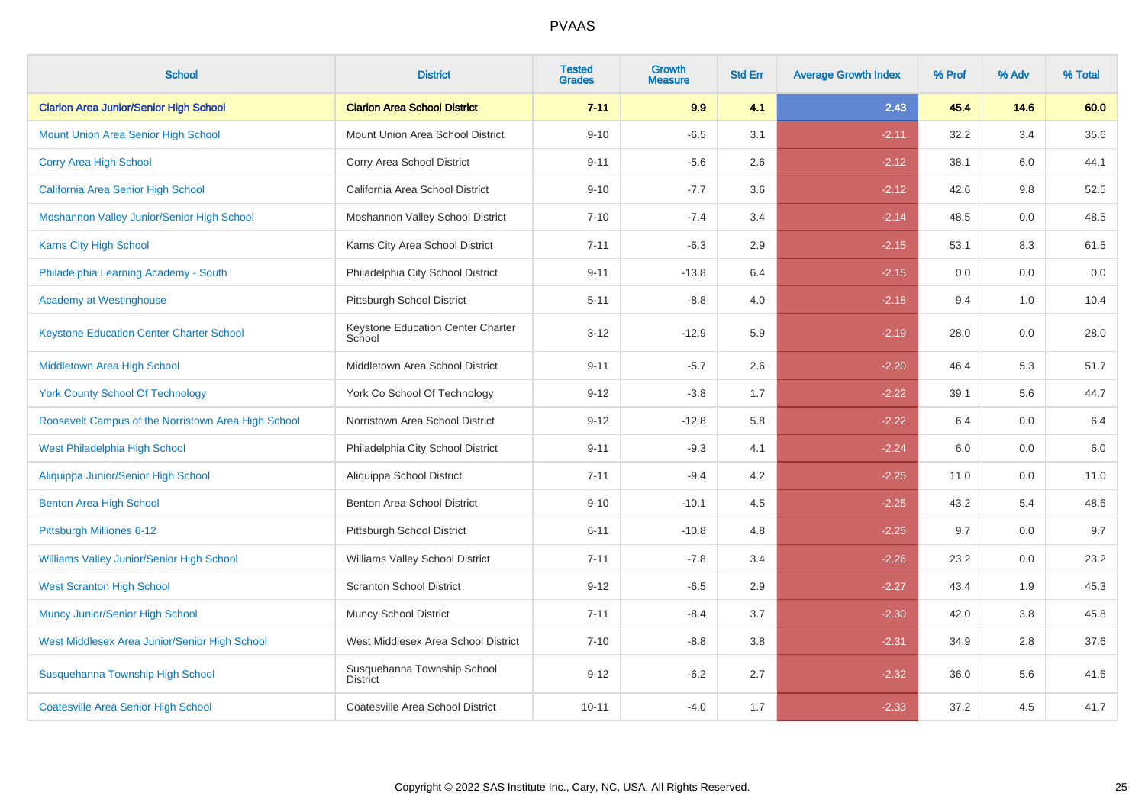| <b>School</b>                                       | <b>District</b>                                | <b>Tested</b><br><b>Grades</b> | <b>Growth</b><br><b>Measure</b> | <b>Std Err</b> | <b>Average Growth Index</b> | % Prof | % Adv | % Total |
|-----------------------------------------------------|------------------------------------------------|--------------------------------|---------------------------------|----------------|-----------------------------|--------|-------|---------|
| <b>Clarion Area Junior/Senior High School</b>       | <b>Clarion Area School District</b>            | $7 - 11$                       | 9.9                             | 4.1            | 2.43                        | 45.4   | 14.6  | 60.0    |
| <b>Mount Union Area Senior High School</b>          | Mount Union Area School District               | $9 - 10$                       | $-6.5$                          | 3.1            | $-2.11$                     | 32.2   | 3.4   | 35.6    |
| Corry Area High School                              | Corry Area School District                     | $9 - 11$                       | $-5.6$                          | 2.6            | $-2.12$                     | 38.1   | 6.0   | 44.1    |
| California Area Senior High School                  | California Area School District                | $9 - 10$                       | $-7.7$                          | 3.6            | $-2.12$                     | 42.6   | 9.8   | 52.5    |
| Moshannon Valley Junior/Senior High School          | Moshannon Valley School District               | $7 - 10$                       | $-7.4$                          | 3.4            | $-2.14$                     | 48.5   | 0.0   | 48.5    |
| Karns City High School                              | Karns City Area School District                | $7 - 11$                       | $-6.3$                          | 2.9            | $-2.15$                     | 53.1   | 8.3   | 61.5    |
| Philadelphia Learning Academy - South               | Philadelphia City School District              | $9 - 11$                       | $-13.8$                         | 6.4            | $-2.15$                     | 0.0    | 0.0   | $0.0\,$ |
| <b>Academy at Westinghouse</b>                      | Pittsburgh School District                     | $5 - 11$                       | $-8.8$                          | 4.0            | $-2.18$                     | 9.4    | 1.0   | 10.4    |
| <b>Keystone Education Center Charter School</b>     | Keystone Education Center Charter<br>School    | $3 - 12$                       | $-12.9$                         | 5.9            | $-2.19$                     | 28.0   | 0.0   | 28.0    |
| Middletown Area High School                         | Middletown Area School District                | $9 - 11$                       | $-5.7$                          | 2.6            | $-2.20$                     | 46.4   | 5.3   | 51.7    |
| <b>York County School Of Technology</b>             | York Co School Of Technology                   | $9 - 12$                       | $-3.8$                          | 1.7            | $-2.22$                     | 39.1   | 5.6   | 44.7    |
| Roosevelt Campus of the Norristown Area High School | Norristown Area School District                | $9 - 12$                       | $-12.8$                         | 5.8            | $-2.22$                     | 6.4    | 0.0   | $6.4\,$ |
| West Philadelphia High School                       | Philadelphia City School District              | $9 - 11$                       | $-9.3$                          | 4.1            | $-2.24$                     | 6.0    | 0.0   | $6.0\,$ |
| Aliquippa Junior/Senior High School                 | Aliquippa School District                      | $7 - 11$                       | $-9.4$                          | 4.2            | $-2.25$                     | 11.0   | 0.0   | 11.0    |
| <b>Benton Area High School</b>                      | Benton Area School District                    | $9 - 10$                       | $-10.1$                         | 4.5            | $-2.25$                     | 43.2   | 5.4   | 48.6    |
| Pittsburgh Milliones 6-12                           | Pittsburgh School District                     | $6 - 11$                       | $-10.8$                         | 4.8            | $-2.25$                     | 9.7    | 0.0   | 9.7     |
| Williams Valley Junior/Senior High School           | Williams Valley School District                | $7 - 11$                       | $-7.8$                          | 3.4            | $-2.26$                     | 23.2   | 0.0   | 23.2    |
| <b>West Scranton High School</b>                    | <b>Scranton School District</b>                | $9 - 12$                       | $-6.5$                          | 2.9            | $-2.27$                     | 43.4   | 1.9   | 45.3    |
| <b>Muncy Junior/Senior High School</b>              | <b>Muncy School District</b>                   | $7 - 11$                       | $-8.4$                          | 3.7            | $-2.30$                     | 42.0   | 3.8   | 45.8    |
| West Middlesex Area Junior/Senior High School       | West Middlesex Area School District            | $7 - 10$                       | $-8.8$                          | 3.8            | $-2.31$                     | 34.9   | 2.8   | 37.6    |
| Susquehanna Township High School                    | Susquehanna Township School<br><b>District</b> | $9 - 12$                       | $-6.2$                          | 2.7            | $-2.32$                     | 36.0   | 5.6   | 41.6    |
| <b>Coatesville Area Senior High School</b>          | Coatesville Area School District               | $10 - 11$                      | $-4.0$                          | 1.7            | $-2.33$                     | 37.2   | 4.5   | 41.7    |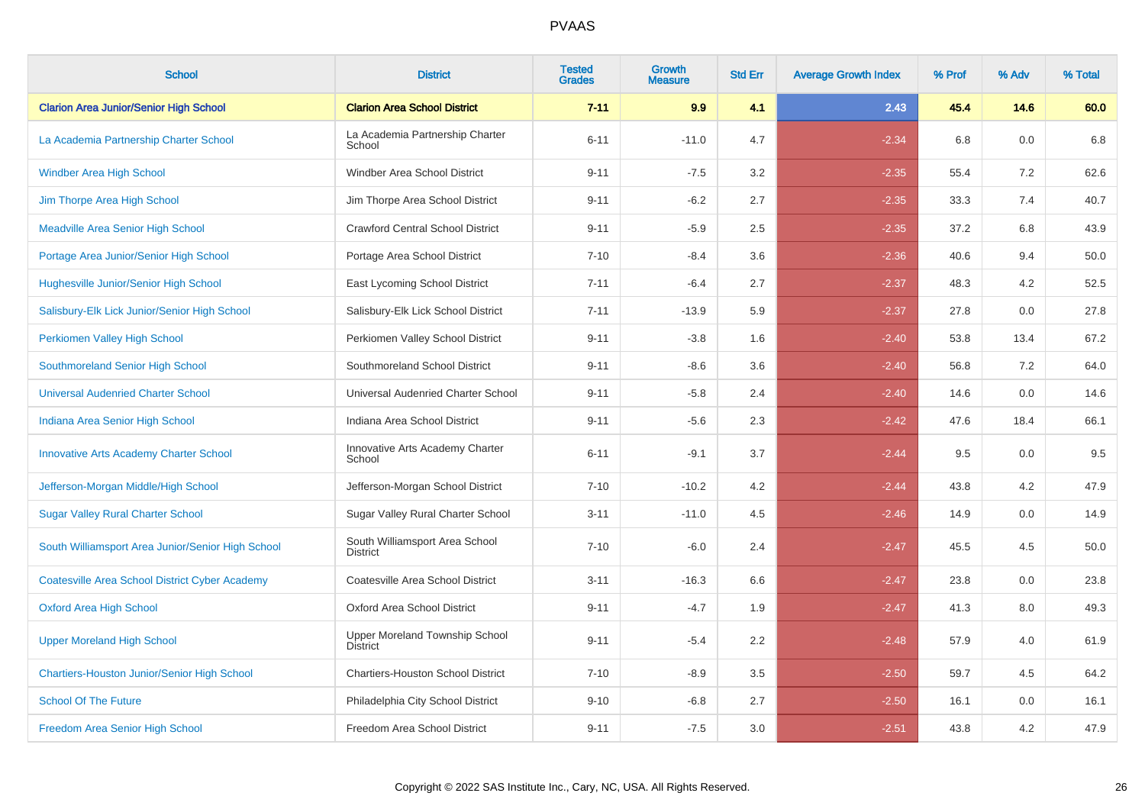| <b>School</b>                                         | <b>District</b>                                   | <b>Tested</b><br><b>Grades</b> | Growth<br><b>Measure</b> | <b>Std Err</b> | <b>Average Growth Index</b> | % Prof | % Adv | % Total |
|-------------------------------------------------------|---------------------------------------------------|--------------------------------|--------------------------|----------------|-----------------------------|--------|-------|---------|
| <b>Clarion Area Junior/Senior High School</b>         | <b>Clarion Area School District</b>               | $7 - 11$                       | 9.9                      | 4.1            | 2.43                        | 45.4   | 14.6  | 60.0    |
| La Academia Partnership Charter School                | La Academia Partnership Charter<br>School         | $6 - 11$                       | $-11.0$                  | 4.7            | $-2.34$                     | 6.8    | 0.0   | 6.8     |
| <b>Windber Area High School</b>                       | Windber Area School District                      | $9 - 11$                       | $-7.5$                   | 3.2            | $-2.35$                     | 55.4   | 7.2   | 62.6    |
| Jim Thorpe Area High School                           | Jim Thorpe Area School District                   | $9 - 11$                       | $-6.2$                   | 2.7            | $-2.35$                     | 33.3   | 7.4   | 40.7    |
| <b>Meadville Area Senior High School</b>              | <b>Crawford Central School District</b>           | $9 - 11$                       | $-5.9$                   | 2.5            | $-2.35$                     | 37.2   | 6.8   | 43.9    |
| Portage Area Junior/Senior High School                | Portage Area School District                      | $7 - 10$                       | $-8.4$                   | 3.6            | $-2.36$                     | 40.6   | 9.4   | 50.0    |
| Hughesville Junior/Senior High School                 | East Lycoming School District                     | $7 - 11$                       | $-6.4$                   | 2.7            | $-2.37$                     | 48.3   | 4.2   | 52.5    |
| Salisbury-Elk Lick Junior/Senior High School          | Salisbury-Elk Lick School District                | $7 - 11$                       | $-13.9$                  | 5.9            | $-2.37$                     | 27.8   | 0.0   | 27.8    |
| Perkiomen Valley High School                          | Perkiomen Valley School District                  | $9 - 11$                       | $-3.8$                   | 1.6            | $-2.40$                     | 53.8   | 13.4  | 67.2    |
| Southmoreland Senior High School                      | Southmoreland School District                     | $9 - 11$                       | $-8.6$                   | 3.6            | $-2.40$                     | 56.8   | 7.2   | 64.0    |
| <b>Universal Audenried Charter School</b>             | Universal Audenried Charter School                | $9 - 11$                       | $-5.8$                   | 2.4            | $-2.40$                     | 14.6   | 0.0   | 14.6    |
| Indiana Area Senior High School                       | Indiana Area School District                      | $9 - 11$                       | $-5.6$                   | 2.3            | $-2.42$                     | 47.6   | 18.4  | 66.1    |
| <b>Innovative Arts Academy Charter School</b>         | Innovative Arts Academy Charter<br>School         | $6 - 11$                       | $-9.1$                   | 3.7            | $-2.44$                     | 9.5    | 0.0   | 9.5     |
| Jefferson-Morgan Middle/High School                   | Jefferson-Morgan School District                  | $7 - 10$                       | $-10.2$                  | 4.2            | $-2.44$                     | 43.8   | 4.2   | 47.9    |
| <b>Sugar Valley Rural Charter School</b>              | Sugar Valley Rural Charter School                 | $3 - 11$                       | $-11.0$                  | 4.5            | $-2.46$                     | 14.9   | 0.0   | 14.9    |
| South Williamsport Area Junior/Senior High School     | South Williamsport Area School<br><b>District</b> | $7 - 10$                       | $-6.0$                   | 2.4            | $-2.47$                     | 45.5   | 4.5   | 50.0    |
| <b>Coatesville Area School District Cyber Academy</b> | Coatesville Area School District                  | $3 - 11$                       | $-16.3$                  | 6.6            | $-2.47$                     | 23.8   | 0.0   | 23.8    |
| <b>Oxford Area High School</b>                        | Oxford Area School District                       | $9 - 11$                       | $-4.7$                   | 1.9            | $-2.47$                     | 41.3   | 8.0   | 49.3    |
| <b>Upper Moreland High School</b>                     | Upper Moreland Township School<br><b>District</b> | $9 - 11$                       | $-5.4$                   | 2.2            | $-2.48$                     | 57.9   | 4.0   | 61.9    |
| <b>Chartiers-Houston Junior/Senior High School</b>    | <b>Chartiers-Houston School District</b>          | $7 - 10$                       | $-8.9$                   | 3.5            | $-2.50$                     | 59.7   | 4.5   | 64.2    |
| <b>School Of The Future</b>                           | Philadelphia City School District                 | $9 - 10$                       | $-6.8$                   | 2.7            | $-2.50$                     | 16.1   | 0.0   | 16.1    |
| Freedom Area Senior High School                       | Freedom Area School District                      | $9 - 11$                       | $-7.5$                   | 3.0            | $-2.51$                     | 43.8   | 4.2   | 47.9    |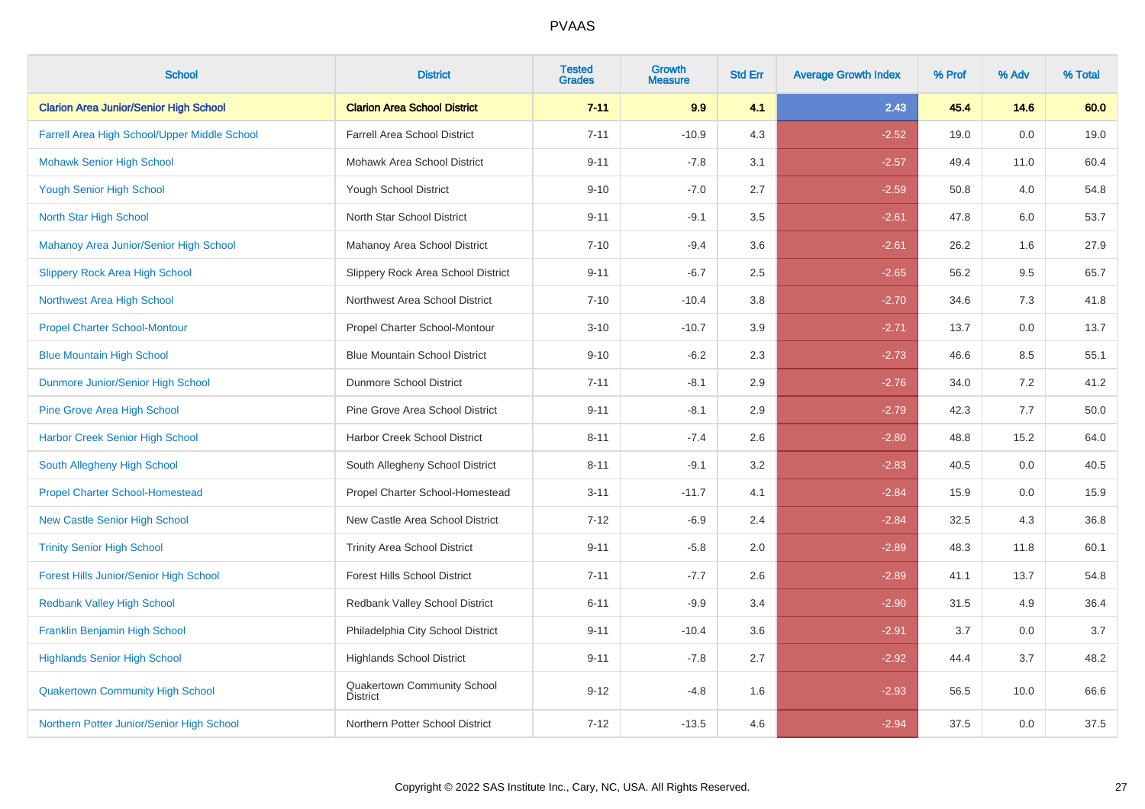| <b>School</b>                                 | <b>District</b>                                | <b>Tested</b><br><b>Grades</b> | <b>Growth</b><br><b>Measure</b> | <b>Std Err</b> | <b>Average Growth Index</b> | % Prof | % Adv | % Total |
|-----------------------------------------------|------------------------------------------------|--------------------------------|---------------------------------|----------------|-----------------------------|--------|-------|---------|
| <b>Clarion Area Junior/Senior High School</b> | <b>Clarion Area School District</b>            | $7 - 11$                       | 9.9                             | 4.1            | 2.43                        | 45.4   | 14.6  | 60.0    |
| Farrell Area High School/Upper Middle School  | <b>Farrell Area School District</b>            | $7 - 11$                       | $-10.9$                         | 4.3            | $-2.52$                     | 19.0   | 0.0   | 19.0    |
| <b>Mohawk Senior High School</b>              | Mohawk Area School District                    | $9 - 11$                       | $-7.8$                          | 3.1            | $-2.57$                     | 49.4   | 11.0  | 60.4    |
| <b>Yough Senior High School</b>               | Yough School District                          | $9 - 10$                       | $-7.0$                          | 2.7            | $-2.59$                     | 50.8   | 4.0   | 54.8    |
| North Star High School                        | North Star School District                     | $9 - 11$                       | $-9.1$                          | 3.5            | $-2.61$                     | 47.8   | 6.0   | 53.7    |
| Mahanoy Area Junior/Senior High School        | Mahanoy Area School District                   | $7 - 10$                       | $-9.4$                          | 3.6            | $-2.61$                     | 26.2   | 1.6   | 27.9    |
| <b>Slippery Rock Area High School</b>         | Slippery Rock Area School District             | $9 - 11$                       | $-6.7$                          | 2.5            | $-2.65$                     | 56.2   | 9.5   | 65.7    |
| Northwest Area High School                    | Northwest Area School District                 | $7 - 10$                       | $-10.4$                         | 3.8            | $-2.70$                     | 34.6   | 7.3   | 41.8    |
| <b>Propel Charter School-Montour</b>          | Propel Charter School-Montour                  | $3 - 10$                       | $-10.7$                         | 3.9            | $-2.71$                     | 13.7   | 0.0   | 13.7    |
| <b>Blue Mountain High School</b>              | <b>Blue Mountain School District</b>           | $9 - 10$                       | $-6.2$                          | 2.3            | $-2.73$                     | 46.6   | 8.5   | 55.1    |
| Dunmore Junior/Senior High School             | Dunmore School District                        | $7 - 11$                       | $-8.1$                          | 2.9            | $-2.76$                     | 34.0   | 7.2   | 41.2    |
| <b>Pine Grove Area High School</b>            | Pine Grove Area School District                | $9 - 11$                       | $-8.1$                          | 2.9            | $-2.79$                     | 42.3   | 7.7   | 50.0    |
| <b>Harbor Creek Senior High School</b>        | Harbor Creek School District                   | $8 - 11$                       | $-7.4$                          | 2.6            | $-2.80$                     | 48.8   | 15.2  | 64.0    |
| South Allegheny High School                   | South Allegheny School District                | $8 - 11$                       | $-9.1$                          | 3.2            | $-2.83$                     | 40.5   | 0.0   | 40.5    |
| <b>Propel Charter School-Homestead</b>        | Propel Charter School-Homestead                | $3 - 11$                       | $-11.7$                         | 4.1            | $-2.84$                     | 15.9   | 0.0   | 15.9    |
| <b>New Castle Senior High School</b>          | New Castle Area School District                | $7 - 12$                       | $-6.9$                          | 2.4            | $-2.84$                     | 32.5   | 4.3   | 36.8    |
| <b>Trinity Senior High School</b>             | <b>Trinity Area School District</b>            | $9 - 11$                       | $-5.8$                          | 2.0            | $-2.89$                     | 48.3   | 11.8  | 60.1    |
| <b>Forest Hills Junior/Senior High School</b> | <b>Forest Hills School District</b>            | $7 - 11$                       | $-7.7$                          | 2.6            | $-2.89$                     | 41.1   | 13.7  | 54.8    |
| <b>Redbank Valley High School</b>             | Redbank Valley School District                 | $6 - 11$                       | $-9.9$                          | 3.4            | $-2.90$                     | 31.5   | 4.9   | 36.4    |
| Franklin Benjamin High School                 | Philadelphia City School District              | $9 - 11$                       | $-10.4$                         | 3.6            | $-2.91$                     | 3.7    | 0.0   | 3.7     |
| <b>Highlands Senior High School</b>           | <b>Highlands School District</b>               | $9 - 11$                       | $-7.8$                          | 2.7            | $-2.92$                     | 44.4   | 3.7   | 48.2    |
| <b>Quakertown Community High School</b>       | Quakertown Community School<br><b>District</b> | $9 - 12$                       | $-4.8$                          | 1.6            | $-2.93$                     | 56.5   | 10.0  | 66.6    |
| Northern Potter Junior/Senior High School     | Northern Potter School District                | $7 - 12$                       | $-13.5$                         | 4.6            | $-2.94$                     | 37.5   | 0.0   | 37.5    |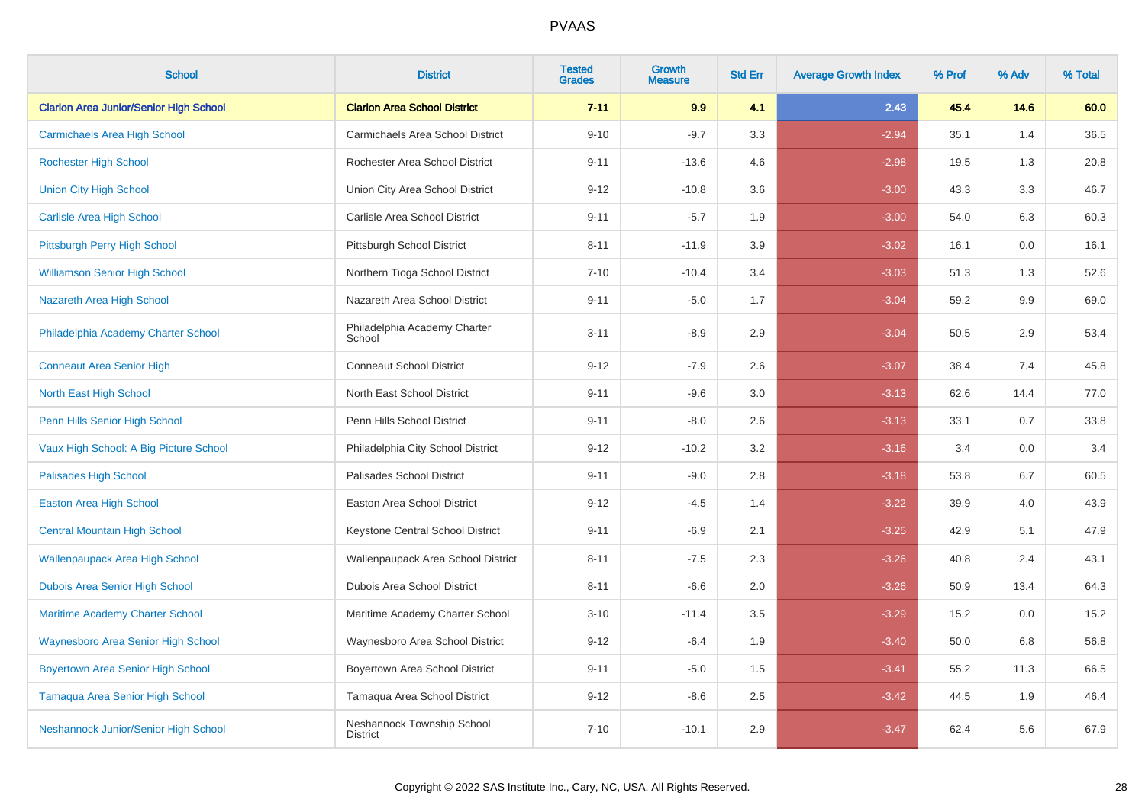| <b>School</b>                                 | <b>District</b>                               | <b>Tested</b><br><b>Grades</b> | <b>Growth</b><br><b>Measure</b> | <b>Std Err</b> | <b>Average Growth Index</b> | % Prof | % Adv | % Total |
|-----------------------------------------------|-----------------------------------------------|--------------------------------|---------------------------------|----------------|-----------------------------|--------|-------|---------|
| <b>Clarion Area Junior/Senior High School</b> | <b>Clarion Area School District</b>           | $7 - 11$                       | 9.9                             | 4.1            | 2.43                        | 45.4   | 14.6  | 60.0    |
| <b>Carmichaels Area High School</b>           | Carmichaels Area School District              | $9 - 10$                       | $-9.7$                          | 3.3            | $-2.94$                     | 35.1   | 1.4   | 36.5    |
| <b>Rochester High School</b>                  | Rochester Area School District                | $9 - 11$                       | $-13.6$                         | 4.6            | $-2.98$                     | 19.5   | 1.3   | 20.8    |
| <b>Union City High School</b>                 | Union City Area School District               | $9 - 12$                       | $-10.8$                         | 3.6            | $-3.00$                     | 43.3   | 3.3   | 46.7    |
| <b>Carlisle Area High School</b>              | Carlisle Area School District                 | $9 - 11$                       | $-5.7$                          | 1.9            | $-3.00$                     | 54.0   | 6.3   | 60.3    |
| Pittsburgh Perry High School                  | Pittsburgh School District                    | $8 - 11$                       | $-11.9$                         | 3.9            | $-3.02$                     | 16.1   | 0.0   | 16.1    |
| <b>Williamson Senior High School</b>          | Northern Tioga School District                | $7 - 10$                       | $-10.4$                         | 3.4            | $-3.03$                     | 51.3   | 1.3   | 52.6    |
| Nazareth Area High School                     | Nazareth Area School District                 | $9 - 11$                       | $-5.0$                          | 1.7            | $-3.04$                     | 59.2   | 9.9   | 69.0    |
| Philadelphia Academy Charter School           | Philadelphia Academy Charter<br>School        | $3 - 11$                       | $-8.9$                          | 2.9            | $-3.04$                     | 50.5   | 2.9   | 53.4    |
| <b>Conneaut Area Senior High</b>              | <b>Conneaut School District</b>               | $9 - 12$                       | $-7.9$                          | 2.6            | $-3.07$                     | 38.4   | 7.4   | 45.8    |
| North East High School                        | North East School District                    | $9 - 11$                       | $-9.6$                          | 3.0            | $-3.13$                     | 62.6   | 14.4  | 77.0    |
| Penn Hills Senior High School                 | Penn Hills School District                    | $9 - 11$                       | $-8.0$                          | 2.6            | $-3.13$                     | 33.1   | 0.7   | 33.8    |
| Vaux High School: A Big Picture School        | Philadelphia City School District             | $9 - 12$                       | $-10.2$                         | 3.2            | $-3.16$                     | 3.4    | 0.0   | 3.4     |
| <b>Palisades High School</b>                  | Palisades School District                     | $9 - 11$                       | $-9.0$                          | 2.8            | $-3.18$                     | 53.8   | 6.7   | 60.5    |
| <b>Easton Area High School</b>                | Easton Area School District                   | $9 - 12$                       | $-4.5$                          | 1.4            | $-3.22$                     | 39.9   | 4.0   | 43.9    |
| <b>Central Mountain High School</b>           | Keystone Central School District              | $9 - 11$                       | $-6.9$                          | 2.1            | $-3.25$                     | 42.9   | 5.1   | 47.9    |
| <b>Wallenpaupack Area High School</b>         | Wallenpaupack Area School District            | $8 - 11$                       | $-7.5$                          | 2.3            | $-3.26$                     | 40.8   | 2.4   | 43.1    |
| Dubois Area Senior High School                | Dubois Area School District                   | $8 - 11$                       | $-6.6$                          | 2.0            | $-3.26$                     | 50.9   | 13.4  | 64.3    |
| <b>Maritime Academy Charter School</b>        | Maritime Academy Charter School               | $3 - 10$                       | $-11.4$                         | 3.5            | $-3.29$                     | 15.2   | 0.0   | 15.2    |
| <b>Waynesboro Area Senior High School</b>     | Waynesboro Area School District               | $9 - 12$                       | $-6.4$                          | 1.9            | $-3.40$                     | 50.0   | 6.8   | 56.8    |
| <b>Boyertown Area Senior High School</b>      | Boyertown Area School District                | $9 - 11$                       | $-5.0$                          | 1.5            | $-3.41$                     | 55.2   | 11.3  | 66.5    |
| Tamaqua Area Senior High School               | Tamaqua Area School District                  | $9 - 12$                       | $-8.6$                          | 2.5            | $-3.42$                     | 44.5   | 1.9   | 46.4    |
| Neshannock Junior/Senior High School          | Neshannock Township School<br><b>District</b> | $7 - 10$                       | $-10.1$                         | 2.9            | $-3.47$                     | 62.4   | 5.6   | 67.9    |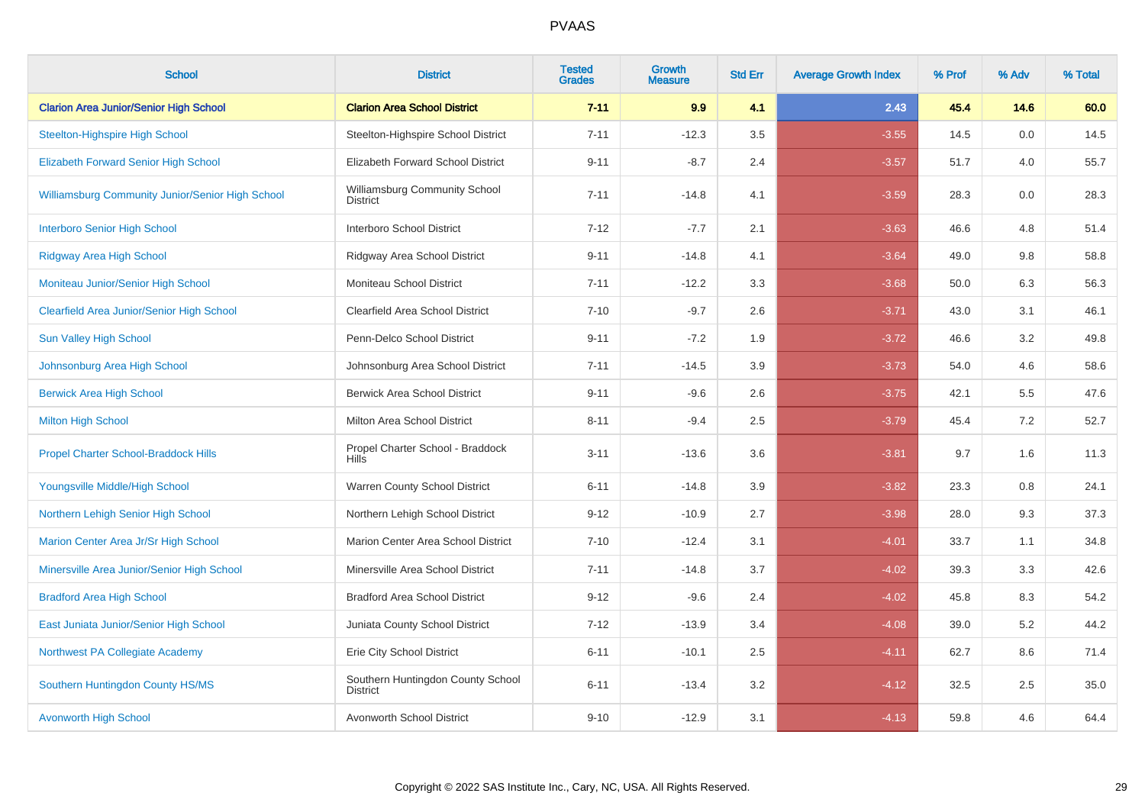| <b>School</b>                                           | <b>District</b>                                      | <b>Tested</b><br><b>Grades</b> | <b>Growth</b><br><b>Measure</b> | <b>Std Err</b> | <b>Average Growth Index</b> | % Prof | % Adv | % Total |
|---------------------------------------------------------|------------------------------------------------------|--------------------------------|---------------------------------|----------------|-----------------------------|--------|-------|---------|
| <b>Clarion Area Junior/Senior High School</b>           | <b>Clarion Area School District</b>                  | $7 - 11$                       | 9.9                             | 4.1            | 2.43                        | 45.4   | 14.6  | 60.0    |
| <b>Steelton-Highspire High School</b>                   | Steelton-Highspire School District                   | $7 - 11$                       | $-12.3$                         | 3.5            | $-3.55$                     | 14.5   | 0.0   | 14.5    |
| <b>Elizabeth Forward Senior High School</b>             | Elizabeth Forward School District                    | $9 - 11$                       | $-8.7$                          | 2.4            | $-3.57$                     | 51.7   | 4.0   | 55.7    |
| <b>Williamsburg Community Junior/Senior High School</b> | Williamsburg Community School<br><b>District</b>     | $7 - 11$                       | $-14.8$                         | 4.1            | $-3.59$                     | 28.3   | 0.0   | 28.3    |
| <b>Interboro Senior High School</b>                     | Interboro School District                            | $7 - 12$                       | $-7.7$                          | 2.1            | $-3.63$                     | 46.6   | 4.8   | 51.4    |
| <b>Ridgway Area High School</b>                         | Ridgway Area School District                         | $9 - 11$                       | $-14.8$                         | 4.1            | $-3.64$                     | 49.0   | 9.8   | 58.8    |
| Moniteau Junior/Senior High School                      | Moniteau School District                             | $7 - 11$                       | $-12.2$                         | 3.3            | $-3.68$                     | 50.0   | 6.3   | 56.3    |
| <b>Clearfield Area Junior/Senior High School</b>        | Clearfield Area School District                      | $7 - 10$                       | $-9.7$                          | 2.6            | $-3.71$                     | 43.0   | 3.1   | 46.1    |
| <b>Sun Valley High School</b>                           | Penn-Delco School District                           | $9 - 11$                       | $-7.2$                          | 1.9            | $-3.72$                     | 46.6   | 3.2   | 49.8    |
| Johnsonburg Area High School                            | Johnsonburg Area School District                     | $7 - 11$                       | $-14.5$                         | 3.9            | $-3.73$                     | 54.0   | 4.6   | 58.6    |
| <b>Berwick Area High School</b>                         | <b>Berwick Area School District</b>                  | $9 - 11$                       | $-9.6$                          | 2.6            | $-3.75$                     | 42.1   | 5.5   | 47.6    |
| <b>Milton High School</b>                               | Milton Area School District                          | $8 - 11$                       | $-9.4$                          | 2.5            | $-3.79$                     | 45.4   | 7.2   | 52.7    |
| <b>Propel Charter School-Braddock Hills</b>             | Propel Charter School - Braddock<br><b>Hills</b>     | $3 - 11$                       | $-13.6$                         | 3.6            | $-3.81$                     | 9.7    | 1.6   | 11.3    |
| Youngsville Middle/High School                          | Warren County School District                        | $6 - 11$                       | $-14.8$                         | 3.9            | $-3.82$                     | 23.3   | 0.8   | 24.1    |
| Northern Lehigh Senior High School                      | Northern Lehigh School District                      | $9 - 12$                       | $-10.9$                         | 2.7            | $-3.98$                     | 28.0   | 9.3   | 37.3    |
| Marion Center Area Jr/Sr High School                    | Marion Center Area School District                   | $7 - 10$                       | $-12.4$                         | 3.1            | $-4.01$                     | 33.7   | 1.1   | 34.8    |
| Minersville Area Junior/Senior High School              | Minersville Area School District                     | $7 - 11$                       | $-14.8$                         | 3.7            | $-4.02$                     | 39.3   | 3.3   | 42.6    |
| <b>Bradford Area High School</b>                        | <b>Bradford Area School District</b>                 | $9 - 12$                       | $-9.6$                          | 2.4            | $-4.02$                     | 45.8   | 8.3   | 54.2    |
| East Juniata Junior/Senior High School                  | Juniata County School District                       | $7 - 12$                       | $-13.9$                         | 3.4            | $-4.08$                     | 39.0   | 5.2   | 44.2    |
| Northwest PA Collegiate Academy                         | Erie City School District                            | $6 - 11$                       | $-10.1$                         | 2.5            | $-4.11$                     | 62.7   | 8.6   | 71.4    |
| Southern Huntingdon County HS/MS                        | Southern Huntingdon County School<br><b>District</b> | $6 - 11$                       | $-13.4$                         | 3.2            | $-4.12$                     | 32.5   | 2.5   | 35.0    |
| <b>Avonworth High School</b>                            | Avonworth School District                            | $9 - 10$                       | $-12.9$                         | 3.1            | $-4.13$                     | 59.8   | 4.6   | 64.4    |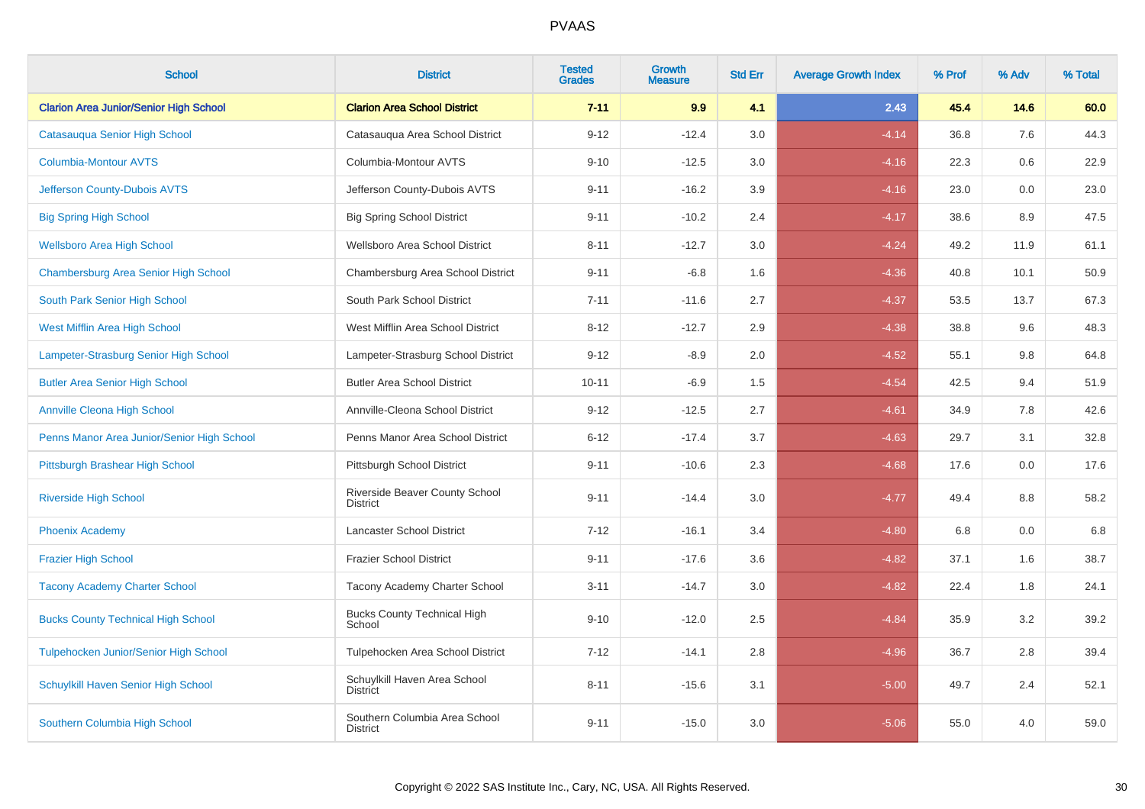| <b>School</b>                                 | <b>District</b>                                  | <b>Tested</b><br><b>Grades</b> | <b>Growth</b><br><b>Measure</b> | <b>Std Err</b> | <b>Average Growth Index</b> | % Prof | % Adv   | % Total |
|-----------------------------------------------|--------------------------------------------------|--------------------------------|---------------------------------|----------------|-----------------------------|--------|---------|---------|
| <b>Clarion Area Junior/Senior High School</b> | <b>Clarion Area School District</b>              | $7 - 11$                       | 9.9                             | 4.1            | 2.43                        | 45.4   | 14.6    | 60.0    |
| Catasauqua Senior High School                 | Catasauqua Area School District                  | $9 - 12$                       | $-12.4$                         | 3.0            | $-4.14$                     | 36.8   | 7.6     | 44.3    |
| <b>Columbia-Montour AVTS</b>                  | Columbia-Montour AVTS                            | $9 - 10$                       | $-12.5$                         | 3.0            | $-4.16$                     | 22.3   | 0.6     | 22.9    |
| Jefferson County-Dubois AVTS                  | Jefferson County-Dubois AVTS                     | $9 - 11$                       | $-16.2$                         | 3.9            | $-4.16$                     | 23.0   | $0.0\,$ | 23.0    |
| <b>Big Spring High School</b>                 | <b>Big Spring School District</b>                | $9 - 11$                       | $-10.2$                         | 2.4            | $-4.17$                     | 38.6   | 8.9     | 47.5    |
| <b>Wellsboro Area High School</b>             | Wellsboro Area School District                   | $8 - 11$                       | $-12.7$                         | 3.0            | $-4.24$                     | 49.2   | 11.9    | 61.1    |
| Chambersburg Area Senior High School          | Chambersburg Area School District                | $9 - 11$                       | $-6.8$                          | 1.6            | $-4.36$                     | 40.8   | 10.1    | 50.9    |
| South Park Senior High School                 | South Park School District                       | $7 - 11$                       | $-11.6$                         | 2.7            | $-4.37$                     | 53.5   | 13.7    | 67.3    |
| West Mifflin Area High School                 | West Mifflin Area School District                | $8 - 12$                       | $-12.7$                         | 2.9            | $-4.38$                     | 38.8   | 9.6     | 48.3    |
| Lampeter-Strasburg Senior High School         | Lampeter-Strasburg School District               | $9 - 12$                       | $-8.9$                          | 2.0            | $-4.52$                     | 55.1   | 9.8     | 64.8    |
| <b>Butler Area Senior High School</b>         | <b>Butler Area School District</b>               | $10 - 11$                      | $-6.9$                          | 1.5            | $-4.54$                     | 42.5   | 9.4     | 51.9    |
| <b>Annville Cleona High School</b>            | Annville-Cleona School District                  | $9 - 12$                       | $-12.5$                         | 2.7            | $-4.61$                     | 34.9   | 7.8     | 42.6    |
| Penns Manor Area Junior/Senior High School    | Penns Manor Area School District                 | $6 - 12$                       | $-17.4$                         | 3.7            | $-4.63$                     | 29.7   | 3.1     | 32.8    |
| Pittsburgh Brashear High School               | Pittsburgh School District                       | $9 - 11$                       | $-10.6$                         | 2.3            | $-4.68$                     | 17.6   | 0.0     | 17.6    |
| <b>Riverside High School</b>                  | Riverside Beaver County School<br>District       | $9 - 11$                       | $-14.4$                         | 3.0            | $-4.77$                     | 49.4   | 8.8     | 58.2    |
| <b>Phoenix Academy</b>                        | <b>Lancaster School District</b>                 | $7 - 12$                       | $-16.1$                         | 3.4            | $-4.80$                     | 6.8    | 0.0     | 6.8     |
| <b>Frazier High School</b>                    | <b>Frazier School District</b>                   | $9 - 11$                       | $-17.6$                         | 3.6            | $-4.82$                     | 37.1   | 1.6     | 38.7    |
| <b>Tacony Academy Charter School</b>          | Tacony Academy Charter School                    | $3 - 11$                       | $-14.7$                         | 3.0            | $-4.82$                     | 22.4   | 1.8     | 24.1    |
| <b>Bucks County Technical High School</b>     | <b>Bucks County Technical High</b><br>School     | $9 - 10$                       | $-12.0$                         | 2.5            | $-4.84$                     | 35.9   | 3.2     | 39.2    |
| Tulpehocken Junior/Senior High School         | Tulpehocken Area School District                 | $7 - 12$                       | $-14.1$                         | 2.8            | $-4.96$                     | 36.7   | 2.8     | 39.4    |
| Schuylkill Haven Senior High School           | Schuylkill Haven Area School<br><b>District</b>  | $8 - 11$                       | $-15.6$                         | 3.1            | $-5.00$                     | 49.7   | 2.4     | 52.1    |
| Southern Columbia High School                 | Southern Columbia Area School<br><b>District</b> | $9 - 11$                       | $-15.0$                         | 3.0            | $-5.06$                     | 55.0   | 4.0     | 59.0    |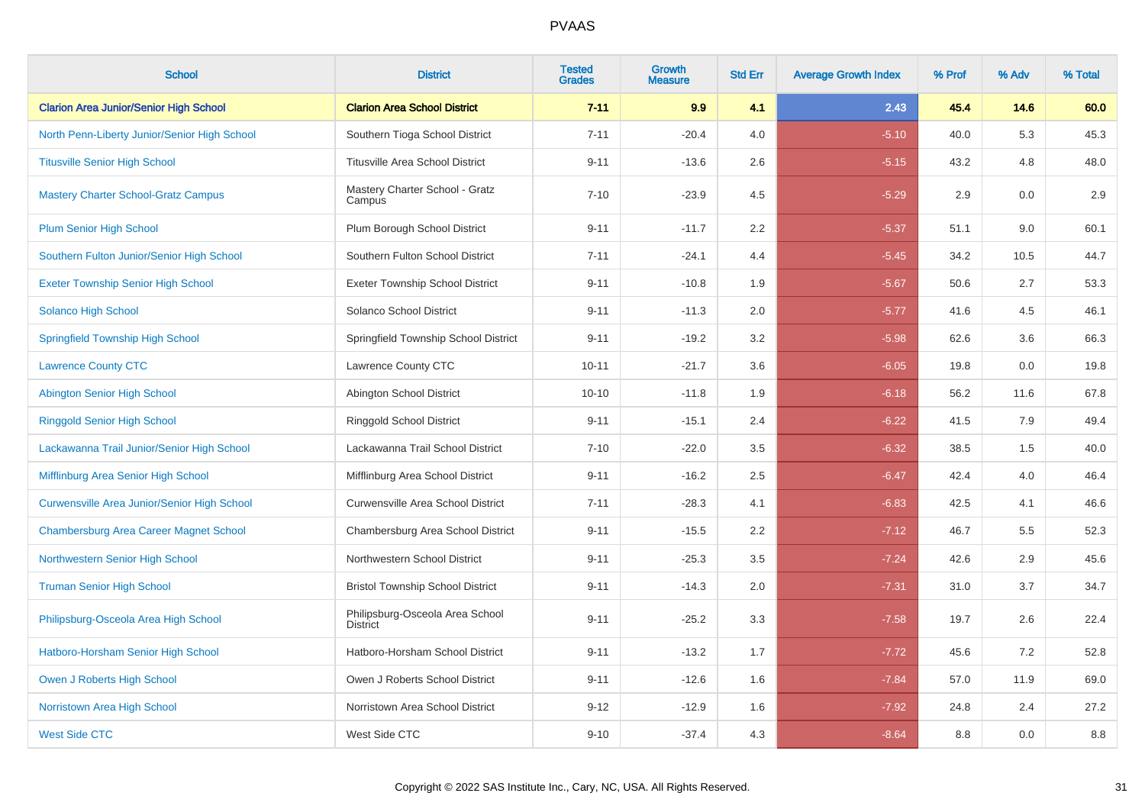| <b>School</b>                                      | <b>District</b>                                    | <b>Tested</b><br><b>Grades</b> | <b>Growth</b><br><b>Measure</b> | <b>Std Err</b> | <b>Average Growth Index</b> | % Prof | % Adv | % Total |
|----------------------------------------------------|----------------------------------------------------|--------------------------------|---------------------------------|----------------|-----------------------------|--------|-------|---------|
| <b>Clarion Area Junior/Senior High School</b>      | <b>Clarion Area School District</b>                | $7 - 11$                       | 9.9                             | 4.1            | 2.43                        | 45.4   | 14.6  | 60.0    |
| North Penn-Liberty Junior/Senior High School       | Southern Tioga School District                     | $7 - 11$                       | $-20.4$                         | 4.0            | $-5.10$                     | 40.0   | 5.3   | 45.3    |
| <b>Titusville Senior High School</b>               | <b>Titusville Area School District</b>             | $9 - 11$                       | $-13.6$                         | 2.6            | $-5.15$                     | 43.2   | 4.8   | 48.0    |
| <b>Mastery Charter School-Gratz Campus</b>         | Mastery Charter School - Gratz<br>Campus           | $7 - 10$                       | $-23.9$                         | 4.5            | $-5.29$                     | 2.9    | 0.0   | 2.9     |
| <b>Plum Senior High School</b>                     | Plum Borough School District                       | $9 - 11$                       | $-11.7$                         | 2.2            | $-5.37$                     | 51.1   | 9.0   | 60.1    |
| Southern Fulton Junior/Senior High School          | Southern Fulton School District                    | $7 - 11$                       | $-24.1$                         | 4.4            | $-5.45$                     | 34.2   | 10.5  | 44.7    |
| <b>Exeter Township Senior High School</b>          | <b>Exeter Township School District</b>             | $9 - 11$                       | $-10.8$                         | 1.9            | $-5.67$                     | 50.6   | 2.7   | 53.3    |
| <b>Solanco High School</b>                         | Solanco School District                            | $9 - 11$                       | $-11.3$                         | 2.0            | $-5.77$                     | 41.6   | 4.5   | 46.1    |
| <b>Springfield Township High School</b>            | Springfield Township School District               | $9 - 11$                       | $-19.2$                         | 3.2            | $-5.98$                     | 62.6   | 3.6   | 66.3    |
| <b>Lawrence County CTC</b>                         | Lawrence County CTC                                | $10 - 11$                      | $-21.7$                         | 3.6            | $-6.05$                     | 19.8   | 0.0   | 19.8    |
| <b>Abington Senior High School</b>                 | Abington School District                           | $10 - 10$                      | $-11.8$                         | 1.9            | $-6.18$                     | 56.2   | 11.6  | 67.8    |
| <b>Ringgold Senior High School</b>                 | Ringgold School District                           | $9 - 11$                       | $-15.1$                         | 2.4            | $-6.22$                     | 41.5   | 7.9   | 49.4    |
| Lackawanna Trail Junior/Senior High School         | Lackawanna Trail School District                   | $7 - 10$                       | $-22.0$                         | 3.5            | $-6.32$                     | 38.5   | 1.5   | 40.0    |
| Mifflinburg Area Senior High School                | Mifflinburg Area School District                   | $9 - 11$                       | $-16.2$                         | 2.5            | $-6.47$                     | 42.4   | 4.0   | 46.4    |
| <b>Curwensville Area Junior/Senior High School</b> | Curwensville Area School District                  | $7 - 11$                       | $-28.3$                         | 4.1            | $-6.83$                     | 42.5   | 4.1   | 46.6    |
| <b>Chambersburg Area Career Magnet School</b>      | Chambersburg Area School District                  | $9 - 11$                       | $-15.5$                         | 2.2            | $-7.12$                     | 46.7   | 5.5   | 52.3    |
| Northwestern Senior High School                    | Northwestern School District                       | $9 - 11$                       | $-25.3$                         | 3.5            | $-7.24$                     | 42.6   | 2.9   | 45.6    |
| <b>Truman Senior High School</b>                   | <b>Bristol Township School District</b>            | $9 - 11$                       | $-14.3$                         | 2.0            | $-7.31$                     | 31.0   | 3.7   | 34.7    |
| Philipsburg-Osceola Area High School               | Philipsburg-Osceola Area School<br><b>District</b> | $9 - 11$                       | $-25.2$                         | 3.3            | $-7.58$                     | 19.7   | 2.6   | 22.4    |
| Hatboro-Horsham Senior High School                 | Hatboro-Horsham School District                    | $9 - 11$                       | $-13.2$                         | 1.7            | $-7.72$                     | 45.6   | 7.2   | 52.8    |
| Owen J Roberts High School                         | Owen J Roberts School District                     | $9 - 11$                       | $-12.6$                         | 1.6            | $-7.84$                     | 57.0   | 11.9  | 69.0    |
| Norristown Area High School                        | Norristown Area School District                    | $9 - 12$                       | $-12.9$                         | 1.6            | $-7.92$                     | 24.8   | 2.4   | 27.2    |
| <b>West Side CTC</b>                               | West Side CTC                                      | $9 - 10$                       | $-37.4$                         | 4.3            | $-8.64$                     | 8.8    | 0.0   | 8.8     |